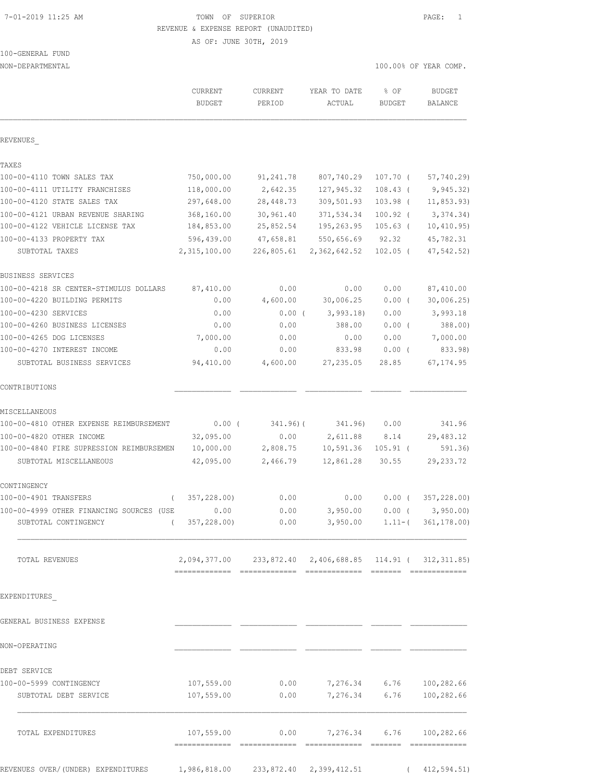# 7-01-2019 11:25 AM TOWN OF SUPERIOR PAGE: 1 REVENUE & EXPENSE REPORT (UNAUDITED)

AS OF: JUNE 30TH, 2019

# 100-GENERAL FUND

| NON-DEPARTMENTAL                                 |                                                          |                          |                                          | 100.00% OF YEAR COMP. |                          |
|--------------------------------------------------|----------------------------------------------------------|--------------------------|------------------------------------------|-----------------------|--------------------------|
|                                                  | CURRENT<br><b>BUDGET</b>                                 | <b>CURRENT</b><br>PERIOD | YEAR TO DATE<br>ACTUAL                   | % OF<br><b>BUDGET</b> | <b>BUDGET</b><br>BALANCE |
| REVENUES                                         |                                                          |                          |                                          |                       |                          |
| TAXES                                            |                                                          |                          |                                          |                       |                          |
| 100-00-4110 TOWN SALES TAX                       | 750,000.00                                               | 91,241.78                | 807,740.29                               | 107.70 (              | 57,740.29)               |
| 100-00-4111 UTILITY FRANCHISES                   | 118,000.00                                               | 2,642.35                 | 127,945.32                               | $108.43$ (            | 9,945.32)                |
| 100-00-4120 STATE SALES TAX                      | 297,648.00                                               | 28,448.73                | 309,501.93                               | 103.98 (              | 11, 853.93)              |
| 100-00-4121 URBAN REVENUE SHARING                | 368,160.00                                               | 30,961.40                | 371,534.34                               | $100.92$ (            | 3,374.34)                |
| 100-00-4122 VEHICLE LICENSE TAX                  | 184,853.00                                               | 25,852.54                | 195,263.95                               | 105.63 (              | 10, 410.95)              |
| 100-00-4133 PROPERTY TAX                         | 596,439.00                                               | 47,658.81                | 550,656.69                               | 92.32                 | 45,782.31                |
| SUBTOTAL TAXES                                   | 2,315,100.00                                             | 226,805.61               | 2,362,642.52                             | $102.05$ (            | 47, 542.52)              |
| <b>BUSINESS SERVICES</b>                         |                                                          |                          |                                          |                       |                          |
| 100-00-4218 SR CENTER-STIMULUS DOLLARS           | 87,410.00                                                | 0.00                     | 0.00                                     | 0.00                  | 87,410.00                |
| 100-00-4220 BUILDING PERMITS                     | 0.00                                                     | 4,600.00                 | 30,006.25                                | $0.00$ (              | 30,006.25                |
| 100-00-4230 SERVICES                             | 0.00                                                     | $0.00$ (                 | 3,993.18                                 | 0.00                  | 3,993.18                 |
| 100-00-4260 BUSINESS LICENSES                    | 0.00                                                     | 0.00                     | 388.00                                   | $0.00$ (              | 388.00)                  |
| 100-00-4265 DOG LICENSES                         | 7,000.00                                                 | 0.00                     | 0.00                                     | 0.00                  | 7,000.00                 |
| 100-00-4270 INTEREST INCOME                      | 0.00                                                     | 0.00                     | 833.98                                   | 0.00(                 | 833.98)                  |
| SUBTOTAL BUSINESS SERVICES                       | 94,410.00                                                | 4,600.00                 | 27, 235.05                               | 28.85                 | 67, 174.95               |
| CONTRIBUTIONS                                    |                                                          |                          |                                          |                       |                          |
| MISCELLANEOUS                                    |                                                          |                          |                                          |                       |                          |
| 100-00-4810 OTHER EXPENSE REIMBURSEMENT          | $0.00$ (                                                 | $341.96$ ) (             | 341.96)                                  | 0.00                  | 341.96                   |
| 100-00-4820 OTHER INCOME                         | 32,095.00                                                | 0.00                     | 2,611.88                                 | 8.14                  | 29,483.12                |
| 100-00-4840 FIRE SUPRESSION REIMBURSEMEN         | 10,000.00                                                | 2,808.75                 | 10,591.36                                | $105.91$ (            | 591.36)                  |
| SUBTOTAL MISCELLANEOUS                           | 42,095.00                                                | 2,466.79                 | 12,861.28                                | 30.55                 | 29, 233.72               |
| CONTINGENCY                                      |                                                          |                          |                                          |                       |                          |
| 100-00-4901 TRANSFERS<br>$\left($                | 357,228.00)                                              | 0.00                     | 0.00                                     | $0.00$ (              | 357,228.00)              |
| 100-00-4999 OTHER FINANCING SOURCES (USE 0.00    |                                                          |                          | $0.00$ $3,950.00$ $0.00$ $($ $3,950.00)$ |                       |                          |
| SUBTOTAL CONTINGENCY                             | $(357,228.00)$ 0.00 3,950.00 1.11-(361,178.00)           |                          |                                          |                       |                          |
| TOTAL REVENUES                                   | 2,094,377.00 233,872.40 2,406,688.85 114.91 (312,311.85) |                          |                                          |                       |                          |
| EXPENDITURES                                     |                                                          |                          |                                          |                       |                          |
| GENERAL BUSINESS EXPENSE                         |                                                          |                          |                                          |                       |                          |
| NON-OPERATING                                    |                                                          |                          |                                          |                       |                          |
|                                                  |                                                          |                          |                                          |                       |                          |
| DEBT SERVICE                                     |                                                          |                          |                                          |                       |                          |
| 100-00-5999 CONTINGENCY<br>SUBTOTAL DEBT SERVICE | 107,559.00<br>107,559.00                                 | 0.00                     | $0.00$ $7,276.34$ $6.76$ $100,282.66$    |                       | 7,276.34 6.76 100,282.66 |
| TOTAL EXPENDITURES                               |                                                          |                          |                                          |                       |                          |
|                                                  |                                                          |                          |                                          |                       |                          |

REVENUES OVER/(UNDER) EXPENDITURES 1,986,818.00 233,872.40 2,399,412.51 (412,594.51)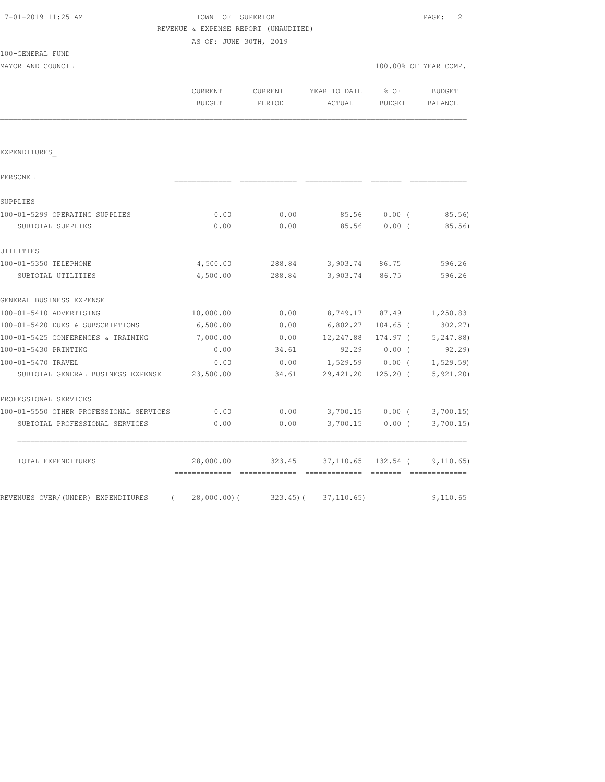| 7-01-2019 11:25 AM |  |  |
|--------------------|--|--|
|--------------------|--|--|

100-GENERAL FUND

## TOWN OF SUPERIOR **11:25 AM TOWN OF SUPERIOR**  REVENUE & EXPENSE REPORT (UNAUDITED) AS OF: JUNE 30TH, 2019

| MAYOR AND COUNCIL                                                 |                          |                   |                        | 100.00% OF YEAR COMP.   |  |                                |
|-------------------------------------------------------------------|--------------------------|-------------------|------------------------|-------------------------|--|--------------------------------|
|                                                                   | CURRENT<br><b>BUDGET</b> | CURRENT<br>PERIOD | YEAR TO DATE<br>ACTUAL | $8$ OF<br><b>BUDGET</b> |  | BUDGET<br>BALANCE              |
|                                                                   |                          |                   |                        |                         |  |                                |
| EXPENDITURES                                                      |                          |                   |                        |                         |  |                                |
| PERSONEL                                                          |                          |                   |                        |                         |  |                                |
| SUPPLIES                                                          |                          |                   |                        |                         |  |                                |
| 100-01-5299 OPERATING SUPPLIES                                    | 0.00                     | 0.00              | 85.56                  | $0.00$ (                |  | 85.56)                         |
| SUBTOTAL SUPPLIES                                                 | 0.00                     | 0.00              | 85.56                  | $0.00$ (                |  | 85.56)                         |
| UTILITIES                                                         |                          |                   |                        |                         |  |                                |
| 100-01-5350 TELEPHONE                                             | 4,500.00                 |                   | 288.84 3,903.74 86.75  |                         |  | 596.26                         |
| SUBTOTAL UTILITIES                                                | 4,500.00                 | 288.84            | 3,903.74 86.75         |                         |  | 596.26                         |
| GENERAL BUSINESS EXPENSE                                          |                          |                   |                        |                         |  |                                |
| 100-01-5410 ADVERTISING                                           | 10,000.00                | 0.00              | 8,749.17 87.49         |                         |  | 1,250.83                       |
| 100-01-5420 DUES & SUBSCRIPTIONS                                  | 6,500.00                 | 0.00              | 6,802.27               | $104.65$ (              |  | 302.27                         |
| 100-01-5425 CONFERENCES & TRAINING                                | 7,000.00                 | 0.00              | 12,247.88              | 174.97 (                |  | 5,247.88)                      |
| 100-01-5430 PRINTING                                              | 0.00                     | 34.61             | 92.29                  | $0.00$ (                |  | 92.29)                         |
| 100-01-5470 TRAVEL                                                | 0.00                     | 0.00              | 1,529.59 0.00 (        |                         |  | 1, 529.59)                     |
| SUBTOTAL GENERAL BUSINESS EXPENSE                                 | 23,500.00                | 34.61             | 29,421.20              | $125.20$ (              |  | 5, 921.20                      |
| PROFESSIONAL SERVICES                                             |                          |                   |                        |                         |  |                                |
| 100-01-5550 OTHER PROFESSIONAL SERVICES                           | 0.00                     | 0.00              |                        |                         |  | $3,700.15$ 0.00 ( $3,700.15$ ) |
| SUBTOTAL PROFESSIONAL SERVICES                                    | 0.00                     | 0.00              |                        |                         |  | 3,700.15 0.00 (3,700.15)       |
| TOTAL EXPENDITURES                                                | 28,000.00                | 323.45            | 37,110.65 132.54 (     |                         |  | 9,110.65)                      |
| REVENUES OVER/(UNDER) EXPENDITURES (28,000.00)(323.45)(37,110.65) |                          |                   |                        |                         |  | 9,110.65                       |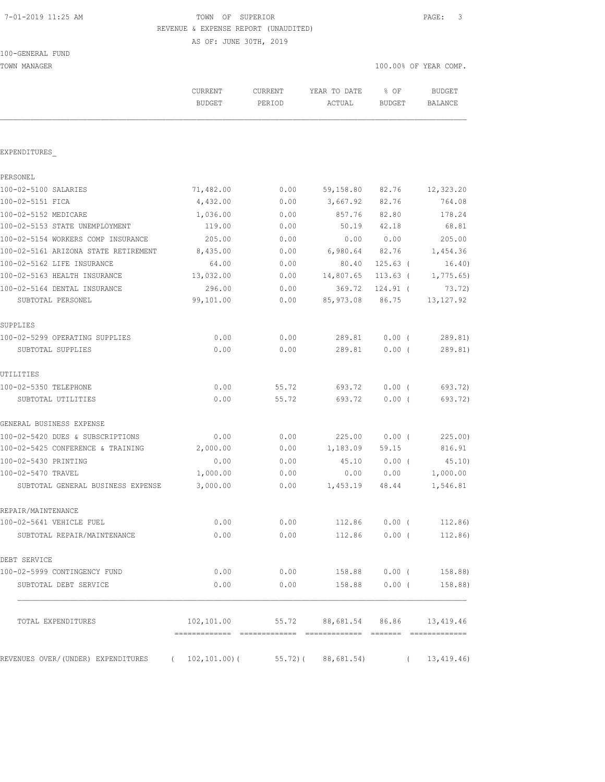# 7-01-2019 11:25 AM TOWN OF SUPERIOR PAGE: 3 REVENUE & EXPENSE REPORT (UNAUDITED)

AS OF: JUNE 30TH, 2019

| TOWN MANAGER                                      |                          |                   |                                 | 100.00% OF YEAR COMP. |                          |  |
|---------------------------------------------------|--------------------------|-------------------|---------------------------------|-----------------------|--------------------------|--|
|                                                   | CURRENT<br><b>BUDGET</b> | CURRENT<br>PERIOD | YEAR TO DATE<br>ACTUAL          | % OF<br><b>BUDGET</b> | <b>BUDGET</b><br>BALANCE |  |
|                                                   |                          |                   |                                 |                       |                          |  |
| EXPENDITURES                                      |                          |                   |                                 |                       |                          |  |
| PERSONEL                                          |                          |                   |                                 |                       |                          |  |
| 100-02-5100 SALARIES                              | 71,482.00                | 0.00              | 59,158.80                       | 82.76                 | 12,323.20                |  |
| 100-02-5151 FICA                                  | 4,432.00                 | 0.00              | 3,667.92                        | 82.76                 | 764.08                   |  |
| 100-02-5152 MEDICARE                              | 1,036.00                 | 0.00              | 857.76                          | 82.80                 | 178.24                   |  |
| 100-02-5153 STATE UNEMPLOYMENT                    | 119.00                   | 0.00              | 50.19                           | 42.18                 | 68.81                    |  |
| 100-02-5154 WORKERS COMP INSURANCE                | 205.00                   | 0.00              | 0.00                            | 0.00                  | 205.00                   |  |
| 100-02-5161 ARIZONA STATE RETIREMENT              | 8,435.00                 | 0.00              | 6,980.64                        | 82.76                 | 1,454.36                 |  |
| 100-02-5162 LIFE INSURANCE                        | 64.00                    | 0.00              | 80.40                           | $125.63$ (            | 16.40)                   |  |
| 100-02-5163 HEALTH INSURANCE                      | 13,032.00                | 0.00              | 14,807.65                       | 113.63 (              | 1,775.65                 |  |
| 100-02-5164 DENTAL INSURANCE                      | 296.00                   | 0.00              | 369.72                          | $124.91$ (            | 73.72)                   |  |
| SUBTOTAL PERSONEL                                 | 99,101.00                | 0.00              | 85, 973.08                      | 86.75                 | 13, 127.92               |  |
| SUPPLIES                                          |                          |                   |                                 |                       |                          |  |
| 100-02-5299 OPERATING SUPPLIES                    | 0.00                     | 0.00              | 289.81                          | $0.00$ (              | 289.81)                  |  |
| SUBTOTAL SUPPLIES                                 | 0.00                     | 0.00              | 289.81                          | $0.00$ (              | 289.81)                  |  |
| UTILITIES                                         |                          |                   |                                 |                       |                          |  |
| 100-02-5350 TELEPHONE                             | 0.00                     | 55.72             | 693.72                          | $0.00$ (              | 693.72)                  |  |
| SUBTOTAL UTILITIES                                | 0.00                     | 55.72             | 693.72                          | 0.00(                 | 693.72)                  |  |
| GENERAL BUSINESS EXPENSE                          |                          |                   |                                 |                       |                          |  |
| 100-02-5420 DUES & SUBSCRIPTIONS                  | 0.00                     | 0.00              | 225.00                          | $0.00$ (              | 225.00)                  |  |
| 100-02-5425 CONFERENCE & TRAINING                 | 2,000.00                 | 0.00              | 1,183.09                        | 59.15                 | 816.91                   |  |
| 100-02-5430 PRINTING                              | 0.00                     | 0.00              | 45.10                           | $0.00$ (              | 45.10)                   |  |
| 100-02-5470 TRAVEL                                | 1,000.00                 | 0.00              | 0.00                            | 0.00                  | 1,000.00                 |  |
| SUBTOTAL GENERAL BUSINESS EXPENSE                 | 3,000.00                 | 0.00              | 1,453.19                        | 48.44                 | 1,546.81                 |  |
| REPAIR/MAINTENANCE                                |                          |                   |                                 |                       |                          |  |
| 100-02-5641 VEHICLE FUEL                          | 0.00                     | 0.00              | 112.86                          | $0.00$ (              | 112.86)                  |  |
| SUBTOTAL REPAIR/MAINTENANCE                       | 0.00                     | 0.00              | 112.86                          | $0.00$ (              | 112.86)                  |  |
| DEBT SERVICE                                      |                          |                   |                                 |                       |                          |  |
| 100-02-5999 CONTINGENCY FUND                      | 0.00                     | 0.00              | 158.88                          |                       | $0.00$ ( $158.88$ )      |  |
| SUBTOTAL DEBT SERVICE                             | 0.00                     | 0.00              | 158.88                          | $0.00$ (              | 158.88)                  |  |
| TOTAL EXPENDITURES                                | 102,101.00               |                   | 55.72 88,681.54 86.86 13,419.46 |                       |                          |  |
|                                                   |                          |                   |                                 |                       |                          |  |
| REVENUES OVER/(UNDER) EXPENDITURES ( 102,101.00)( |                          |                   | 55.72) ( 88,681.54)             |                       | (13, 419.46)             |  |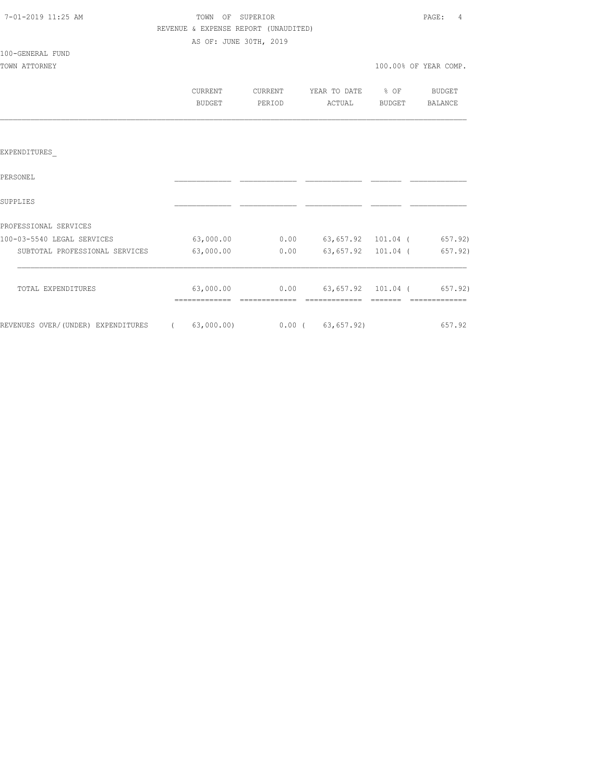| 7-01-2019 11:25 AM |  |
|--------------------|--|
|                    |  |

## TOWN OF SUPERIOR **11:25 AM TOWN OF SUPERIOR**  REVENUE & EXPENSE REPORT (UNAUDITED) AS OF: JUNE 30TH, 2019

### 100-GENERAL FUND

TOWN ATTORNEY

|  | 100.00% OF YEAR COMP. |  |
|--|-----------------------|--|
|  |                       |  |

| CURRENT | CURRENT | YEAR TO DATE | % OF   | BUDGET  |
|---------|---------|--------------|--------|---------|
| BUDGET  | PERIOD  | ACTUAL       | BUDGET | BALANCE |

## EXPENDITURES\_

| PERSONEL                           |            |          |                    |  |         |
|------------------------------------|------------|----------|--------------------|--|---------|
| SUPPLIES                           |            |          |                    |  |         |
| PROFESSIONAL SERVICES              |            |          |                    |  |         |
| 100-03-5540 LEGAL SERVICES         | 63,000.00  | 0.00     | 63,657.92 101.04 ( |  | 657.92) |
| SUBTOTAL PROFESSIONAL SERVICES     | 63,000.00  | 0.00     | 63,657.92 101.04 ( |  | 657.92) |
| TOTAL EXPENDITURES                 | 63,000.00  | 0.00     | 63,657.92 101.04 ( |  | 657.92) |
|                                    |            |          |                    |  |         |
| REVENUES OVER/(UNDER) EXPENDITURES | 63,000.00) | $0.00$ ( | 63,657.92)         |  | 657.92  |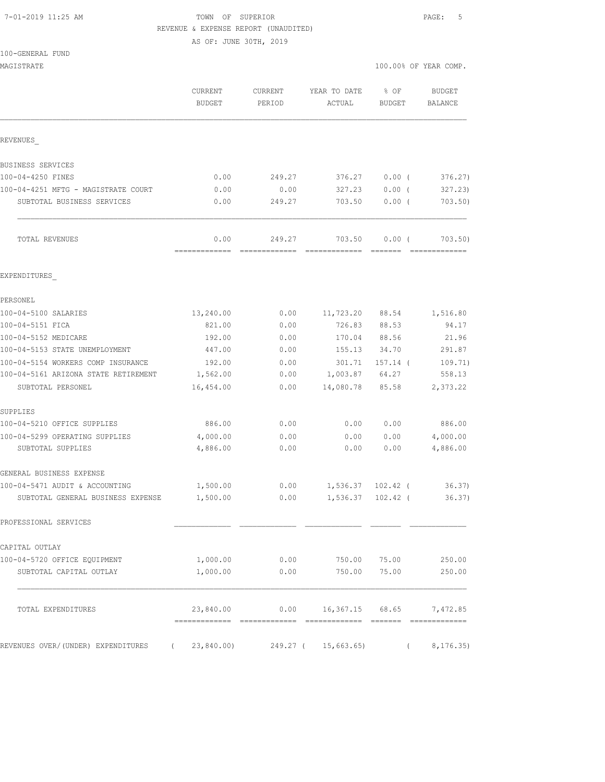#### 7-01-2019 11:25 AM TOWN OF SUPERIOR PAGE: 5 REVENUE & EXPENSE REPORT (UNAUDITED)

AS OF: JUNE 30TH, 2019

| 100-GENERAL FUND |  |
|------------------|--|
|------------------|--|

|                          |                                                 |                                                   | 100.00% OF YEAR COMP.                            |                                                                                |  |
|--------------------------|-------------------------------------------------|---------------------------------------------------|--------------------------------------------------|--------------------------------------------------------------------------------|--|
| <b>CURRENT</b><br>BUDGET | CURRENT<br>PERIOD                               | YEAR TO DATE<br>ACTUAL                            | % OF<br><b>BUDGET</b>                            | <b>BUDGET</b><br>BALANCE                                                       |  |
|                          |                                                 |                                                   |                                                  |                                                                                |  |
|                          |                                                 |                                                   |                                                  |                                                                                |  |
| 0.00                     | 249.27                                          | 376.27                                            | $0.00$ (                                         | 376.27)                                                                        |  |
| 0.00                     | 0.00                                            | 327.23                                            | $0.00$ (                                         | 327.23                                                                         |  |
| 0.00                     | 249.27                                          | 703.50                                            | $0.00$ (                                         | 703.50                                                                         |  |
| 0.00                     | 249.27                                          | 703.50<br>=============                           | $0.00$ (                                         | 703.50)<br>=============                                                       |  |
|                          |                                                 |                                                   |                                                  |                                                                                |  |
|                          |                                                 |                                                   |                                                  |                                                                                |  |
| 13,240.00                | 0.00                                            | 11,723.20                                         | 88.54                                            | 1,516.80                                                                       |  |
| 821.00                   | 0.00                                            | 726.83                                            | 88.53                                            | 94.17                                                                          |  |
| 192.00                   | 0.00                                            | 170.04                                            | 88.56                                            | 21.96                                                                          |  |
| 447.00                   | 0.00                                            | 155.13                                            | 34.70                                            | 291.87                                                                         |  |
| 192.00                   | 0.00                                            | 301.71                                            | $157.14$ (                                       | 109.71)                                                                        |  |
| 1,562.00                 | 0.00                                            | 1,003.87                                          | 64.27                                            | 558.13                                                                         |  |
| 16,454.00                | 0.00                                            | 14,080.78                                         | 85.58                                            | 2,373.22                                                                       |  |
|                          |                                                 |                                                   |                                                  |                                                                                |  |
|                          |                                                 |                                                   |                                                  | 886.00                                                                         |  |
|                          |                                                 |                                                   |                                                  | 4,000.00                                                                       |  |
|                          |                                                 |                                                   |                                                  | 4,886.00                                                                       |  |
|                          |                                                 |                                                   |                                                  |                                                                                |  |
| 1,500.00                 | 0.00                                            |                                                   |                                                  | 36.37)                                                                         |  |
| 1,500.00                 | 0.00                                            |                                                   | $102.42$ (                                       | 36.37)                                                                         |  |
|                          |                                                 |                                                   |                                                  |                                                                                |  |
|                          |                                                 |                                                   |                                                  |                                                                                |  |
|                          |                                                 | 750.00                                            | 75.00                                            | 250.00                                                                         |  |
| 1,000.00                 | 0.00                                            | 750.00                                            | 75.00                                            | 250.00                                                                         |  |
| 23,840.00                |                                                 |                                                   | 68.65                                            | 7,472.85                                                                       |  |
| 23,840.00)               |                                                 | 15,663.65                                         |                                                  | 8, 176.35)                                                                     |  |
|                          | =============<br>886.00<br>4,000.00<br>4,886.00 | =============<br>0.00<br>0.00<br>0.00<br>1,000.00 | 0.00<br>0.00<br>0.00<br>0.00<br>0.00<br>249.27 ( | 0.00<br>0.00<br>0.00<br>1,536.37 102.42 (<br>1,536.37<br>16,367.15<br>$\left($ |  |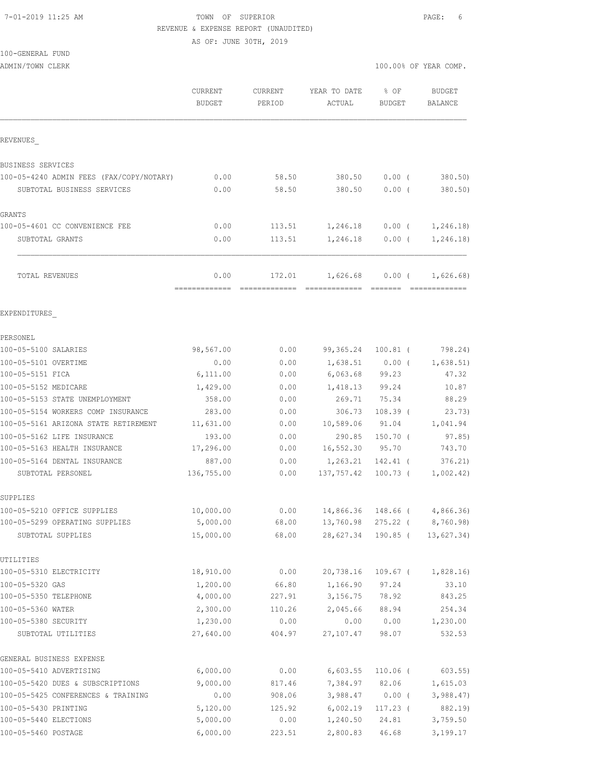#### 7-01-2019 11:25 AM TOWN OF SUPERIOR PAGE: 6 REVENUE & EXPENSE REPORT (UNAUDITED)

AS OF: JUNE 30TH, 2019

## 100-GENERAL FUND

|                                            | <b>CURRENT</b><br><b>BUDGET</b> | CURRENT<br>PERIOD       | YEAR TO DATE<br>ACTUAL            | % OF<br><b>BUDGET</b> | <b>BUDGET</b><br>BALANCE                                                                                                                                                                                                                                                                                                                                                                                                                                                                            |
|--------------------------------------------|---------------------------------|-------------------------|-----------------------------------|-----------------------|-----------------------------------------------------------------------------------------------------------------------------------------------------------------------------------------------------------------------------------------------------------------------------------------------------------------------------------------------------------------------------------------------------------------------------------------------------------------------------------------------------|
| REVENUES                                   |                                 |                         |                                   |                       |                                                                                                                                                                                                                                                                                                                                                                                                                                                                                                     |
| BUSINESS SERVICES                          |                                 |                         |                                   |                       |                                                                                                                                                                                                                                                                                                                                                                                                                                                                                                     |
| 100-05-4240 ADMIN FEES (FAX/COPY/NOTARY)   | 0.00                            | 58.50                   | 380.50                            | $0.00$ (              | 380.50)                                                                                                                                                                                                                                                                                                                                                                                                                                                                                             |
| SUBTOTAL BUSINESS SERVICES                 | 0.00                            | 58.50                   | 380.50                            | 0.00(                 | 380.50                                                                                                                                                                                                                                                                                                                                                                                                                                                                                              |
| GRANTS                                     |                                 |                         |                                   |                       |                                                                                                                                                                                                                                                                                                                                                                                                                                                                                                     |
| 100-05-4601 CC CONVENIENCE FEE             | 0.00                            | 113.51                  | 1,246.18                          | $0.00$ (              | 1,246.18)                                                                                                                                                                                                                                                                                                                                                                                                                                                                                           |
| SUBTOTAL GRANTS                            | 0.00                            | 113.51                  | 1,246.18                          | $0.00$ (              | 1,246.18)                                                                                                                                                                                                                                                                                                                                                                                                                                                                                           |
| TOTAL REVENUES                             | 0.00<br>-------------           | 172.01<br>============= | 1,626.68<br>-------------- ------ | $0.00$ (              | 1,626.68)<br>$\begin{array}{cccccccccccccc} \multicolumn{2}{c}{} & \multicolumn{2}{c}{} & \multicolumn{2}{c}{} & \multicolumn{2}{c}{} & \multicolumn{2}{c}{} & \multicolumn{2}{c}{} & \multicolumn{2}{c}{} & \multicolumn{2}{c}{} & \multicolumn{2}{c}{} & \multicolumn{2}{c}{} & \multicolumn{2}{c}{} & \multicolumn{2}{c}{} & \multicolumn{2}{c}{} & \multicolumn{2}{c}{} & \multicolumn{2}{c}{} & \multicolumn{2}{c}{} & \multicolumn{2}{c}{} & \multicolumn{2}{c}{} & \multicolumn{2}{c}{} & \$ |
| EXPENDITURES                               |                                 |                         |                                   |                       |                                                                                                                                                                                                                                                                                                                                                                                                                                                                                                     |
| PERSONEL                                   |                                 |                         |                                   |                       |                                                                                                                                                                                                                                                                                                                                                                                                                                                                                                     |
| 100-05-5100 SALARIES                       | 98,567.00                       | 0.00                    | 99,365.24                         | $100.81$ (            | 798.24)                                                                                                                                                                                                                                                                                                                                                                                                                                                                                             |
| 100-05-5101 OVERTIME                       | 0.00                            | 0.00                    | 1,638.51                          | $0.00$ (              | 1,638.51)                                                                                                                                                                                                                                                                                                                                                                                                                                                                                           |
| 100-05-5151 FICA                           | 6,111.00                        | 0.00                    | 6,063.68                          | 99.23                 | 47.32                                                                                                                                                                                                                                                                                                                                                                                                                                                                                               |
| 100-05-5152 MEDICARE                       | 1,429.00                        | 0.00                    | 1,418.13                          | 99.24                 | 10.87                                                                                                                                                                                                                                                                                                                                                                                                                                                                                               |
| 100-05-5153 STATE UNEMPLOYMENT             | 358.00                          | 0.00                    | 269.71                            | 75.34                 | 88.29                                                                                                                                                                                                                                                                                                                                                                                                                                                                                               |
| 100-05-5154 WORKERS COMP INSURANCE         | 283.00                          | 0.00                    | 306.73                            | $108.39$ (            | 23.73)                                                                                                                                                                                                                                                                                                                                                                                                                                                                                              |
| 100-05-5161 ARIZONA STATE RETIREMENT       | 11,631.00                       | 0.00                    | 10,589.06                         | 91.04                 | 1,041.94                                                                                                                                                                                                                                                                                                                                                                                                                                                                                            |
| 100-05-5162 LIFE INSURANCE                 | 193.00                          | 0.00                    | 290.85                            | $150.70$ (            | 97.85)                                                                                                                                                                                                                                                                                                                                                                                                                                                                                              |
| 100-05-5163 HEALTH INSURANCE               | 17,296.00                       | 0.00                    | 16,552.30                         | 95.70                 | 743.70                                                                                                                                                                                                                                                                                                                                                                                                                                                                                              |
| 100-05-5164 DENTAL INSURANCE               | 887.00                          | 0.00                    | 1,263.21                          | $142.41$ (            | 376.21                                                                                                                                                                                                                                                                                                                                                                                                                                                                                              |
| SUBTOTAL PERSONEL                          | 136,755.00                      | 0.00                    | 137,757.42                        | $100.73$ (            | 1,002.42)                                                                                                                                                                                                                                                                                                                                                                                                                                                                                           |
| SUPPLIES                                   |                                 |                         |                                   |                       |                                                                                                                                                                                                                                                                                                                                                                                                                                                                                                     |
| 100-05-5210 OFFICE SUPPLIES                | 10,000.00                       | 0.00                    |                                   | 14,866.36 148.66 (    | 4,866.36)                                                                                                                                                                                                                                                                                                                                                                                                                                                                                           |
| 100-05-5299 OPERATING SUPPLIES             | 5,000.00                        | 68.00                   | 13,760.98 275.22 (                |                       | 8,760.98)                                                                                                                                                                                                                                                                                                                                                                                                                                                                                           |
| SUBTOTAL SUPPLIES                          | 15,000.00                       | 68.00                   | 28,627.34                         | 190.85 (              | 13,627.34)                                                                                                                                                                                                                                                                                                                                                                                                                                                                                          |
| UTILITIES                                  |                                 |                         |                                   |                       |                                                                                                                                                                                                                                                                                                                                                                                                                                                                                                     |
| 100-05-5310 ELECTRICITY                    | 18,910.00                       | 0.00                    | 20,738.16                         | $109.67$ (            | 1,828.16                                                                                                                                                                                                                                                                                                                                                                                                                                                                                            |
| 100-05-5320 GAS                            | 1,200.00                        | 66.80                   | 1,166.90                          | 97.24                 | 33.10                                                                                                                                                                                                                                                                                                                                                                                                                                                                                               |
| 100-05-5350 TELEPHONE                      | 4,000.00                        | 227.91                  | 3,156.75                          | 78.92                 | 843.25                                                                                                                                                                                                                                                                                                                                                                                                                                                                                              |
| 100-05-5360 WATER                          | 2,300.00                        | 110.26                  | 2,045.66                          | 88.94                 | 254.34                                                                                                                                                                                                                                                                                                                                                                                                                                                                                              |
| 100-05-5380 SECURITY<br>SUBTOTAL UTILITIES | 1,230.00<br>27,640.00           | 0.00<br>404.97          | 0.00<br>27, 107.47                | 0.00<br>98.07         | 1,230.00<br>532.53                                                                                                                                                                                                                                                                                                                                                                                                                                                                                  |
|                                            |                                 |                         |                                   |                       |                                                                                                                                                                                                                                                                                                                                                                                                                                                                                                     |
| GENERAL BUSINESS EXPENSE                   |                                 |                         |                                   |                       |                                                                                                                                                                                                                                                                                                                                                                                                                                                                                                     |
| 100-05-5410 ADVERTISING                    | 6,000.00                        | 0.00                    | 6,603.55                          | $110.06$ (            | $603.55$ )                                                                                                                                                                                                                                                                                                                                                                                                                                                                                          |
| 100-05-5420 DUES & SUBSCRIPTIONS           | 9,000.00                        | 817.46                  | 7,384.97                          | 82.06                 | 1,615.03                                                                                                                                                                                                                                                                                                                                                                                                                                                                                            |
| 100-05-5425 CONFERENCES & TRAINING         | 0.00                            | 908.06                  | 3,988.47                          | $0.00$ (              | 3,988.47                                                                                                                                                                                                                                                                                                                                                                                                                                                                                            |
| 100-05-5430 PRINTING                       | 5,120.00                        | 125.92                  | 6,002.19                          | $117.23$ (            | 882.19)                                                                                                                                                                                                                                                                                                                                                                                                                                                                                             |
| 100-05-5440 ELECTIONS                      | 5,000.00                        | 0.00                    | 1,240.50                          | 24.81                 | 3,759.50                                                                                                                                                                                                                                                                                                                                                                                                                                                                                            |

100-05-5460 POSTAGE 6,000.00 223.51 2,800.83 46.68 3,199.17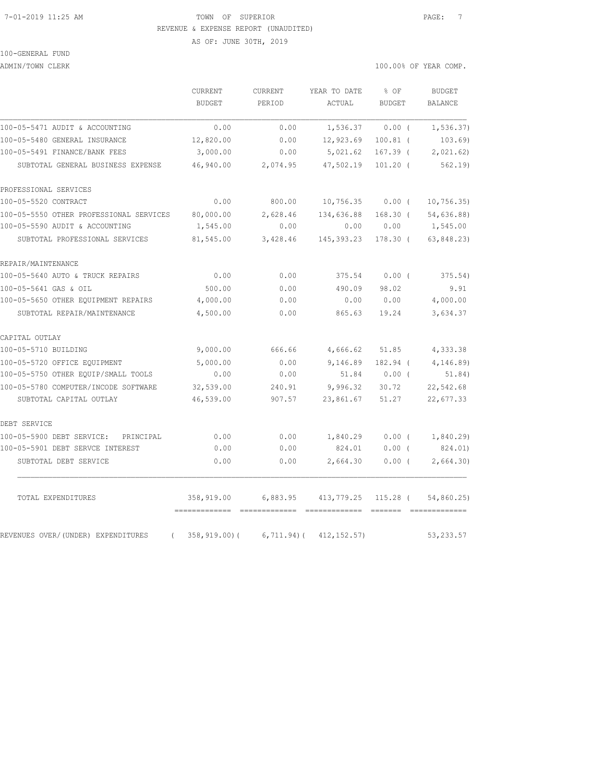#### 7-01-2019 11:25 AM TOWN OF SUPERIOR PAGE: 7 REVENUE & EXPENSE REPORT (UNAUDITED)

AS OF: JUNE 30TH, 2019

100-GENERAL FUND

ADMIN/TOWN CLERK 100.00% OF YEAR COMP.

|                                                | CURRENT<br><b>BUDGET</b> | CURRENT<br>PERIOD | YEAR TO DATE<br>ACTUAL        | % OF<br><b>BUDGET</b> | <b>BUDGET</b><br><b>BALANCE</b> |
|------------------------------------------------|--------------------------|-------------------|-------------------------------|-----------------------|---------------------------------|
| 100-05-5471 AUDIT & ACCOUNTING                 | 0.00                     | 0.00              | 1,536.37                      | 0.00(                 | 1, 536.37)                      |
| 100-05-5480 GENERAL INSURANCE                  | 12,820.00                | 0.00              | 12,923.69                     | $100.81$ (            | 103.69                          |
| 100-05-5491 FINANCE/BANK FEES                  | 3,000.00                 | 0.00              | 5,021.62                      | $167.39$ (            | 2,021.62                        |
| SUBTOTAL GENERAL BUSINESS EXPENSE              | 46,940.00                | 2,074.95          | 47,502.19                     | $101.20$ (            | 562.19                          |
| PROFESSIONAL SERVICES                          |                          |                   |                               |                       |                                 |
| 100-05-5520 CONTRACT                           | 0.00                     | 800.00            | 10,756.35                     | $0.00$ (              | 10, 756.35                      |
| 100-05-5550 OTHER PROFESSIONAL SERVICES        | 80,000.00                | 2,628.46          | 134,636.88                    | $168.30$ (            | 54,636.88)                      |
| 100-05-5590 AUDIT & ACCOUNTING                 | 1,545.00                 | 0.00              | 0.00                          | 0.00                  | 1,545.00                        |
| SUBTOTAL PROFESSIONAL SERVICES                 | 81,545.00                | 3,428.46          | 145, 393.23                   | 178.30 (              | 63,848.23)                      |
| REPAIR/MAINTENANCE                             |                          |                   |                               |                       |                                 |
| 100-05-5640 AUTO & TRUCK REPAIRS               | 0.00                     | 0.00              | 375.54                        | 0.00(                 | 375.54)                         |
| 100-05-5641 GAS & OIL                          | 500.00                   | 0.00              | 490.09                        | 98.02                 | 9.91                            |
| 100-05-5650 OTHER EQUIPMENT REPAIRS            | 4,000.00                 | 0.00              | 0.00                          | 0.00                  | 4,000.00                        |
| SUBTOTAL REPAIR/MAINTENANCE                    | 4,500.00                 | 0.00              | 865.63                        | 19.24                 | 3,634.37                        |
| CAPITAL OUTLAY                                 |                          |                   |                               |                       |                                 |
| 100-05-5710 BUILDING                           | 9,000.00                 | 666.66            | 4,666.62                      | 51.85                 | 4,333.38                        |
| 100-05-5720 OFFICE EOUIPMENT                   | 5,000.00                 | 0.00              | 9,146.89                      | 182.94 (              | 4,146.89)                       |
| 100-05-5750 OTHER EQUIP/SMALL TOOLS            | 0.00                     | 0.00              | 51.84                         | $0.00$ (              | 51.84)                          |
| 100-05-5780 COMPUTER/INCODE SOFTWARE           | 32,539.00                | 240.91            | 9,996.32                      | 30.72                 | 22,542.68                       |
| SUBTOTAL CAPITAL OUTLAY                        | 46,539.00                | 907.57            | 23,861.67                     | 51.27                 | 22,677.33                       |
| DEBT SERVICE                                   |                          |                   |                               |                       |                                 |
| 100-05-5900 DEBT SERVICE: PRINCIPAL            | 0.00                     | 0.00              | 1,840.29                      | 0.00(                 | 1,840.29                        |
| 100-05-5901 DEBT SERVCE INTEREST               | 0.00                     | 0.00              | 824.01                        | $0.00$ (              | 824.01)                         |
| SUBTOTAL DEBT SERVICE                          | 0.00                     | 0.00              | 2,664.30                      | 0.00(                 | 2,664.30                        |
| TOTAL EXPENDITURES                             | 358,919.00               | 6,883.95          | 413,779.25 115.28 (           |                       | 54,860.25)                      |
| REVENUES OVER/(UNDER) EXPENDITURES<br>$\left($ | 358,919.00)(             |                   | $6, 711.94$ ( $412, 152.57$ ) |                       | 53, 233.57                      |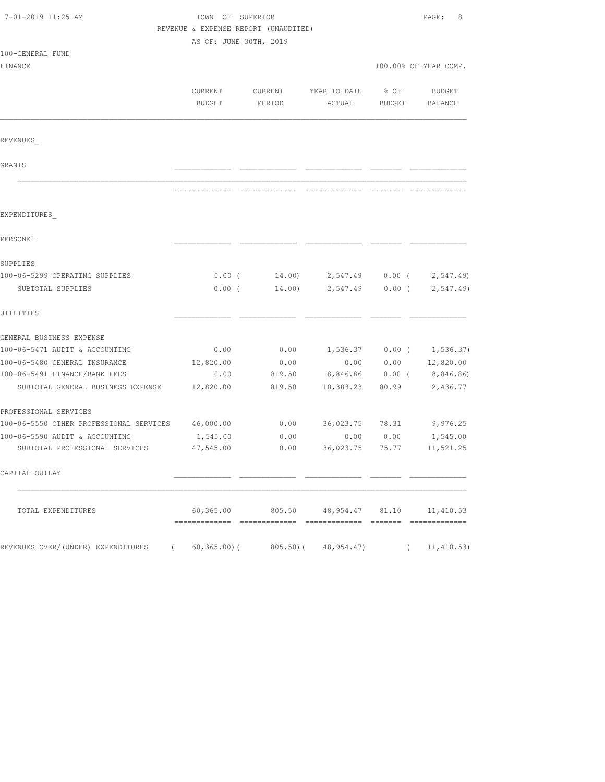| 7-01-2019 11:25 AM                                | TOWN OF SUPERIOR<br>REVENUE & EXPENSE REPORT (UNAUDITED) |                   |                                                      |                         | PAGE:<br>8            |
|---------------------------------------------------|----------------------------------------------------------|-------------------|------------------------------------------------------|-------------------------|-----------------------|
|                                                   | AS OF: JUNE 30TH, 2019                                   |                   |                                                      |                         |                       |
| 100-GENERAL FUND                                  |                                                          |                   |                                                      |                         |                       |
| FINANCE                                           |                                                          |                   |                                                      |                         | 100.00% OF YEAR COMP. |
|                                                   | CURRENT<br>BUDGET                                        | CURRENT<br>PERIOD | YEAR TO DATE<br>ACTUAL                               | $8$ OF<br><b>BUDGET</b> | BUDGET<br>BALANCE     |
| REVENUES                                          |                                                          |                   |                                                      |                         |                       |
| GRANTS                                            |                                                          |                   |                                                      |                         |                       |
|                                                   |                                                          |                   |                                                      |                         |                       |
| EXPENDITURES                                      |                                                          |                   |                                                      |                         |                       |
| PERSONEL                                          |                                                          |                   |                                                      |                         |                       |
| SUPPLIES                                          |                                                          |                   |                                                      |                         |                       |
| 100-06-5299 OPERATING SUPPLIES                    |                                                          |                   | $0.00$ ( 14.00) 2,547.49 0.00 ( 2,547.49)            |                         |                       |
| SUBTOTAL SUPPLIES                                 | $0.00$ (                                                 |                   | $14.00$ 2,547.49                                     | $0.00$ (                | 2, 547.49             |
| UTILITIES                                         |                                                          |                   |                                                      |                         |                       |
| GENERAL BUSINESS EXPENSE                          |                                                          |                   |                                                      |                         |                       |
| 100-06-5471 AUDIT & ACCOUNTING                    | 0.00                                                     | 0.00              | 1,536.37 0.00 ( 1,536.37)                            |                         |                       |
| 100-06-5480 GENERAL INSURANCE                     | 12,820.00                                                | 0.00              | 0.00                                                 |                         | $0.00$ $12,820.00$    |
| 100-06-5491 FINANCE/BANK FEES                     | 0.00                                                     | 819.50            | 8,846.86                                             | $0.00$ (                | 8,846.86)             |
| SUBTOTAL GENERAL BUSINESS EXPENSE                 | 12,820.00                                                | 819.50            | 10,383.23                                            | 80.99                   | 2,436.77              |
| PROFESSIONAL SERVICES                             |                                                          |                   |                                                      |                         |                       |
| 100-06-5550 OTHER PROFESSIONAL SERVICES 46,000.00 |                                                          | 0.00              | 36,023.75 78.31                                      |                         | 9,976.25              |
| 100-06-5590 AUDIT & ACCOUNTING                    | 1,545.00                                                 | 0.00              | 0.00                                                 | 0.00                    | 1,545.00              |
| SUBTOTAL PROFESSIONAL SERVICES                    | 47,545.00                                                | 0.00              | 36,023.75                                            | 75.77                   | 11,521.25             |
| CAPITAL OUTLAY                                    |                                                          |                   |                                                      |                         |                       |
| TOTAL EXPENDITURES                                |                                                          |                   | $60,365.00$ $805.50$ $48,954.47$ $81.10$ $11,410.53$ |                         |                       |
| REVENUES OVER/(UNDER) EXPENDITURES (              |                                                          |                   | $60, 365.00$ (805.50) (48, 954.47)                   |                         | (11, 410.53)          |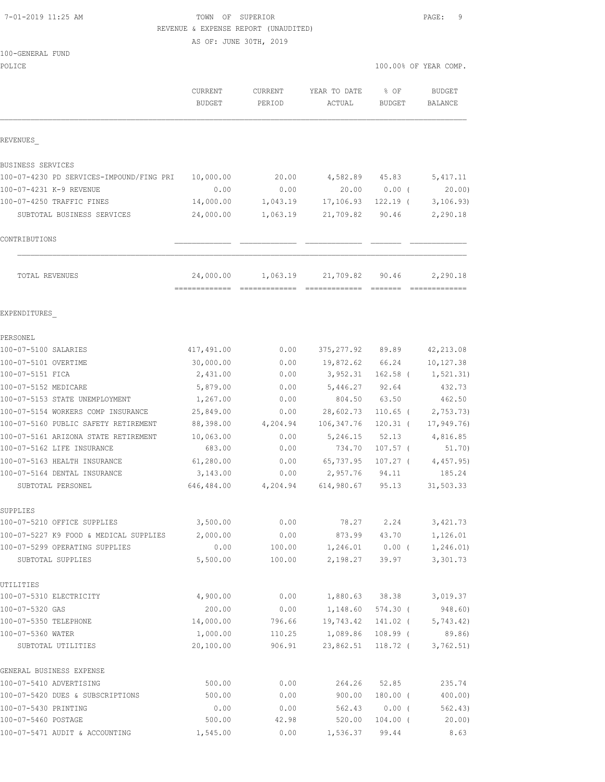### 7-01-2019 11:25 AM TOWN OF SUPERIOR PAGE: 9 REVENUE & EXPENSE REPORT (UNAUDITED)

AS OF: JUNE 30TH, 2019

| 100-GENERAL FUND<br>POLICE                                   |                          |                   |                        |                       | 100.00% OF YEAR COMP.           |
|--------------------------------------------------------------|--------------------------|-------------------|------------------------|-----------------------|---------------------------------|
|                                                              |                          |                   |                        |                       |                                 |
|                                                              | CURRENT<br><b>BUDGET</b> | CURRENT<br>PERIOD | YEAR TO DATE<br>ACTUAL | % OF<br><b>BUDGET</b> | <b>BUDGET</b><br><b>BALANCE</b> |
| REVENUES                                                     |                          |                   |                        |                       |                                 |
| BUSINESS SERVICES                                            |                          |                   |                        |                       |                                 |
| 100-07-4230 PD SERVICES-IMPOUND/FING PRI                     | 10,000.00                | 20.00             | 4,582.89               | 45.83                 | 5,417.11                        |
| 100-07-4231 K-9 REVENUE                                      | 0.00                     | 0.00              | 20.00                  | $0.00$ (              | 20.00                           |
| 100-07-4250 TRAFFIC FINES                                    | 14,000.00                | 1,043.19          | 17,106.93              | $122.19$ (            | 3, 106.93)                      |
| SUBTOTAL BUSINESS SERVICES                                   | 24,000.00                | 1,063.19          | 21,709.82              | 90.46                 | 2,290.18                        |
| CONTRIBUTIONS                                                |                          |                   |                        |                       |                                 |
| TOTAL REVENUES                                               | 24,000.00                | 1,063.19          | 21,709.82              | 90.46                 | 2,290.18                        |
| EXPENDITURES                                                 |                          |                   |                        |                       |                                 |
| PERSONEL                                                     |                          |                   |                        |                       |                                 |
| 100-07-5100 SALARIES                                         | 417,491.00               | 0.00              | 375,277.92 89.89       |                       | 42, 213.08                      |
| 100-07-5101 OVERTIME                                         | 30,000.00                | 0.00              | 19,872.62              | 66.24                 | 10,127.38                       |
| 100-07-5151 FICA                                             | 2,431.00                 | 0.00              | 3,952.31               | $162.58$ (            | 1, 521.31)                      |
| 100-07-5152 MEDICARE                                         | 5,879.00                 | 0.00              | 5,446.27               | 92.64                 | 432.73                          |
| 100-07-5153 STATE UNEMPLOYMENT                               | 1,267.00                 | 0.00              | 804.50                 | 63.50                 | 462.50                          |
| 100-07-5154 WORKERS COMP INSURANCE                           | 25,849.00                | 0.00              | 28,602.73              | $110.65$ (            | 2,753.73)                       |
| 100-07-5160 PUBLIC SAFETY RETIREMENT                         | 88,398.00                | 4,204.94          | 106, 347.76            | $120.31$ (            | 17,949.76)                      |
| 100-07-5161 ARIZONA STATE RETIREMENT                         | 10,063.00                | 0.00              | 5,246.15               | 52.13                 | 4,816.85                        |
| 100-07-5162 LIFE INSURANCE                                   | 683.00                   | 0.00              | 734.70                 | $107.57$ (            | 51.70)                          |
| 100-07-5163 HEALTH INSURANCE<br>100-07-5164 DENTAL INSURANCE | 61,280.00<br>3,143.00    | 0.00<br>0.00      | 65,737.95<br>2,957.76  | $107.27$ (<br>94.11   | 4,457.95<br>185.24              |
| SUBTOTAL PERSONEL                                            | 646,484.00               | 4,204.94          | 614,980.67             | 95.13                 | 31,503.33                       |
| SUPPLIES                                                     |                          |                   |                        |                       |                                 |
| 100-07-5210 OFFICE SUPPLIES                                  | 3,500.00                 | 0.00              | 78.27                  | 2.24                  | 3,421.73                        |
| 100-07-5227 K9 FOOD & MEDICAL SUPPLIES                       | 2,000.00                 | 0.00              | 873.99                 | 43.70                 | 1,126.01                        |
| 100-07-5299 OPERATING SUPPLIES                               | 0.00                     | 100.00            | 1,246.01               | $0.00$ (              | 1,246.01)                       |
| SUBTOTAL SUPPLIES                                            | 5,500.00                 | 100.00            | 2,198.27               | 39.97                 | 3,301.73                        |
| UTILITIES                                                    |                          |                   |                        |                       |                                 |
| 100-07-5310 ELECTRICITY                                      | 4,900.00                 | 0.00              | 1,880.63               | 38.38                 | 3,019.37                        |
| 100-07-5320 GAS                                              | 200.00                   | 0.00              | 1,148.60               | $574.30$ (            | 948.60)                         |
| 100-07-5350 TELEPHONE                                        | 14,000.00                | 796.66            | 19,743.42              | 141.02 (              | 5,743.42)                       |
| 100-07-5360 WATER                                            | 1,000.00                 | 110.25            | 1,089.86               | $108.99$ (            | 89.86)                          |

| SUBTOTAL UTILITIES               | 20,100.00 | 906.91 | 23,862.51 | 118.72 | 3,762.51) |
|----------------------------------|-----------|--------|-----------|--------|-----------|
| GENERAL BUSINESS EXPENSE         |           |        |           |        |           |
| 100-07-5410 ADVERTISING          | 500.00    | 0.00   | 264.26    | 52.85  | 235.74    |
| 100-07-5420 DUES & SUBSCRIPTIONS | 500.00    | 0.00   | 900.00    | 180.00 | 400.00)   |
| 100-07-5430 PRINTING             | 0.00      | 0.00   | 562.43    | 0.00   | 562.43)   |
| 100-07-5460 POSTAGE              | 500.00    | 42.98  | 520.00    | 104.00 | 20.00     |
| 100-07-5471 AUDIT & ACCOUNTING   | 1,545.00  | 0.00   | 1,536.37  | 99.44  | 8.63      |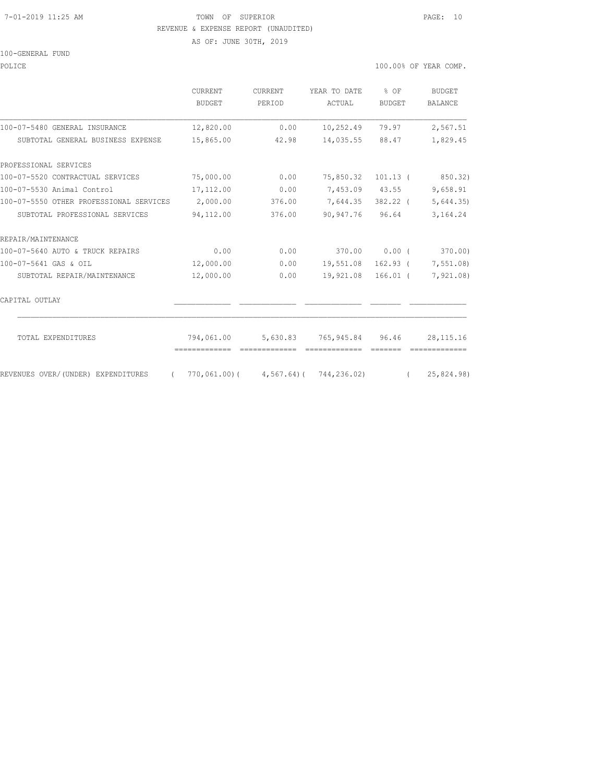#### 7-01-2019 11:25 AM TOWN OF SUPERIOR PAGE: 10 REVENUE & EXPENSE REPORT (UNAUDITED)

AS OF: JUNE 30TH, 2019

100-GENERAL FUND

| POLICE | 100.00% OF YEAR COMP. |  |  |  |  |
|--------|-----------------------|--|--|--|--|
|--------|-----------------------|--|--|--|--|

|                                                  | <b>CURRENT</b><br><b>BUDGET</b> | <b>CURRENT</b><br>PERIOD | YEAR TO DATE<br>ACTUAL                       | % OF<br><b>BUDGET</b> | <b>BUDGET</b><br><b>BALANCE</b> |
|--------------------------------------------------|---------------------------------|--------------------------|----------------------------------------------|-----------------------|---------------------------------|
| 100-07-5480 GENERAL INSURANCE                    | 12,820.00                       | 0.00                     | 10,252.49                                    | 79.97                 | 2,567.51                        |
| SUBTOTAL GENERAL BUSINESS EXPENSE                | 15,865.00                       | 42.98                    | 14,035.55                                    | 88.47                 | 1,829.45                        |
| PROFESSIONAL SERVICES                            |                                 |                          |                                              |                       |                                 |
| 100-07-5520 CONTRACTUAL SERVICES                 | 75,000.00                       | 0.00                     | 75,850.32                                    | $101.13$ (            | 850.32)                         |
| 100-07-5530 Animal Control                       | 17,112.00                       | 0.00                     |                                              | 7,453.09 43.55        | 9,658.91                        |
| 100-07-5550 OTHER PROFESSIONAL SERVICES          | 2,000.00                        | 376.00                   | 7,644.35                                     | 382.22 (              | 5,644.35                        |
| SUBTOTAL PROFESSIONAL SERVICES                   | 94,112.00                       | 376.00                   | 90,947.76                                    | 96.64                 | 3,164.24                        |
| REPAIR/MAINTENANCE                               |                                 |                          |                                              |                       |                                 |
| 100-07-5640 AUTO & TRUCK REPAIRS                 | 0.00                            | 0.00                     | 370.00                                       | 0.00(                 | 370.00)                         |
| 100-07-5641 GAS & OIL                            | 12,000.00                       | 0.00                     | 19,551.08                                    | $162.93$ (            | 7,551.08)                       |
| SUBTOTAL REPAIR/MAINTENANCE                      | 12,000.00                       | 0.00                     | 19,921.08                                    | $166.01$ (            | 7,921.08)                       |
| CAPITAL OUTLAY                                   |                                 |                          |                                              |                       |                                 |
| TOTAL EXPENDITURES                               | 794,061.00                      |                          | 5,630.83 765,945.84 96.46                    |                       | 28, 115. 16                     |
|                                                  |                                 |                          |                                              |                       |                                 |
| REVENUES OVER/(UNDER) EXPENDITURES<br>$\sqrt{2}$ |                                 |                          | $770,061,00$ ( $4,567,64$ ) ( $744,236,02$ ) |                       | (25, 824.98)                    |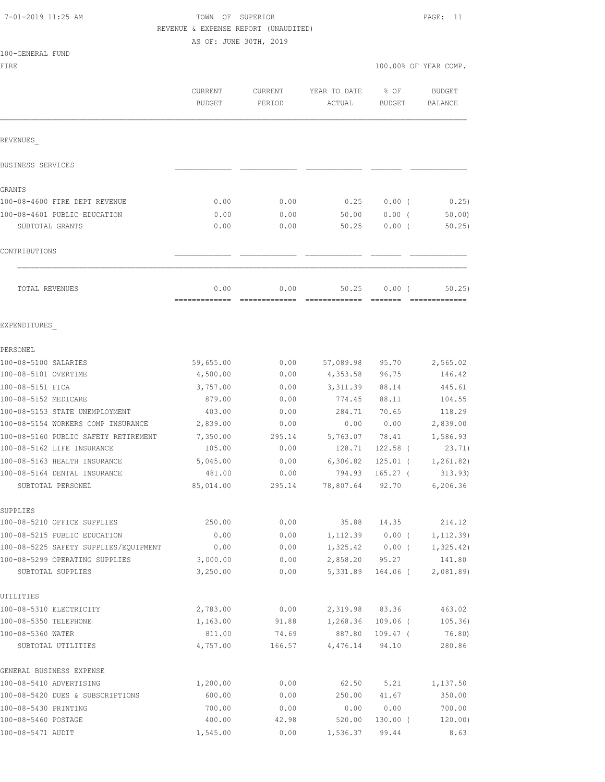|  |  |  | 7-01-2019 11:25 AM |  |
|--|--|--|--------------------|--|
|--|--|--|--------------------|--|

100-GENERAL FUND

## TOWN OF SUPERIOR **11:25 AM TOWN OF SUPERIOR** REVENUE & EXPENSE REPORT (UNAUDITED)

AS OF: JUNE 30TH, 2019

| FIRE                                                |                          |                          |                        |                     | 100.00% OF YEAR COMP.    |
|-----------------------------------------------------|--------------------------|--------------------------|------------------------|---------------------|--------------------------|
|                                                     | CURRENT<br><b>BUDGET</b> | <b>CURRENT</b><br>PERIOD | YEAR TO DATE<br>ACTUAL | % OF<br>BUDGET      | <b>BUDGET</b><br>BALANCE |
| REVENUES                                            |                          |                          |                        |                     |                          |
| BUSINESS SERVICES                                   |                          |                          |                        |                     |                          |
| GRANTS                                              |                          |                          |                        |                     |                          |
| 100-08-4600 FIRE DEPT REVENUE                       | 0.00                     | 0.00                     | 0.25                   | $0.00$ (            | 0.25)                    |
| 100-08-4601 PUBLIC EDUCATION                        | 0.00                     | 0.00                     | 50.00                  | 0.00(               | 50.00                    |
| SUBTOTAL GRANTS                                     | 0.00                     | 0.00                     | 50.25                  | 0.00(               | 50.25                    |
| CONTRIBUTIONS                                       |                          |                          |                        |                     |                          |
| TOTAL REVENUES                                      | 0.00                     | 0.00                     | 50.25                  | 0.00(               | 50.25                    |
| EXPENDITURES                                        |                          |                          |                        |                     |                          |
| PERSONEL                                            |                          |                          |                        |                     |                          |
| 100-08-5100 SALARIES                                | 59,655.00                | 0.00                     | 57,089.98              | 95.70               | 2,565.02                 |
| 100-08-5101 OVERTIME                                | 4,500.00                 | 0.00                     | 4,353.58               | 96.75               | 146.42                   |
| 100-08-5151 FICA                                    | 3,757.00                 | 0.00                     | 3, 311.39              | 88.14               | 445.61                   |
| 100-08-5152 MEDICARE                                | 879.00                   | 0.00                     | 774.45                 | 88.11               | 104.55                   |
| 100-08-5153 STATE UNEMPLOYMENT                      | 403.00                   | 0.00                     | 284.71                 | 70.65               | 118.29                   |
| 100-08-5154 WORKERS COMP INSURANCE                  | 2,839.00                 | 0.00                     | 0.00                   | 0.00                | 2,839.00                 |
| 100-08-5160 PUBLIC SAFETY RETIREMENT                | 7,350.00                 | 295.14                   | 5,763.07               | 78.41               | 1,586.93                 |
| 100-08-5162 LIFE INSURANCE                          | 105.00                   | 0.00                     | 128.71                 | 122.58 (            | 23.71)                   |
| 100-08-5163 HEALTH INSURANCE                        | 5,045.00                 | 0.00                     | 6,306.82               | $125.01$ (          | 1, 261.82)               |
| 100-08-5164 DENTAL INSURANCE                        | 481.00                   | 0.00                     | 794.93                 | $165.27$ (          | 313.93)                  |
| SUBTOTAL PERSONEL                                   | 85,014.00                | 295.14                   | 78,807.64              | 92.70               | 6,206.36                 |
| SUPPLIES                                            |                          |                          |                        |                     |                          |
| 100-08-5210 OFFICE SUPPLIES                         | 250.00                   | 0.00                     | 35.88                  | 14.35               | 214.12                   |
| 100-08-5215 PUBLIC EDUCATION                        | 0.00                     | 0.00                     | 1,112.39               | 0.00(               | 1, 112.39)               |
| 100-08-5225 SAFETY SUPPLIES/EQUIPMENT               | 0.00                     | 0.00                     | 1,325.42               | $0.00$ (            | 1, 325.42)               |
| 100-08-5299 OPERATING SUPPLIES<br>SUBTOTAL SUPPLIES | 3,000.00<br>3,250.00     | 0.00<br>0.00             | 2,858.20<br>5,331.89   | 95.27<br>$164.06$ ( | 141.80<br>2,081.89       |
| UTILITIES                                           |                          |                          |                        |                     |                          |
| 100-08-5310 ELECTRICITY                             | 2,783.00                 | 0.00                     | 2,319.98               | 83.36               | 463.02                   |
| 100-08-5350 TELEPHONE                               | 1,163.00                 | 91.88                    | 1,268.36               | $109.06$ (          | 105.36)                  |
| 100-08-5360 WATER                                   | 811.00                   | 74.69                    | 887.80                 | $109.47$ (          | 76.80)                   |
| SUBTOTAL UTILITIES                                  | 4,757.00                 | 166.57                   | 4,476.14               | 94.10               | 280.86                   |
| GENERAL BUSINESS EXPENSE                            |                          |                          |                        |                     |                          |
| 100-08-5410 ADVERTISING                             | 1,200.00                 | 0.00                     | 62.50                  | 5.21                | 1,137.50                 |
| 100-08-5420 DUES & SUBSCRIPTIONS                    | 600.00                   | 0.00                     | 250.00                 | 41.67               | 350.00                   |
| 100-08-5430 PRINTING                                | 700.00                   | 0.00                     | 0.00                   | 0.00                | 700.00                   |
| 100-08-5460 POSTAGE                                 | 400.00                   | 42.98                    | 520.00                 | $130.00$ (          | 120.00)                  |
| 100-08-5471 AUDIT                                   | 1,545.00                 | 0.00                     | 1,536.37               | 99.44               | 8.63                     |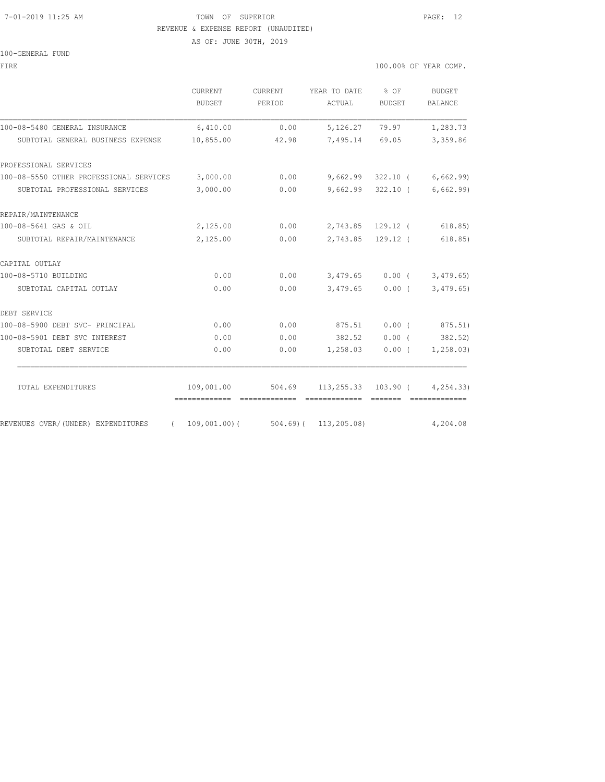### 7-01-2019 11:25 AM TOWN OF SUPERIOR PAGE: 12 REVENUE & EXPENSE REPORT (UNAUDITED)

AS OF: JUNE 30TH, 2019

100-GENERAL FUND

FIRE THE SERIES AND THE SERIES OF THE SERIES OF THE SERIES OF THE SERIES OF THE SERIES OF THE SERIES OF THE SERIES OF THE SERIES OF THE SERIES OF THE SERIES OF THE SERIES OF THE SERIES OF THE SERIES OF THE SERIES OF THE SE

|                                                                     | <b>CURRENT</b><br><b>BUDGET</b> | CURRENT<br>PERIOD                               | YEAR TO DATE<br>ACTUAL                  | $8$ OF<br>BUDGET  | BUDGET<br>BALANCE            |
|---------------------------------------------------------------------|---------------------------------|-------------------------------------------------|-----------------------------------------|-------------------|------------------------------|
| 100-08-5480 GENERAL INSURANCE                                       | 6,410.00                        | 0.00                                            | 5,126.27                                | 79.97             | 1,283.73                     |
| SUBTOTAL GENERAL BUSINESS EXPENSE                                   | 10,855.00                       | 42.98                                           |                                         | 7,495.14 69.05    | 3,359.86                     |
| PROFESSIONAL SERVICES                                               |                                 |                                                 |                                         |                   |                              |
| 100-08-5550 OTHER PROFESSIONAL SERVICES 3,000.00                    |                                 | 0.00                                            |                                         |                   | $9,662.99$ 322.10 (6,662.99) |
| SUBTOTAL PROFESSIONAL SERVICES                                      | 3,000.00                        | 0.00                                            |                                         |                   | $9,662.99$ 322.10 (6,662.99) |
| REPAIR/MAINTENANCE                                                  |                                 |                                                 |                                         |                   |                              |
| 100-08-5641 GAS & OIL                                               | 2,125.00                        |                                                 | $0.00$ 2,743.85 129.12 (                |                   | 618.85)                      |
| SUBTOTAL REPAIR/MAINTENANCE                                         | 2,125.00                        | 0.00                                            |                                         | 2,743.85 129.12 ( | 618.85)                      |
| CAPITAL OUTLAY                                                      |                                 |                                                 |                                         |                   |                              |
| 100-08-5710 BUILDING                                                | 0.00                            |                                                 | $0.00$ $3,479.65$ $0.00$ ( $3,479.65$ ) |                   |                              |
| SUBTOTAL CAPITAL OUTLAY                                             | 0.00                            | 0.00                                            |                                         | $3,479.65$ 0.00 ( | 3,479.65)                    |
| DEBT SERVICE                                                        |                                 |                                                 |                                         |                   |                              |
| 100-08-5900 DEBT SVC- PRINCIPAL                                     | 0.00                            | 0.00                                            | 875.51                                  |                   | $0.00$ ( $875.51$ )          |
| 100-08-5901 DEBT SVC INTEREST                                       | 0.00                            | 0.00                                            | 382.52                                  | $0.00$ (          | 382.52)                      |
| SUBTOTAL DEBT SERVICE                                               | 0.00                            | 0.00                                            | 1,258.03                                |                   | $0.00$ ( $1,258.03$ )        |
| TOTAL EXPENDITURES                                                  |                                 | 109,001.00 504.69 113,255.33 103.90 ( 4,254.33) |                                         |                   |                              |
| REVENUES OVER/(UNDER) EXPENDITURES (109,001.00)(504.69)(113,205.08) |                                 |                                                 |                                         |                   | 4,204.08                     |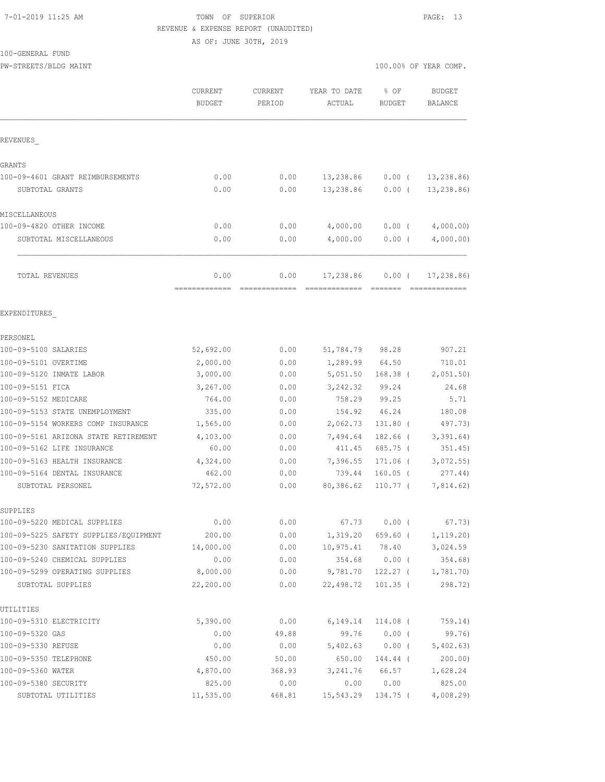#### 7-01-2019 11:25 AM TOWN OF SUPERIOR PAGE: 13 REVENUE & EXPENSE REPORT (UNAUDITED)

AS OF: JUNE 30TH, 2019

| 100-GENERAL FUND |  |
|------------------|--|
|------------------|--|

PW-STREETS/BLDG MAINT 100.00% OF YEAR COMP.

|                                       | <b>CURRENT</b><br><b>BUDGET</b> | <b>CURRENT</b><br>PERIOD | YEAR TO DATE<br>ACTUAL | % OF<br><b>BUDGET</b> | <b>BUDGET</b><br>BALANCE |
|---------------------------------------|---------------------------------|--------------------------|------------------------|-----------------------|--------------------------|
| REVENUES                              |                                 |                          |                        |                       |                          |
| GRANTS                                |                                 |                          |                        |                       |                          |
| 100-09-4601 GRANT REIMBURSEMENTS      | 0.00                            | 0.00                     | 13,238.86              | $0.00$ (              | 13,238.86)               |
| SUBTOTAL GRANTS                       | 0.00                            | 0.00                     | 13,238.86              | $0.00$ (              | 13, 238.86               |
| MISCELLANEOUS                         |                                 |                          |                        |                       |                          |
| 100-09-4820 OTHER INCOME              | 0.00                            | 0.00                     | 4,000.00               | $0.00$ (              | 4,000.00)                |
| SUBTOTAL MISCELLANEOUS                | 0.00                            | 0.00                     | 4,000.00               | $0.00$ (              | 4,000.00)                |
| TOTAL REVENUES                        | 0.00<br>-------------           | 0.00                     | 17,238.86              | 0.00(                 | 17, 238.86               |
| EXPENDITURES                          |                                 |                          |                        |                       |                          |
| PERSONEL                              |                                 |                          |                        |                       |                          |
| 100-09-5100 SALARIES                  | 52,692.00                       | 0.00                     | 51,784.79              | 98.28                 | 907.21                   |
| 100-09-5101 OVERTIME                  | 2,000.00                        | 0.00                     | 1,289.99               | 64.50                 | 710.01                   |
| 100-09-5120 INMATE LABOR              | 3,000.00                        | 0.00                     | 5,051.50               | $168.38$ (            | 2,051.50)                |
| 100-09-5151 FICA                      | 3,267.00                        | 0.00                     | 3,242.32               | 99.24                 | 24.68                    |
| 100-09-5152 MEDICARE                  | 764.00                          | 0.00                     | 758.29                 | 99.25                 | 5.71                     |
| 100-09-5153 STATE UNEMPLOYMENT        | 335.00                          | 0.00                     | 154.92                 | 46.24                 | 180.08                   |
| 100-09-5154 WORKERS COMP INSURANCE    | 1,565.00                        | 0.00                     | 2,062.73               | $131.80$ (            | 497.73)                  |
| 100-09-5161 ARIZONA STATE RETIREMENT  | 4,103.00                        | 0.00                     | 7,494.64               | 182.66 (              | 3,391.64)                |
| 100-09-5162 LIFE INSURANCE            | 60.00                           | 0.00                     | 411.45                 | 685.75 (              | 351.45)                  |
| 100-09-5163 HEALTH INSURANCE          | 4,324.00                        | 0.00                     | 7,396.55               | 171.06 (              | 3,072.55                 |
| 100-09-5164 DENTAL INSURANCE          | 462.00                          | 0.00                     | 739.44                 | $160.05$ (            | 277.44)                  |
| SUBTOTAL PERSONEL                     | 72,572.00                       | 0.00                     | 80,386.62              | $110.77$ (            | 7,814.62)                |
| SUPPLIES                              |                                 |                          |                        |                       |                          |
| 100-09-5220 MEDICAL SUPPLIES          | 0.00                            | 0.00                     | 67.73                  | $0.00$ (              | 67.73)                   |
| 100-09-5225 SAFETY SUPPLIES/EQUIPMENT | 200.00                          | 0.00                     | 1,319.20               | $659.60$ (            | 1, 119.20                |
| 100-09-5230 SANITATION SUPPLIES       | 14,000.00                       | 0.00                     | 10,975.41              | 78.40                 | 3,024.59                 |
| 100-09-5240 CHEMICAL SUPPLIES         | 0.00                            | 0.00                     | 354.68                 | $0.00$ (              | 354.68)                  |
| 100-09-5299 OPERATING SUPPLIES        | 8,000.00                        | 0.00                     | 9,781.70               | 122.27 (              | 1,781.70                 |
| SUBTOTAL SUPPLIES                     | 22,200.00                       | 0.00                     | 22,498.72              | $101.35$ (            | 298.72)                  |
| UTILITIES                             |                                 |                          |                        |                       |                          |
| 100-09-5310 ELECTRICITY               | 5,390.00                        | 0.00                     | 6,149.14               | 114.08 (              | 759.14)                  |
| 100-09-5320 GAS                       | 0.00                            | 49.88                    | 99.76                  | $0.00$ (              | 99.76)                   |
| 100-09-5330 REFUSE                    | 0.00                            | 0.00                     | 5,402.63               | $0.00$ (              | 5,402.63)                |
| 100-09-5350 TELEPHONE                 | 450.00                          | 50.00                    | 650.00                 | 144.44 (              | $200.00$ )               |
| 100-09-5360 WATER                     | 4,870.00                        | 368.93                   | 3,241.76               | 66.57                 | 1,628.24                 |
| 100-09-5380 SECURITY                  | 825.00                          | 0.00                     | 0.00                   | 0.00                  | 825.00                   |
| SUBTOTAL UTILITIES                    | 11,535.00                       | 468.81                   | 15,543.29              | 134.75 (              | 4,008.29                 |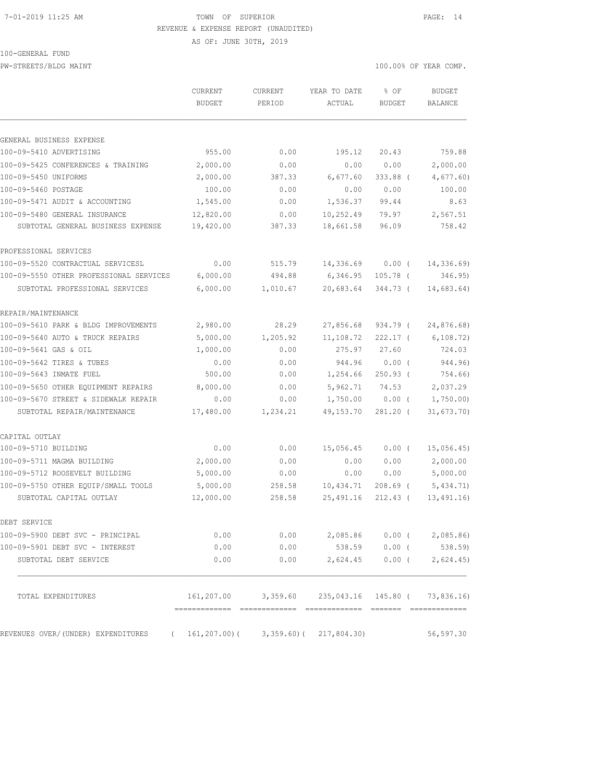#### 7-01-2019 11:25 AM TOWN OF SUPERIOR PAGE: 14 REVENUE & EXPENSE REPORT (UNAUDITED)

AS OF: JUNE 30TH, 2019

100-GENERAL FUND

PW-STREETS/BLDG MAINT 100.00% OF YEAR COMP.

|                                                                       | <b>CURRENT</b><br><b>BUDGET</b> | <b>CURRENT</b><br>PERIOD                               | YEAR TO DATE<br>ACTUAL | % OF<br><b>BUDGET</b> | <b>BUDGET</b><br><b>BALANCE</b> |
|-----------------------------------------------------------------------|---------------------------------|--------------------------------------------------------|------------------------|-----------------------|---------------------------------|
|                                                                       |                                 |                                                        |                        |                       |                                 |
| GENERAL BUSINESS EXPENSE<br>100-09-5410 ADVERTISING                   | 955.00                          | 0.00                                                   | 195.12                 | 20.43                 | 759.88                          |
|                                                                       |                                 |                                                        |                        |                       |                                 |
| 100-09-5425 CONFERENCES & TRAINING<br>100-09-5450 UNIFORMS            | 2,000.00<br>2,000.00            | 0.00<br>387.33                                         | 0.00<br>6,677.60       | 0.00<br>333.88 (      | 2,000.00                        |
|                                                                       |                                 |                                                        |                        |                       | 4,677.60)                       |
| 100-09-5460 POSTAGE<br>100-09-5471 AUDIT & ACCOUNTING                 | 100.00<br>1,545.00              | 0.00                                                   | 0.00                   | 0.00                  | 100.00                          |
|                                                                       |                                 | 0.00                                                   | 1,536.37               | 99.44                 | 8.63                            |
| 100-09-5480 GENERAL INSURANCE                                         | 12,820.00                       | 0.00                                                   | 10,252.49              | 79.97                 | 2,567.51                        |
| SUBTOTAL GENERAL BUSINESS EXPENSE                                     | 19,420.00                       | 387.33                                                 | 18,661.58              | 96.09                 | 758.42                          |
| PROFESSIONAL SERVICES                                                 |                                 |                                                        |                        |                       |                                 |
| 100-09-5520 CONTRACTUAL SERVICESL                                     | 0.00                            | 515.79                                                 | 14,336.69              | $0.00$ (              | 14,336.69)                      |
| 100-09-5550 OTHER PROFESSIONAL SERVICES                               | 6,000.00                        | 494.88                                                 | 6,346.95               | $105.78$ (            | 346.95)                         |
| SUBTOTAL PROFESSIONAL SERVICES                                        | 6,000.00                        | 1,010.67                                               | 20,683.64              | 344.73 (              | 14,683.64)                      |
| REPAIR/MAINTENANCE                                                    |                                 |                                                        |                        |                       |                                 |
| 100-09-5610 PARK & BLDG IMPROVEMENTS                                  | 2,980.00                        | 28.29                                                  | 27,856.68              | 934.79 (              | 24,876.68)                      |
| 100-09-5640 AUTO & TRUCK REPAIRS                                      | 5,000.00                        | 1,205.92                                               | 11,108.72              | $222.17$ (            | 6, 108.72)                      |
| 100-09-5641 GAS & OIL                                                 | 1,000.00                        | 0.00                                                   | 275.97                 | 27.60                 | 724.03                          |
| 100-09-5642 TIRES & TUBES                                             | 0.00                            | 0.00                                                   | 944.96                 | $0.00$ (              | 944.96)                         |
| 100-09-5643 INMATE FUEL                                               | 500.00                          | 0.00                                                   | 1,254.66               | $250.93$ (            | 754.66)                         |
| 100-09-5650 OTHER EQUIPMENT REPAIRS                                   | 8,000.00                        | 0.00                                                   | 5,962.71               | 74.53                 | 2,037.29                        |
| 100-09-5670 STREET & SIDEWALK REPAIR                                  | 0.00                            | 0.00                                                   | 1,750.00               | $0.00$ (              | 1,750.00                        |
| SUBTOTAL REPAIR/MAINTENANCE                                           | 17,480.00                       | 1,234.21                                               | 49, 153. 70            | $281.20$ (            | 31,673.70)                      |
| CAPITAL OUTLAY                                                        |                                 |                                                        |                        |                       |                                 |
| 100-09-5710 BUILDING                                                  | 0.00                            | 0.00                                                   | 15,056.45              | $0.00$ (              | 15,056.45)                      |
| 100-09-5711 MAGMA BUILDING                                            | 2,000.00                        | 0.00                                                   | 0.00                   | 0.00                  | 2,000.00                        |
| 100-09-5712 ROOSEVELT BUILDING                                        | 5,000.00                        | 0.00                                                   | 0.00                   | 0.00                  | 5,000.00                        |
| 100-09-5750 OTHER EQUIP/SMALL TOOLS                                   | 5,000.00                        | 258.58                                                 | 10,434.71              | $208.69$ (            | 5,434.71                        |
| SUBTOTAL CAPITAL OUTLAY                                               | 12,000.00                       | 258.58                                                 | 25,491.16              | $212.43$ (            | 13,491.16                       |
| DEBT SERVICE                                                          |                                 |                                                        |                        |                       |                                 |
| 100-09-5900 DEBT SVC - PRINCIPAL                                      | 0.00                            |                                                        | $0.00$ 2,085.86        |                       | $0.00$ ( 2,085.86)              |
| 100-09-5901 DEBT SVC - INTEREST                                       | 0.00                            | 0.00                                                   | 538.59                 |                       | $0.00$ ( 538.59)                |
| SUBTOTAL DEBT SERVICE                                                 | 0.00                            | 0.00                                                   | 2,624.45               |                       | $0.00$ ( 2,624.45)              |
| TOTAL EXPENDITURES                                                    |                                 | 161, 207.00 3, 359.60 235, 043.16 145.80 ( 73, 836.16) |                        |                       |                                 |
| REVENUES OVER/(UNDER) EXPENDITURES (161,207.00)(3,359.60)(217,804.30) |                                 |                                                        |                        |                       | 56,597.30                       |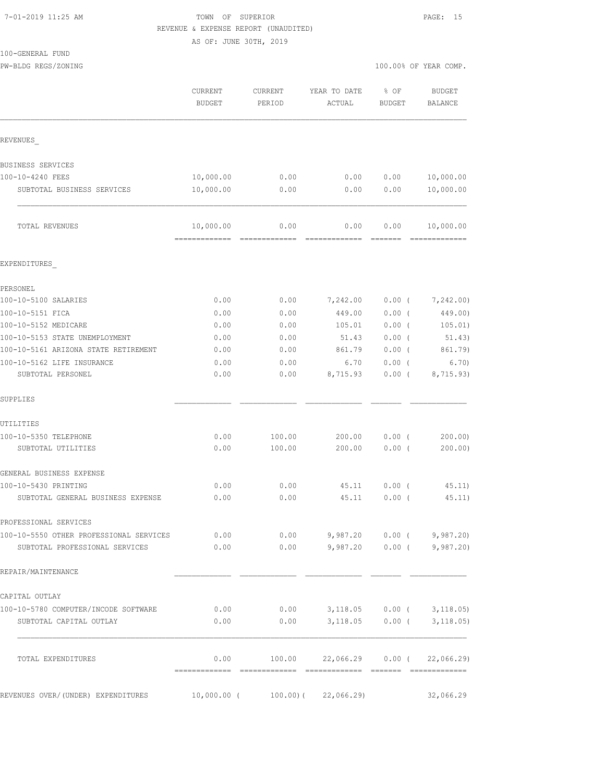## TOWN OF SUPERIOR **11:25 AM TOWN OF SUPERIOR** REVENUE & EXPENSE REPORT (UNAUDITED)

AS OF: JUNE 30TH, 2019

| 100-GENERAL FUND    |                       |
|---------------------|-----------------------|
| PW-BLDG REGS/ZONING | 100.00% OF YEAR COMP. |

|                                                                                 | CURRENT<br><b>BUDGET</b>    | <b>CURRENT</b><br>PERIOD | YEAR TO DATE<br>ACTUAL                       | % OF<br><b>BUDGET</b> | <b>BUDGET</b><br><b>BALANCE</b> |
|---------------------------------------------------------------------------------|-----------------------------|--------------------------|----------------------------------------------|-----------------------|---------------------------------|
| REVENUES                                                                        |                             |                          |                                              |                       |                                 |
| BUSINESS SERVICES                                                               |                             |                          |                                              |                       |                                 |
| 100-10-4240 FEES                                                                | 10,000.00                   | 0.00                     | 0.00                                         | 0.00                  | 10,000.00                       |
| SUBTOTAL BUSINESS SERVICES                                                      | 10,000.00                   | 0.00                     | 0.00                                         | 0.00                  | 10,000.00                       |
| TOTAL REVENUES                                                                  | 10,000.00<br>, ------------ | 0.00                     | 0.00                                         | 0.00                  | 10,000.00<br>=============      |
| EXPENDITURES                                                                    |                             |                          |                                              |                       |                                 |
| PERSONEL                                                                        |                             |                          |                                              |                       |                                 |
| 100-10-5100 SALARIES                                                            | 0.00                        | 0.00                     | 7,242.00                                     | $0.00$ (              | 7,242.00)                       |
| 100-10-5151 FICA                                                                | 0.00                        | 0.00                     | 449.00                                       | $0.00$ (              | 449.00)                         |
| 100-10-5152 MEDICARE                                                            | 0.00                        | 0.00                     | 105.01                                       | $0.00$ (              | 105.01)                         |
| 100-10-5153 STATE UNEMPLOYMENT                                                  | 0.00                        | 0.00                     | 51.43                                        | $0.00$ (              | 51.43)                          |
| 100-10-5161 ARIZONA STATE RETIREMENT                                            | 0.00                        | 0.00                     | 861.79                                       | $0.00$ (              | 861.79)                         |
| 100-10-5162 LIFE INSURANCE                                                      | 0.00                        | 0.00                     | 6.70                                         | $0.00$ (              | 6.70)                           |
| SUBTOTAL PERSONEL                                                               | 0.00                        | 0.00                     | 8,715.93                                     | $0.00$ (              | 8,715.93)                       |
| SUPPLIES                                                                        |                             |                          |                                              |                       |                                 |
| UTILITIES                                                                       |                             |                          |                                              |                       |                                 |
| 100-10-5350 TELEPHONE                                                           | 0.00                        | 100.00                   | 200.00                                       | $0.00$ (              | 200.00                          |
| SUBTOTAL UTILITIES                                                              | 0.00                        | 100.00                   | 200.00                                       | 0.00(                 | 200.00)                         |
| GENERAL BUSINESS EXPENSE                                                        |                             |                          |                                              |                       |                                 |
| 100-10-5430 PRINTING                                                            | 0.00                        | 0.00                     | 45.11                                        | $0.00$ (              | 45.11)                          |
| SUBTOTAL GENERAL BUSINESS EXPENSE                                               | 0.00                        | 0.00                     | 45.11                                        | 0.00(                 | 45.11)                          |
| PROFESSIONAL SERVICES                                                           |                             |                          |                                              |                       |                                 |
| 100-10-5550 OTHER PROFESSIONAL SERVICES 6.00 0.00 0.00 9,987.20 0.00 (3,987.20) |                             |                          |                                              |                       |                                 |
| SUBTOTAL PROFESSIONAL SERVICES                                                  |                             |                          | $0.00$ $0.00$ $9,987.20$ $0.00$ $(9,987.20)$ |                       |                                 |
| REPAIR/MAINTENANCE                                                              |                             |                          |                                              |                       |                                 |
| CAPITAL OUTLAY                                                                  |                             |                          |                                              |                       |                                 |
| 100-10-5780 COMPUTER/INCODE SOFTWARE                                            | 0.00                        |                          | $0.00$ $3,118.05$ $0.00$ ( $3,118.05$ )      |                       |                                 |
| SUBTOTAL CAPITAL OUTLAY                                                         | 0.00                        | 0.00                     | $3,118.05$ 0.00 ( $3,118.05$ )               |                       |                                 |
| TOTAL EXPENDITURES                                                              | 0.00                        |                          | $100.00$ $22,066.29$ $0.00$ ( $22,066.29$ )  |                       |                                 |
| REVENUES OVER/(UNDER) EXPENDITURES 10,000.00 (100.00) (22,066.29)               |                             |                          |                                              |                       | 32,066.29                       |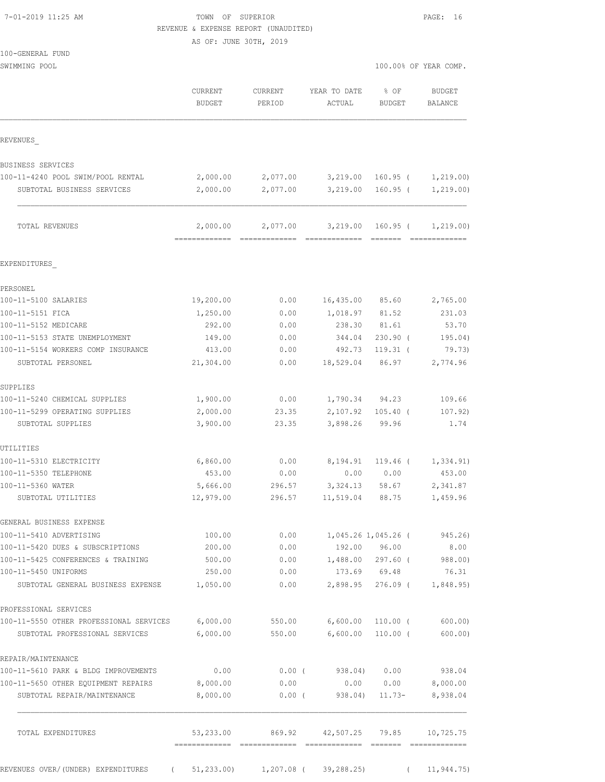| 7-01-2019 11:25 AM |  |
|--------------------|--|
|                    |  |

## TOWN OF SUPERIOR **1000** PAGE: 16 REVENUE & EXPENSE REPORT (UNAUDITED)

AS OF: JUNE 30TH, 2019

100-GENERAL FUND

SWIMMING POOL

| 100.00% OF YEAR COMP. |  |
|-----------------------|--|
|-----------------------|--|

|                                                                           | CURRENT<br><b>BUDGET</b>  | <b>CURRENT</b><br>PERIOD               | YEAR TO DATE<br>ACTUAL | % OF<br><b>BUDGET</b>    | BALANCE         | <b>BUDGET</b>     |
|---------------------------------------------------------------------------|---------------------------|----------------------------------------|------------------------|--------------------------|-----------------|-------------------|
| REVENUES                                                                  |                           |                                        |                        |                          |                 |                   |
| BUSINESS SERVICES                                                         |                           |                                        |                        |                          |                 |                   |
| 100-11-4240 POOL SWIM/POOL RENTAL                                         | 2,000.00                  | 2,077.00                               | 3,219.00               | $160.95$ (               |                 | 1,219.00)         |
| SUBTOTAL BUSINESS SERVICES                                                | 2,000.00                  | 2,077.00                               | 3,219.00               | $160.95$ (               |                 | 1, 219.00)        |
| TOTAL REVENUES                                                            | 2,000.00<br>============= | 2,077.00                               | 3,219.00               | 160.95 (                 |                 | 1, 219.00)        |
| EXPENDITURES                                                              |                           |                                        |                        |                          |                 |                   |
| PERSONEL                                                                  |                           |                                        |                        |                          |                 |                   |
| 100-11-5100 SALARIES                                                      | 19,200.00                 | 0.00                                   | 16,435.00              | 85.60                    |                 | 2,765.00          |
| 100-11-5151 FICA                                                          | 1,250.00                  | 0.00                                   | 1,018.97               | 81.52                    |                 | 231.03            |
| 100-11-5152 MEDICARE                                                      | 292.00                    | 0.00                                   | 238.30                 | 81.61                    |                 | 53.70             |
| 100-11-5153 STATE UNEMPLOYMENT                                            | 149.00                    | 0.00                                   | 344.04                 | $230.90$ (               |                 | 195.04)           |
| 100-11-5154 WORKERS COMP INSURANCE                                        | 413.00                    | 0.00                                   | 492.73                 | $119.31$ (               |                 | 79.73)            |
| SUBTOTAL PERSONEL                                                         | 21,304.00                 | 0.00                                   | 18,529.04              | 86.97                    |                 | 2,774.96          |
| SUPPLIES                                                                  |                           |                                        |                        |                          |                 |                   |
| 100-11-5240 CHEMICAL SUPPLIES                                             | 1,900.00                  | 0.00                                   | 1,790.34               | 94.23                    |                 | 109.66            |
| 100-11-5299 OPERATING SUPPLIES<br>SUBTOTAL SUPPLIES                       | 2,000.00<br>3,900.00      | 23.35<br>23.35                         | 2,107.92<br>3,898.26   | $105.40$ (<br>99.96      |                 | 107.92)<br>1.74   |
| UTILITIES                                                                 |                           |                                        |                        |                          |                 |                   |
| 100-11-5310 ELECTRICITY                                                   | 6,860.00                  | 0.00                                   | 8,194.91               | 119.46 (                 |                 | 1,334.91)         |
| 100-11-5350 TELEPHONE                                                     | 453.00                    | 0.00                                   | 0.00                   | 0.00                     |                 | 453.00            |
| 100-11-5360 WATER                                                         | 5,666.00                  | 296.57                                 | 3,324.13               | 58.67                    |                 | 2,341.87          |
| SUBTOTAL UTILITIES                                                        | 12,979.00                 | 296.57                                 | 11,519.04              | 88.75                    |                 | 1,459.96          |
| GENERAL BUSINESS EXPENSE                                                  |                           |                                        |                        |                          |                 |                   |
| 100-11-5410 ADVERTISING                                                   | 100.00                    | 0.00                                   |                        | 1,045.26 1,045.26 (      |                 | 945.26)           |
| 100-11-5420 DUES & SUBSCRIPTIONS                                          | 200.00                    | 0.00                                   |                        | 192.00 96.00             |                 | 8.00              |
| 100-11-5425 CONFERENCES & TRAINING                                        | 500.00                    | 0.00                                   |                        | 1,488.00 297.60 (        |                 | 988.00)           |
| 100-11-5450 UNIFORMS                                                      | 250.00                    | 0.00                                   |                        | 173.69 69.48             |                 | 76.31             |
| SUBTOTAL GENERAL BUSINESS EXPENSE                                         | 1,050.00                  | 0.00                                   | 2,898.95               | 276.09 (                 |                 | 1,848.95          |
| PROFESSIONAL SERVICES                                                     |                           |                                        |                        |                          |                 |                   |
| 100-11-5550 OTHER PROFESSIONAL SERVICES<br>SUBTOTAL PROFESSIONAL SERVICES | 6,000.00<br>6,000.00      | 550.00<br>550.00                       | 6,600.00<br>6,600.00   | $110.00$ (<br>$110.00$ ( |                 | 600.00<br>600.00) |
| REPAIR/MAINTENANCE                                                        |                           |                                        |                        |                          |                 |                   |
| 100-11-5610 PARK & BLDG IMPROVEMENTS                                      | 0.00                      |                                        | $0.00$ (938.04) 0.00   |                          |                 | 938.04            |
| 100-11-5650 OTHER EQUIPMENT REPAIRS                                       | 8,000.00                  | 0.00                                   |                        | 0.00 0.00                |                 | 8,000.00          |
| SUBTOTAL REPAIR/MAINTENANCE                                               | 8,000.00                  | $0.00$ (                               | 938.04)                | $11.73-$                 |                 | 8,938.04          |
| TOTAL EXPENDITURES                                                        | 53,233.00                 | 869.92                                 | 42,507.25 79.85        |                          | - ============= | 10,725.75         |
| REVENUES OVER/ (UNDER) EXPENDITURES                                       | $\sqrt{2}$                | $51,233.00$ $1,207.08$ ( $39,288.25$ ) |                        |                          | $\sqrt{2}$      | 11, 944.75)       |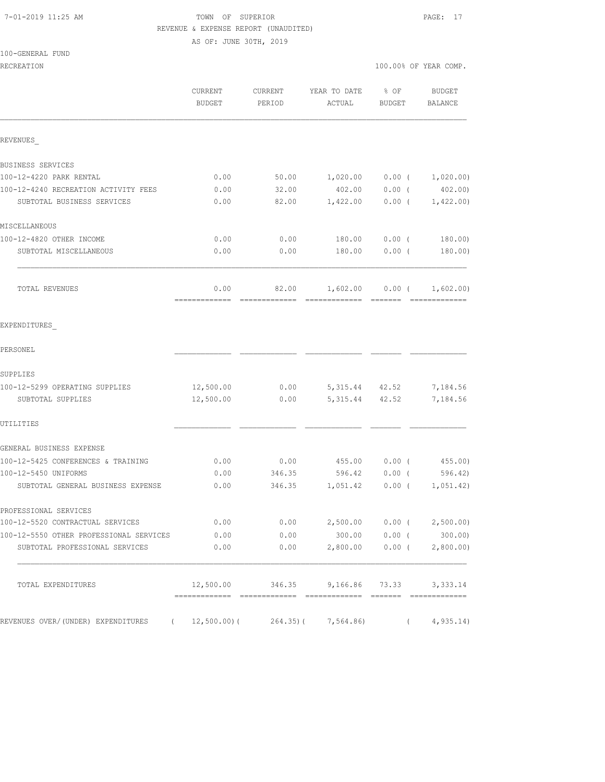## 7-01-2019 11:25 AM TOWN OF SUPERIOR PAGE: 17 REVENUE & EXPENSE REPORT (UNAUDITED)

AS OF: JUNE 30TH, 2019

### 100-GENERAL FUND

| RECREATION                                                                |                          |                   |                        |                      | 100.00% OF YEAR COMP. |
|---------------------------------------------------------------------------|--------------------------|-------------------|------------------------|----------------------|-----------------------|
|                                                                           | <b>CURRENT</b><br>BUDGET | CURRENT<br>PERIOD | YEAR TO DATE<br>ACTUAL | % OF<br>BUDGET       | BUDGET<br>BALANCE     |
| REVENUES                                                                  |                          |                   |                        |                      |                       |
| BUSINESS SERVICES                                                         |                          |                   |                        |                      |                       |
| 100-12-4220 PARK RENTAL                                                   | 0.00                     | 50.00             | 1,020.00               |                      | $0.00$ ( $1,020.00$ ) |
| 100-12-4240 RECREATION ACTIVITY FEES                                      | 0.00                     | 32.00             | 402.00                 | $0.00$ (             | 402.00)               |
| SUBTOTAL BUSINESS SERVICES                                                | 0.00                     | 82.00             | 1,422.00               | $0.00$ (             | 1,422.00)             |
| MISCELLANEOUS                                                             |                          |                   |                        |                      |                       |
| 100-12-4820 OTHER INCOME                                                  | 0.00                     | 0.00              | 180.00                 | $0.00$ (             | 180.00)               |
| SUBTOTAL MISCELLANEOUS                                                    | 0.00                     | 0.00              | 180.00                 | $0.00$ (             | 180.00)               |
| TOTAL REVENUES                                                            | 0.00                     | 82.00             |                        | $1,602.00$ 0.00 (    | 1,602.00)             |
| EXPENDITURES                                                              |                          |                   |                        |                      |                       |
| PERSONEL                                                                  |                          |                   |                        |                      |                       |
| SUPPLIES                                                                  |                          |                   |                        |                      |                       |
| 100-12-5299 OPERATING SUPPLIES                                            | 12,500.00                | 0.00              | 5, 315.44 42.52        |                      | 7,184.56              |
| SUBTOTAL SUPPLIES                                                         | 12,500.00                | 0.00              | 5, 315.44 42.52        |                      | 7,184.56              |
| UTILITIES                                                                 |                          |                   |                        |                      |                       |
| GENERAL BUSINESS EXPENSE                                                  |                          |                   |                        |                      |                       |
| 100-12-5425 CONFERENCES & TRAINING                                        | 0.00                     |                   | $0.00$ 455.00          | $0.00$ (             | 455.00)               |
| 100-12-5450 UNIFORMS                                                      | 0.00                     | 346.35            |                        | 596.42 0.00 (        | 596.42)               |
| SUBTOTAL GENERAL BUSINESS EXPENSE                                         | 0.00                     | 346.35            | 1,051.42               | $0.00$ (             | 1,051.42)             |
| PROFESSIONAL SERVICES                                                     |                          |                   |                        |                      |                       |
| 100-12-5520 CONTRACTUAL SERVICES                                          | 0.00                     | 0.00              |                        | 2,500.00 0.00 (      | 2,500.00)             |
| 100-12-5550 OTHER PROFESSIONAL SERVICES<br>SUBTOTAL PROFESSIONAL SERVICES | 0.00<br>0.00             | 0.00<br>0.00      | 300.00<br>2,800.00     | $0.00$ (<br>$0.00$ ( | 300.00)<br>2,800.00)  |
|                                                                           |                          |                   |                        |                      |                       |
| TOTAL EXPENDITURES                                                        | 12,500.00                | 346.35            |                        | 9,166.86 73.33       | 3,333.14              |
| REVENUES OVER/(UNDER) EXPENDITURES (12,500.00)(264.35)(                   |                          |                   | 7,564.86)              | $\left($             | 4, 935.14)            |
|                                                                           |                          |                   |                        |                      |                       |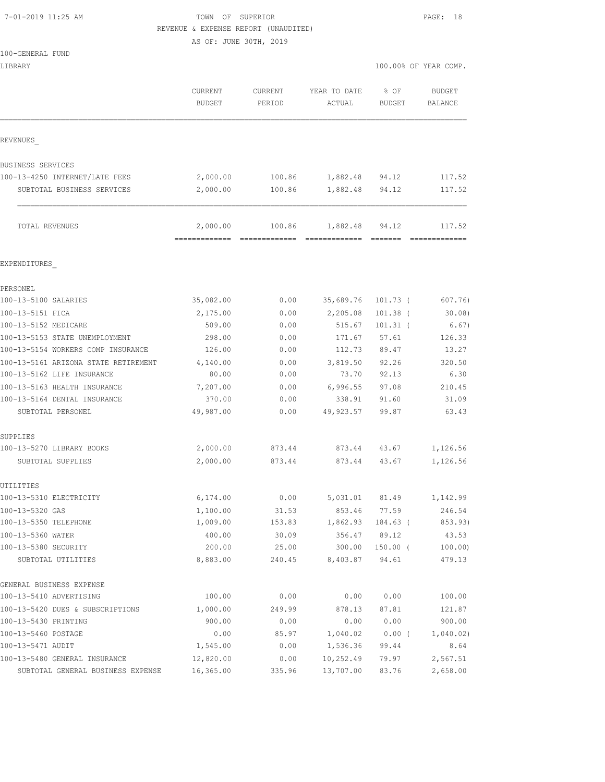### 7-01-2019 11:25 AM TOWN OF SUPERIOR PAGE: 18 REVENUE & EXPENSE REPORT (UNAUDITED)

|                                                | AS OF: JUNE 30TH, 2019                       |                  |                           |                                                                      |                         |  |
|------------------------------------------------|----------------------------------------------|------------------|---------------------------|----------------------------------------------------------------------|-------------------------|--|
| 100-GENERAL FUND<br>LIBRARY                    |                                              |                  |                           | 100.00% OF YEAR COMP.                                                |                         |  |
|                                                | CURRENT                                      | CURRENT          | YEAR TO DATE              | $8$ OF                                                               | <b>BUDGET</b>           |  |
|                                                | <b>BUDGET</b>                                | PERIOD           | ACTUAL                    | <b>BUDGET</b>                                                        | BALANCE                 |  |
| REVENUES                                       |                                              |                  |                           |                                                                      |                         |  |
| <b>BUSINESS SERVICES</b>                       |                                              |                  |                           |                                                                      |                         |  |
| 100-13-4250 INTERNET/LATE FEES                 | 2,000.00                                     | 100.86           | 1,882.48 94.12            |                                                                      | 117.52                  |  |
| SUBTOTAL BUSINESS SERVICES                     | 2,000.00                                     | 100.86           | 1,882.48 94.12            |                                                                      | 117.52                  |  |
| TOTAL REVENUES                                 | 2,000.00<br>================================ | 100.86           | 1,882.48<br>------------- | 94.12<br>$\begin{array}{cccccc} = & = & = & = & = & = & \end{array}$ | 117.52<br>------------- |  |
| EXPENDITURES                                   |                                              |                  |                           |                                                                      |                         |  |
| PERSONEL                                       |                                              |                  |                           |                                                                      |                         |  |
| 100-13-5100 SALARIES                           | 35,082.00                                    | 0.00             | 35,689.76                 | $101.73$ (                                                           | 607.76)                 |  |
| 100-13-5151 FICA                               | 2,175.00                                     | 0.00             | 2,205.08                  | $101.38$ (                                                           | 30.08                   |  |
| 100-13-5152 MEDICARE                           | 509.00                                       | 0.00             | 515.67                    | $101.31$ (                                                           | 6.67)                   |  |
| 100-13-5153 STATE UNEMPLOYMENT                 | 298.00                                       | 0.00             | 171.67                    | 57.61                                                                | 126.33                  |  |
| 100-13-5154 WORKERS COMP INSURANCE             | 126.00                                       | 0.00             |                           | 112.73 89.47                                                         | 13.27                   |  |
| 100-13-5161 ARIZONA STATE RETIREMENT           | 4,140.00                                     | 0.00             | 3,819.50 92.26            |                                                                      | 320.50                  |  |
| 100-13-5162 LIFE INSURANCE                     | 80.00                                        | 0.00             | 73.70                     | 92.13                                                                | 6.30                    |  |
| 100-13-5163 HEALTH INSURANCE                   | 7,207.00                                     | 0.00             | 6,996.55                  | 97.08                                                                | 210.45                  |  |
| 100-13-5164 DENTAL INSURANCE                   | 370.00                                       | 0.00             | 338.91                    | 91.60                                                                | 31.09                   |  |
| SUBTOTAL PERSONEL                              | 49,987.00                                    | 0.00             | 49,923.57                 | 99.87                                                                | 63.43                   |  |
| SUPPLIES                                       |                                              |                  |                           |                                                                      |                         |  |
| 100-13-5270 LIBRARY BOOKS<br>SUBTOTAL SUPPLIES | 2,000.00<br>2,000.00                         | 873.44<br>873.44 | 873.44 43.67              | 873.44 43.67                                                         | 1,126.56<br>1,126.56    |  |
| UTILITIES                                      |                                              |                  |                           |                                                                      |                         |  |
| 100-13-5310 ELECTRICITY                        | 6,174.00                                     | 0.00             | 5,031.01                  | 81.49                                                                | 1,142.99                |  |
| 100-13-5320 GAS                                | 1,100.00                                     | 31.53            | 853.46                    | 77.59                                                                | 246.54                  |  |
| 100-13-5350 TELEPHONE                          | 1,009.00                                     | 153.83           | 1,862.93                  | 184.63 (                                                             | 853.93)                 |  |
| 100-13-5360 WATER                              | 400.00                                       | 30.09            | 356.47                    | 89.12                                                                | 43.53                   |  |
| 100-13-5380 SECURITY                           | 200.00                                       | 25.00            | 300.00                    | $150.00$ (                                                           | 100.00                  |  |
| SUBTOTAL UTILITIES                             | 8,883.00                                     | 240.45           | 8,403.87                  | 94.61                                                                | 479.13                  |  |
| GENERAL BUSINESS EXPENSE                       |                                              |                  |                           |                                                                      |                         |  |
| 100-13-5410 ADVERTISING                        | 100.00                                       | 0.00             | 0.00                      | 0.00                                                                 | 100.00                  |  |
| 100-13-5420 DUES & SUBSCRIPTIONS               | 1,000.00                                     | 249.99           | 878.13                    | 87.81                                                                | 121.87                  |  |
| 100-13-5430 PRINTING                           | 900.00                                       | 0.00             | 0.00                      | 0.00                                                                 | 900.00                  |  |
| 100-13-5460 POSTAGE                            | 0.00                                         | 85.97            | 1,040.02                  | $0.00$ (                                                             | 1,040.02)               |  |

100-13-5471 AUDIT 1,545.00 0.00 1,536.36 99.44 8.64 100-13-5480 GENERAL INSURANCE 12,820.00 0.00 10,252.49 79.97 2,567.51 SUBTOTAL GENERAL BUSINESS EXPENSE 16,365.00 335.96 13,707.00 83.76 2,658.00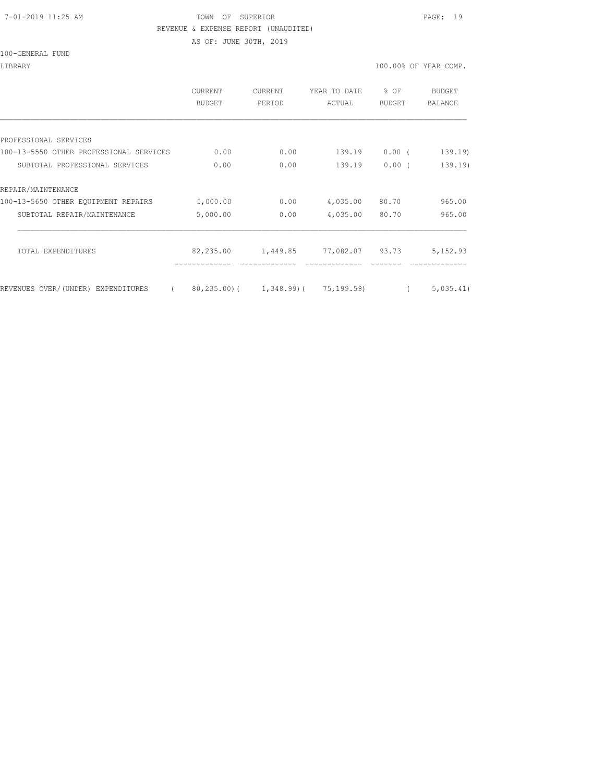#### 7-01-2019 11:25 AM TOWN OF SUPERIOR PAGE: 19 REVENUE & EXPENSE REPORT (UNAUDITED)

AS OF: JUNE 30TH, 2019

LIBRARY 100.00% OF YEAR COMP.

|                                                | <b>CURRENT</b><br><b>BUDGET</b> | CURRENT<br>PERIOD                          | YEAR TO DATE<br>ACTUAL | % OF<br><b>BUDGET</b> | BUDGET<br><b>BALANCE</b> |
|------------------------------------------------|---------------------------------|--------------------------------------------|------------------------|-----------------------|--------------------------|
|                                                |                                 |                                            |                        |                       |                          |
| PROFESSIONAL SERVICES                          |                                 |                                            |                        |                       |                          |
| 100-13-5550 OTHER PROFESSIONAL SERVICES        | 0.00                            | 0.00                                       | 139.19                 | $0.00$ (              | 139.19                   |
| SUBTOTAL PROFESSIONAL SERVICES                 | 0.00                            | 0.00                                       | 139.19                 | 0.00(                 | 139.19)                  |
| REPAIR/MAINTENANCE                             |                                 |                                            |                        |                       |                          |
| 100-13-5650 OTHER EQUIPMENT REPAIRS            | 5,000.00                        | 0.00                                       | 4,035.00               | 80.70                 | 965.00                   |
| SUBTOTAL REPAIR/MAINTENANCE                    | 5,000.00                        | 0.00                                       | 4,035.00               | 80.70                 | 965.00                   |
| TOTAL EXPENDITURES                             | 82,235.00                       | 1,449.85                                   | 77,082.07 93.73        |                       | 5,152.93                 |
| REVENUES OVER/(UNDER) EXPENDITURES<br>$\left($ |                                 | $80, 235, 00$ ( 1, 348, 99) ( 75, 199, 59) |                        |                       | 5,035.41)                |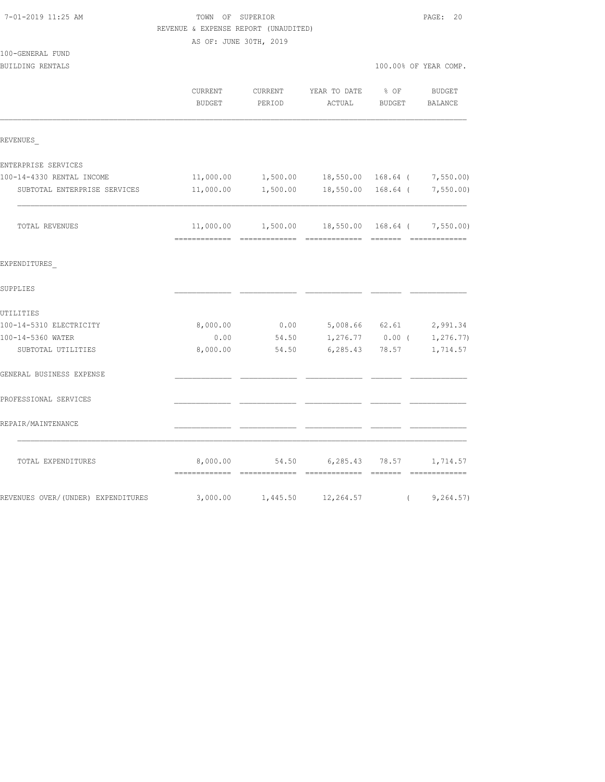|                                    | REVENUE & EXPENSE REPORT (UNAUDITED) |                    |                                                            |                       |                   |
|------------------------------------|--------------------------------------|--------------------|------------------------------------------------------------|-----------------------|-------------------|
|                                    | AS OF: JUNE 30TH, 2019               |                    |                                                            |                       |                   |
| 100-GENERAL FUND                   |                                      |                    |                                                            |                       |                   |
| BUILDING RENTALS                   |                                      |                    |                                                            | 100.00% OF YEAR COMP. |                   |
|                                    | CURRENT<br>BUDGET                    | CURRENT<br>PERIOD  | YEAR TO DATE<br>ACTUAL BUDGET                              | $8$ OF                | BUDGET<br>BALANCE |
| REVENUES                           |                                      |                    |                                                            |                       |                   |
| ENTERPRISE SERVICES                |                                      |                    |                                                            |                       |                   |
| 100-14-4330 RENTAL INCOME          |                                      |                    | 11,000.00 $1,500.00$ 18,550.00   168.64 $7,550.00$         |                       |                   |
| SUBTOTAL ENTERPRISE SERVICES       |                                      | 11,000.00 1,500.00 | 18,550.00 168.64 ( 7,550.00)                               |                       |                   |
| TOTAL REVENUES                     |                                      |                    | $11,000.00$ $1,500.00$ $18,550.00$ $168.64$ ( $7,550.00$ ) |                       |                   |
| EXPENDITURES                       |                                      |                    |                                                            |                       |                   |
| SUPPLIES                           |                                      |                    |                                                            |                       |                   |
| UTILITIES                          |                                      |                    |                                                            |                       |                   |
| 100-14-5310 ELECTRICITY            | 8,000.00                             | 0.00               | 5,008.66 62.61                                             |                       | 2,991.34          |
| 100-14-5360 WATER                  | 0.00                                 | 54.50              |                                                            | $1,276.77$ 0.00 (     | 1,276.77)         |
| SUBTOTAL UTILITIES                 | 8,000.00                             | 54.50              |                                                            | 6,285.43 78.57        | 1,714.57          |
| GENERAL BUSINESS EXPENSE           |                                      |                    |                                                            |                       |                   |
| PROFESSIONAL SERVICES              |                                      |                    |                                                            |                       |                   |
| REPAIR/MAINTENANCE                 |                                      |                    |                                                            |                       |                   |
| TOTAL EXPENDITURES                 |                                      |                    | 8,000.00 54.50 6,285.43 78.57 1,714.57                     |                       |                   |
| REVENUES OVER/(UNDER) EXPENDITURES |                                      | 3,000.00 1,445.50  | 12,264.57                                                  | $\sqrt{2}$            | 9,264.57)         |

7-01-2019 11:25 AM TOWN OF SUPERIOR PAGE: 20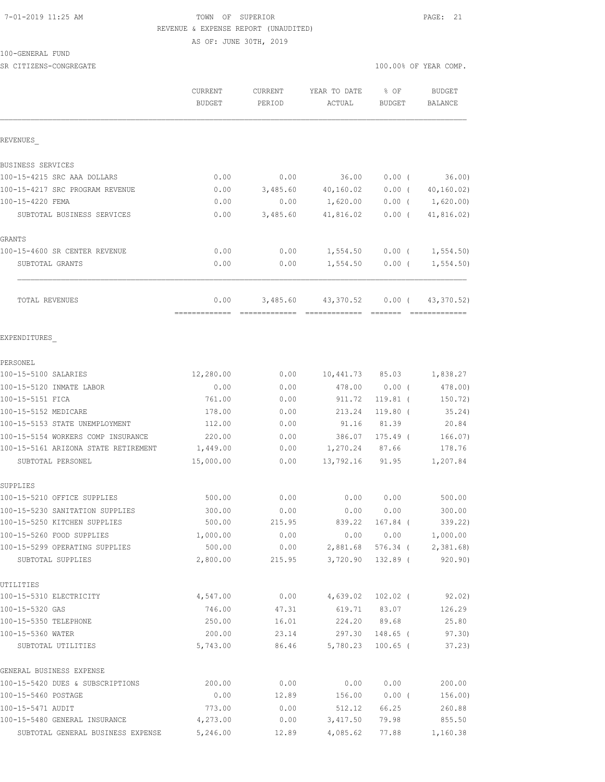## 7-01-2019 11:25 AM TOWN OF SUPERIOR PAGE: 21 REVENUE & EXPENSE REPORT (UNAUDITED) AS OF: JUNE 30TH, 2019

100-GENERAL FUND

SR CITIZENS-CONGREGATE SERVICES AND RESOLUTION OF TEAR COMP.

|                                         | CURRENT<br><b>BUDGET</b> | CURRENT<br>PERIOD | YEAR TO DATE<br>ACTUAL   | % OF<br><b>BUDGET</b>  | <b>BUDGET</b><br><b>BALANCE</b> |
|-----------------------------------------|--------------------------|-------------------|--------------------------|------------------------|---------------------------------|
| REVENUES                                |                          |                   |                          |                        |                                 |
| BUSINESS SERVICES                       |                          |                   |                          |                        |                                 |
| 100-15-4215 SRC AAA DOLLARS             | 0.00                     | 0.00              | 36.00                    | $0.00$ (               | 36.00                           |
| 100-15-4217 SRC PROGRAM REVENUE         | 0.00                     | 3,485.60          | 40, 160.02               | $0.00$ (               | 40, 160, 02)                    |
| 100-15-4220 FEMA                        | 0.00                     | 0.00              | 1,620.00                 |                        | $0.00$ ( $1,620.00$ )           |
| SUBTOTAL BUSINESS SERVICES              | 0.00                     | 3,485.60          | 41,816.02                | $0.00$ (               | 41,816.02)                      |
| GRANTS                                  |                          |                   |                          |                        |                                 |
| 100-15-4600 SR CENTER REVENUE           | 0.00                     | 0.00              | 1,554.50                 |                        | $0.00$ ( $1,554.50$ )           |
| SUBTOTAL GRANTS                         | 0.00                     | 0.00              | 1,554.50                 | $0.00$ (               | 1,554.50)                       |
| TOTAL REVENUES                          | 0.00<br>=============    | 3,485.60          | 43,370.52                | $0.00$ (               | 43, 370.52)                     |
| EXPENDITURES                            |                          |                   |                          |                        |                                 |
| PERSONEL                                |                          |                   |                          |                        |                                 |
| 100-15-5100 SALARIES                    | 12,280.00                | 0.00              | 10,441.73 85.03 1,838.27 |                        |                                 |
| 100-15-5120 INMATE LABOR                | 0.00                     | 0.00              |                          | 478.00 0.00 (          | 478.00)                         |
| 100-15-5151 FICA                        | 761.00                   | 0.00              | 911.72                   | $119.81$ (             | 150.72)                         |
| 100-15-5152 MEDICARE                    | 178.00                   | 0.00              | 213.24                   | $119.80$ (             | 35.24)                          |
| 100-15-5153 STATE UNEMPLOYMENT          | 112.00                   | 0.00              | 91.16                    | 81.39                  | 20.84                           |
| 100-15-5154 WORKERS COMP INSURANCE      | 220.00                   | 0.00              | 386.07                   | $175.49$ (             | 166.07)                         |
| 100-15-5161 ARIZONA STATE RETIREMENT    | 1,449.00                 | 0.00              | 1,270.24                 | 87.66                  | 178.76                          |
| SUBTOTAL PERSONEL                       | 15,000.00                | 0.00              | 13,792.16                | 91.95                  | 1,207.84                        |
| SUPPLIES                                |                          |                   |                          |                        |                                 |
| 100-15-5210 OFFICE SUPPLIES             | 500.00                   | 0.00              | 0.00                     | 0.00                   | 500.00                          |
| 100-15-5230 SANITATION SUPPLIES         | 300.00                   | 0.00              | 0.00                     | 0.00                   | 300.00                          |
| 100-15-5250 KITCHEN SUPPLIES            | 500.00                   | 215.95            |                          | 839.22 167.84 (        | 339.22)                         |
| 100-15-5260 FOOD SUPPLIES               | 1,000.00                 | 0.00              |                          |                        | $0.00$ $0.00$ $1,000.00$        |
| 100-15-5299 OPERATING SUPPLIES          | 500.00                   | 0.00              | 2,881.68                 |                        | 576.34 ( 2,381.68)              |
| SUBTOTAL SUPPLIES                       | 2,800.00                 | 215.95            | 3,720.90                 | 132.89 (               | 920.90)                         |
| UTILITIES                               |                          |                   |                          |                        |                                 |
| 100-15-5310 ELECTRICITY                 | 4,547.00                 | 0.00              |                          | 4,639.02 102.02 (      | 92.02)                          |
| 100-15-5320 GAS                         | 746.00                   | 47.31             | 619.71                   | 83.07                  | 126.29                          |
| 100-15-5350 TELEPHONE                   | 250.00                   | 16.01             | 224.20                   | 89.68                  | 25.80                           |
| 100-15-5360 WATER<br>SUBTOTAL UTILITIES | 200.00<br>5,743.00       | 23.14<br>86.46    | 297.30<br>5,780.23       | 148.65 (<br>$100.65$ ( | 97.30)<br>37.23                 |
| GENERAL BUSINESS EXPENSE                |                          |                   |                          |                        |                                 |
| 100-15-5420 DUES & SUBSCRIPTIONS        | 200.00                   | 0.00              | 0.00                     | 0.00                   | 200.00                          |
| 100-15-5460 POSTAGE                     | 0.00                     | 12.89             | 156.00                   | $0.00$ (               | 156.00)                         |
| 100-15-5471 AUDIT                       | 773.00                   | 0.00              | 512.12                   | 66.25                  | 260.88                          |
| 100-15-5480 GENERAL INSURANCE           | 4,273.00                 | 0.00              | 3,417.50                 | 79.98                  | 855.50                          |
| SUBTOTAL GENERAL BUSINESS EXPENSE       | 5,246.00                 | 12.89             | 4,085.62                 | 77.88                  | 1,160.38                        |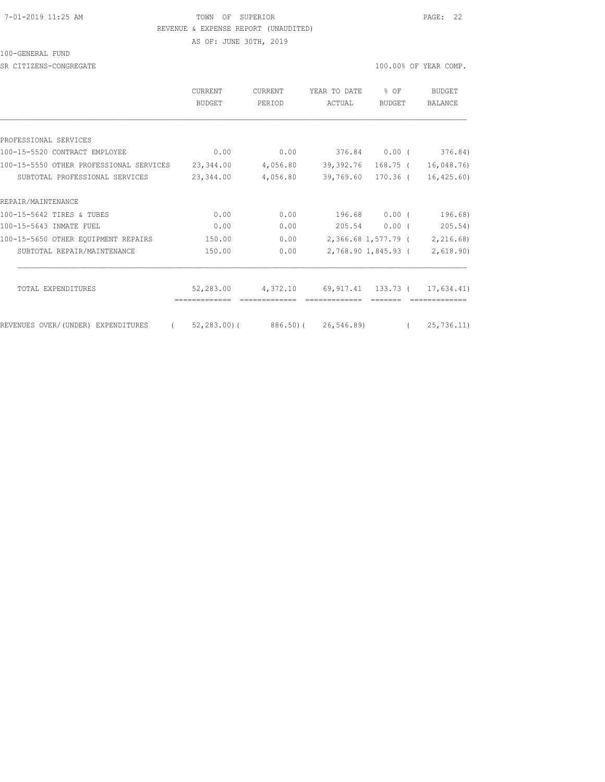#### 7-01-2019 11:25 AM TOWN OF SUPERIOR PAGE: 22 REVENUE & EXPENSE REPORT (UNAUDITED)

AS OF: JUNE 30TH, 2019

100-GENERAL FUND

SR CITIZENS-CONGREGATE SERVICES AND RESOLUTION OF SERVICES AND RESOLUTION OF SERVICES AND RESOLUTION OF SERVICES AND RESOLUTION OF SERVICES AND RESOLUTION OF SERVICES AND RESOLUTION OF SERVICES AND RESOLUTION OF SERVICES A

|                                         | <b>CURRENT</b><br><b>BUDGET</b>              | <b>CURRENT</b><br>PERIOD | YEAR TO DATE<br>ACTUAL        | $%$ $OF$<br><b>BUDGET</b> | <b>BUDGET</b><br>BALANCE |
|-----------------------------------------|----------------------------------------------|--------------------------|-------------------------------|---------------------------|--------------------------|
|                                         |                                              |                          |                               |                           |                          |
| PROFESSIONAL SERVICES                   |                                              |                          |                               |                           |                          |
| 100-15-5520 CONTRACT EMPLOYEE           | 0.00                                         | 0.00                     | 376.84 0.00 (                 |                           | 376.84)                  |
| 100-15-5550 OTHER PROFESSIONAL SERVICES | 23,344.00                                    | 4,056.80                 | 39,392.76 168.75 ( 16,048.76) |                           |                          |
| SUBTOTAL PROFESSIONAL SERVICES          | 23,344.00                                    | 4,056.80                 | 39,769.60 170.36 ( 16,425.60) |                           |                          |
| REPAIR/MAINTENANCE                      |                                              |                          |                               |                           |                          |
| 100-15-5642 TIRES & TUBES               | 0.00                                         | 0.00                     |                               | 196.68 0.00 (             | 196.68)                  |
| 100-15-5643 INMATE FUEL                 | 0.00                                         | 0.00                     | 205.54                        | $0.00$ (                  | 205.54)                  |
| 100-15-5650 OTHER EQUIPMENT REPAIRS     | 150.00                                       | 0.00                     |                               | 2,366.68 1,577.79 (       | 2,216.68)                |
| SUBTOTAL REPAIR/MAINTENANCE             | 150.00                                       | 0.00                     |                               | 2,768.90 1,845.93 (       | 2,618.90)                |
| TOTAL EXPENDITURES                      | 52,283.00                                    | 4,372.10                 | 69,917.41 133.73 ( 17,634.41) |                           |                          |
|                                         |                                              |                          |                               |                           |                          |
| REVENUES OVER/ (UNDER) EXPENDITURES     | $(52, 283.00)$ $(886.50)$ $(26, 546.89)$ $($ |                          |                               |                           | 25,736.11)               |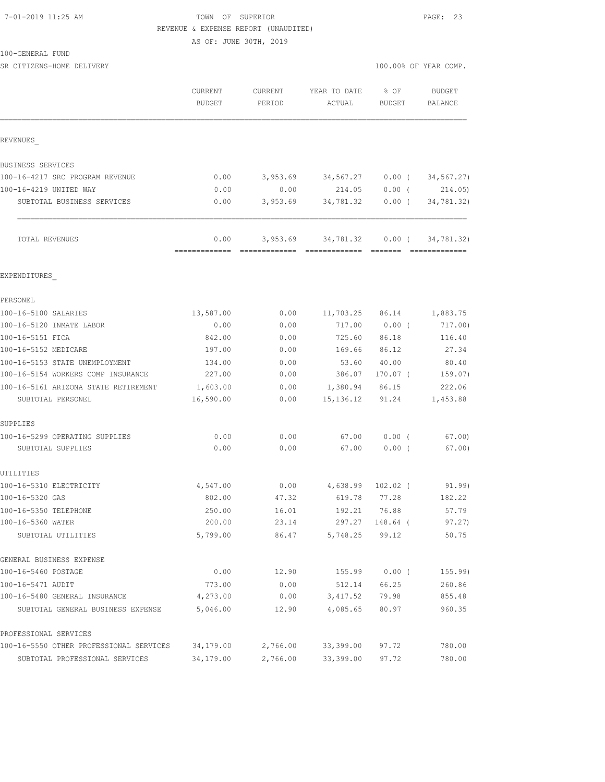### 7-01-2019 11:25 AM TOWN OF SUPERIOR PAGE: 23 REVENUE & EXPENSE REPORT (UNAUDITED)

AS OF: JUNE 30TH, 2019

| 100-GENERAL<br>FUND. |
|----------------------|
|----------------------|

| SR CITIZENS-HOME DELIVERY            |                          |                   |                           | 100.00% OF YEAR COMP. |                              |
|--------------------------------------|--------------------------|-------------------|---------------------------|-----------------------|------------------------------|
|                                      | CURRENT<br><b>BUDGET</b> | CURRENT<br>PERIOD | YEAR TO DATE<br>ACTUAL    | % OF<br><b>BUDGET</b> | BUDGET<br>BALANCE            |
| REVENUES                             |                          |                   |                           |                       |                              |
| BUSINESS SERVICES                    |                          |                   |                           |                       |                              |
| 100-16-4217 SRC PROGRAM REVENUE      | 0.00                     | 3,953.69          | 34,567.27                 | $0.00$ (              | 34, 567.27)                  |
| 100-16-4219 UNITED WAY               | 0.00                     | 0.00              | 214.05                    | $0.00$ (              | 214.05)                      |
| SUBTOTAL BUSINESS SERVICES           | 0.00                     | 3,953.69          | 34,781.32                 | $0.00$ (              | 34,781.32)                   |
| TOTAL REVENUES                       | 0.00                     |                   | 3,953.69 34,781.32 0.00 ( |                       | 34,781.32)<br>-------------- |
| EXPENDITURES                         |                          |                   |                           |                       |                              |
| PERSONEL                             |                          |                   |                           |                       |                              |
| 100-16-5100 SALARIES                 | 13,587.00                | 0.00              | 11,703.25                 | 86.14                 | 1,883.75                     |
| 100-16-5120 INMATE LABOR             | 0.00                     | 0.00              | 717.00                    | 0.00(                 | 717.00)                      |
| 100-16-5151 FICA                     | 842.00                   | 0.00              | 725.60                    | 86.18                 | 116.40                       |
| 100-16-5152 MEDICARE                 | 197.00                   | 0.00              | 169.66                    | 86.12                 | 27.34                        |
| 100-16-5153 STATE UNEMPLOYMENT       | 134.00                   | 0.00              | 53.60                     | 40.00                 | 80.40                        |
| 100-16-5154 WORKERS COMP INSURANCE   | 227.00                   | 0.00              | 386.07                    | 170.07 (              | 159.07)                      |
| 100-16-5161 ARIZONA STATE RETIREMENT | 1,603.00                 | 0.00              | 1,380.94                  | 86.15                 | 222.06                       |
| SUBTOTAL PERSONEL                    | 16,590.00                | 0.00              | 15, 136. 12               | 91.24                 | 1,453.88                     |
| SUPPLIES                             |                          |                   |                           |                       |                              |
| 100-16-5299 OPERATING SUPPLIES       | 0.00                     | 0.00              | 67.00                     | $0.00$ (              | 67.00                        |
| SUBTOTAL SUPPLIES                    | 0.00                     | 0.00              | 67.00                     | 0.00(                 | 67.00)                       |
| UTILITIES                            |                          |                   |                           |                       |                              |
| 100-16-5310 ELECTRICITY              | 4,547.00                 | 0.00              | 4,638.99                  | $102.02$ (            | 91.99)                       |
| 100-16-5320 GAS                      | 802.00                   | 47.32             | 619.78                    | 77.28                 | 182.22                       |
| 100-16-5350 TELEPHONE                | 250.00                   | 16.01             | 192.21                    | 76.88                 | 57.79                        |
| 100-16-5360 WATER                    | 200.00                   | 23.14             | 297.27                    | 148.64 (              | 97.27)                       |
| SUBTOTAL UTILITIES                   | 5,799.00                 | 86.47             | 5,748.25                  | 99.12                 | 50.75                        |
| GENERAL BUSINESS EXPENSE             |                          |                   |                           |                       |                              |
| 100-16-5460 POSTAGE                  | 0.00                     | 12.90             | 155.99                    | $0.00$ (              | 155.99)                      |
| 100-16-5471 AUDIT                    | 773.00                   | 0.00              | 512.14                    | 66.25                 | 260.86                       |
| 100-16-5480 GENERAL INSURANCE        | 4,273.00                 | 0.00              | 3,417.52                  | 79.98                 | 855.48                       |

PROFESSIONAL SERVICES

100-16-5550 OTHER PROFESSIONAL SERVICES 34,179.00 2,766.00 33,399.00 97.72 780.00 SUBTOTAL PROFESSIONAL SERVICES 34,179.00 2,766.00 33,399.00 97.72 780.00

SUBTOTAL GENERAL BUSINESS EXPENSE 5,046.00 12.90 4,085.65 80.97 960.35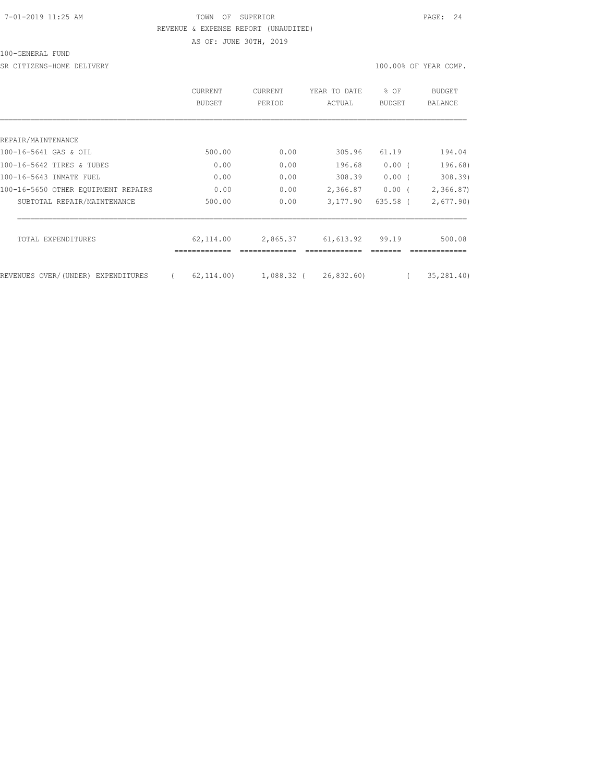## 7-01-2019 11:25 AM TOWN OF SUPERIOR PAGE: 24 REVENUE & EXPENSE REPORT (UNAUDITED) AS OF: JUNE 30TH, 2019

100-GENERAL FUND

SR CITIZENS-HOME DELIVERY 100.00% OF YEAR COMP.

|                                     | <b>CURRENT</b><br>BUDGET | <b>CURRENT</b><br>PERIOD | YEAR TO DATE<br>ACTUAL     | $8$ OF<br>BUDGET | BUDGET<br>BALANCE |
|-------------------------------------|--------------------------|--------------------------|----------------------------|------------------|-------------------|
|                                     |                          |                          |                            |                  |                   |
| REPAIR/MAINTENANCE                  |                          |                          |                            |                  |                   |
| 100-16-5641 GAS & OIL               | 500.00                   | 0.00                     | 305.96                     | 61.19            | 194.04            |
| 100-16-5642 TIRES & TUBES           | 0.00                     | 0.00                     | 196.68                     | $0.00$ (         | 196.68)           |
| 100-16-5643 INMATE FUEL             | 0.00                     | 0.00                     | 308.39                     | $0.00$ (         | 308.39            |
| 100-16-5650 OTHER EOUIPMENT REPAIRS | 0.00                     | 0.00                     | 2,366.87                   | $0.00$ (         | 2,366.87          |
| SUBTOTAL REPAIR/MAINTENANCE         | 500.00                   | 0.00                     | 3,177.90                   | $635.58$ (       | 2,677.90          |
| TOTAL EXPENDITURES                  | 62,114.00                | 2,865.37                 | 61,613.92                  | 99.19            | 500.08            |
|                                     |                          |                          |                            |                  |                   |
| REVENUES OVER/(UNDER) EXPENDITURES  | 62, 114, 00)             |                          | $1,088.32$ ( $26,832.60$ ) |                  | 35, 281, 40)      |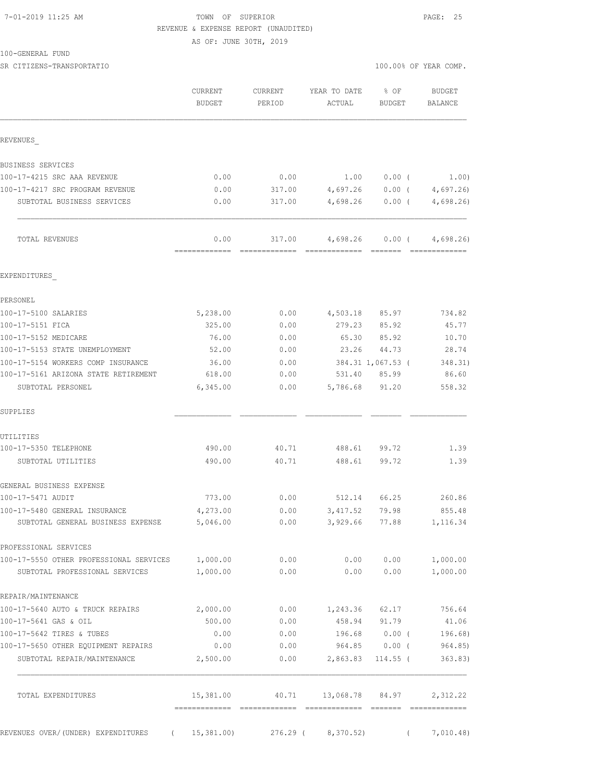## 7-01-2019 11:25 AM TOWN OF SUPERIOR PAGE: 25 REVENUE & EXPENSE REPORT (UNAUDITED)

AS OF: JUNE 30TH, 2019

| 100-GENERAL FUND |  |
|------------------|--|
|------------------|--|

SR CITIZENS-TRANSPORTATIO 100.00% OF YEAR COMP.

|                                                                    | CURRENT<br>BUDGET                          | CURRENT<br>PERIOD       | YEAR TO DATE<br>ACTUAL                                                                                                                                                                                                                                                                                                                                                                                                                                                                             | % OF<br>BUDGET       | <b>BUDGET</b><br>BALANCE                                                                                                                                                                                                                                                                                                                                                                                                                                                                            |
|--------------------------------------------------------------------|--------------------------------------------|-------------------------|----------------------------------------------------------------------------------------------------------------------------------------------------------------------------------------------------------------------------------------------------------------------------------------------------------------------------------------------------------------------------------------------------------------------------------------------------------------------------------------------------|----------------------|-----------------------------------------------------------------------------------------------------------------------------------------------------------------------------------------------------------------------------------------------------------------------------------------------------------------------------------------------------------------------------------------------------------------------------------------------------------------------------------------------------|
| REVENUES                                                           |                                            |                         |                                                                                                                                                                                                                                                                                                                                                                                                                                                                                                    |                      |                                                                                                                                                                                                                                                                                                                                                                                                                                                                                                     |
| BUSINESS SERVICES                                                  |                                            |                         |                                                                                                                                                                                                                                                                                                                                                                                                                                                                                                    |                      |                                                                                                                                                                                                                                                                                                                                                                                                                                                                                                     |
| 100-17-4215 SRC AAA REVENUE                                        | 0.00                                       | 0.00                    | 1.00                                                                                                                                                                                                                                                                                                                                                                                                                                                                                               | $0.00$ (             | 1.00)                                                                                                                                                                                                                                                                                                                                                                                                                                                                                               |
| 100-17-4217 SRC PROGRAM REVENUE                                    | 0.00                                       | 317.00                  | 4,697.26                                                                                                                                                                                                                                                                                                                                                                                                                                                                                           | $0.00$ (             | 4,697.26                                                                                                                                                                                                                                                                                                                                                                                                                                                                                            |
| SUBTOTAL BUSINESS SERVICES                                         | 0.00                                       | 317.00                  | 4,698.26                                                                                                                                                                                                                                                                                                                                                                                                                                                                                           | $0.00$ (             | 4,698.26                                                                                                                                                                                                                                                                                                                                                                                                                                                                                            |
| TOTAL REVENUES                                                     | 0.00<br>=============                      | 317.00<br>============= | 4,698.26<br>$\begin{array}{cccccccccc} \multicolumn{2}{c}{} & \multicolumn{2}{c}{} & \multicolumn{2}{c}{} & \multicolumn{2}{c}{} & \multicolumn{2}{c}{} & \multicolumn{2}{c}{} & \multicolumn{2}{c}{} & \multicolumn{2}{c}{} & \multicolumn{2}{c}{} & \multicolumn{2}{c}{} & \multicolumn{2}{c}{} & \multicolumn{2}{c}{} & \multicolumn{2}{c}{} & \multicolumn{2}{c}{} & \multicolumn{2}{c}{} & \multicolumn{2}{c}{} & \multicolumn{2}{c}{} & \multicolumn{2}{c}{} & \multicolumn{2}{c}{} & \mult$ | $0.00$ (<br>-------- | 4,698.26)<br>$\begin{array}{cccccccccc} \multicolumn{2}{c}{} & \multicolumn{2}{c}{} & \multicolumn{2}{c}{} & \multicolumn{2}{c}{} & \multicolumn{2}{c}{} & \multicolumn{2}{c}{} & \multicolumn{2}{c}{} & \multicolumn{2}{c}{} & \multicolumn{2}{c}{} & \multicolumn{2}{c}{} & \multicolumn{2}{c}{} & \multicolumn{2}{c}{} & \multicolumn{2}{c}{} & \multicolumn{2}{c}{} & \multicolumn{2}{c}{} & \multicolumn{2}{c}{} & \multicolumn{2}{c}{} & \multicolumn{2}{c}{} & \multicolumn{2}{c}{} & \mult$ |
| EXPENDITURES                                                       |                                            |                         |                                                                                                                                                                                                                                                                                                                                                                                                                                                                                                    |                      |                                                                                                                                                                                                                                                                                                                                                                                                                                                                                                     |
| PERSONEL                                                           |                                            |                         |                                                                                                                                                                                                                                                                                                                                                                                                                                                                                                    |                      |                                                                                                                                                                                                                                                                                                                                                                                                                                                                                                     |
| 100-17-5100 SALARIES                                               | 5,238.00                                   | 0.00                    | 4,503.18                                                                                                                                                                                                                                                                                                                                                                                                                                                                                           | 85.97                | 734.82                                                                                                                                                                                                                                                                                                                                                                                                                                                                                              |
| 100-17-5151 FICA                                                   | 325.00                                     | 0.00                    | 279.23                                                                                                                                                                                                                                                                                                                                                                                                                                                                                             | 85.92                | 45.77                                                                                                                                                                                                                                                                                                                                                                                                                                                                                               |
| 100-17-5152 MEDICARE                                               | 76.00                                      | 0.00                    | 65.30                                                                                                                                                                                                                                                                                                                                                                                                                                                                                              | 85.92                | 10.70                                                                                                                                                                                                                                                                                                                                                                                                                                                                                               |
| 100-17-5153 STATE UNEMPLOYMENT                                     | 52.00                                      | 0.00                    | 23.26                                                                                                                                                                                                                                                                                                                                                                                                                                                                                              | 44.73                | 28.74                                                                                                                                                                                                                                                                                                                                                                                                                                                                                               |
| 100-17-5154 WORKERS COMP INSURANCE                                 | 36.00                                      | 0.00                    |                                                                                                                                                                                                                                                                                                                                                                                                                                                                                                    | 384.31 1,067.53 (    | 348.31)                                                                                                                                                                                                                                                                                                                                                                                                                                                                                             |
| 100-17-5161 ARIZONA STATE RETIREMENT                               | 618.00                                     | 0.00                    |                                                                                                                                                                                                                                                                                                                                                                                                                                                                                                    | 531.40 85.99         | 86.60                                                                                                                                                                                                                                                                                                                                                                                                                                                                                               |
| SUBTOTAL PERSONEL                                                  | 6,345.00                                   | 0.00                    | 5,786.68                                                                                                                                                                                                                                                                                                                                                                                                                                                                                           | 91.20                | 558.32                                                                                                                                                                                                                                                                                                                                                                                                                                                                                              |
| SUPPLIES                                                           |                                            |                         |                                                                                                                                                                                                                                                                                                                                                                                                                                                                                                    |                      |                                                                                                                                                                                                                                                                                                                                                                                                                                                                                                     |
| UTILITIES                                                          |                                            |                         |                                                                                                                                                                                                                                                                                                                                                                                                                                                                                                    |                      |                                                                                                                                                                                                                                                                                                                                                                                                                                                                                                     |
| 100-17-5350 TELEPHONE                                              | 490.00                                     | 40.71                   | 488.61                                                                                                                                                                                                                                                                                                                                                                                                                                                                                             | 99.72                | 1.39                                                                                                                                                                                                                                                                                                                                                                                                                                                                                                |
| SUBTOTAL UTILITIES                                                 | 490.00                                     | 40.71                   | 488.61                                                                                                                                                                                                                                                                                                                                                                                                                                                                                             | 99.72                | 1.39                                                                                                                                                                                                                                                                                                                                                                                                                                                                                                |
| GENERAL BUSINESS EXPENSE                                           |                                            |                         |                                                                                                                                                                                                                                                                                                                                                                                                                                                                                                    |                      |                                                                                                                                                                                                                                                                                                                                                                                                                                                                                                     |
| 100-17-5471 AUDIT                                                  | 773.00                                     | 0.00                    | 512.14                                                                                                                                                                                                                                                                                                                                                                                                                                                                                             | 66.25                | 260.86                                                                                                                                                                                                                                                                                                                                                                                                                                                                                              |
| 100-17-5480 GENERAL INSURANCE<br>SUBTOTAL GENERAL BUSINESS EXPENSE | 4,273.00<br>5,046.00                       | 0.00<br>0.00            | 3,417.52<br>3,929.66                                                                                                                                                                                                                                                                                                                                                                                                                                                                               | 79.98<br>77.88       | 855.48<br>1,116.34                                                                                                                                                                                                                                                                                                                                                                                                                                                                                  |
| PROFESSIONAL SERVICES                                              |                                            |                         |                                                                                                                                                                                                                                                                                                                                                                                                                                                                                                    |                      |                                                                                                                                                                                                                                                                                                                                                                                                                                                                                                     |
| 100-17-5550 OTHER PROFESSIONAL SERVICES 1,000.00                   |                                            | 0.00                    | 0.00                                                                                                                                                                                                                                                                                                                                                                                                                                                                                               | 0.00                 | 1,000.00                                                                                                                                                                                                                                                                                                                                                                                                                                                                                            |
| SUBTOTAL PROFESSIONAL SERVICES                                     | 1,000.00                                   | 0.00                    | 0.00                                                                                                                                                                                                                                                                                                                                                                                                                                                                                               | 0.00                 | 1,000.00                                                                                                                                                                                                                                                                                                                                                                                                                                                                                            |
| REPAIR/MAINTENANCE                                                 |                                            |                         |                                                                                                                                                                                                                                                                                                                                                                                                                                                                                                    |                      |                                                                                                                                                                                                                                                                                                                                                                                                                                                                                                     |
| 100-17-5640 AUTO & TRUCK REPAIRS                                   | 2,000.00                                   |                         | $0.00$ 1, 243.36 62.17                                                                                                                                                                                                                                                                                                                                                                                                                                                                             |                      | 756.64                                                                                                                                                                                                                                                                                                                                                                                                                                                                                              |
| 100-17-5641 GAS & OIL                                              | 500.00                                     | 0.00                    | 458.94                                                                                                                                                                                                                                                                                                                                                                                                                                                                                             | 91.79                | 41.06                                                                                                                                                                                                                                                                                                                                                                                                                                                                                               |
| 100-17-5642 TIRES & TUBES                                          | 0.00                                       | 0.00                    |                                                                                                                                                                                                                                                                                                                                                                                                                                                                                                    | 196.68 0.00 (        | 196.68)                                                                                                                                                                                                                                                                                                                                                                                                                                                                                             |
| 100-17-5650 OTHER EQUIPMENT REPAIRS                                | 0.00                                       | 0.00                    |                                                                                                                                                                                                                                                                                                                                                                                                                                                                                                    | 964.85 0.00 (        | 964.85)                                                                                                                                                                                                                                                                                                                                                                                                                                                                                             |
| SUBTOTAL REPAIR/MAINTENANCE                                        | 2,500.00                                   |                         | $0.00$ 2,863.83 114.55 (                                                                                                                                                                                                                                                                                                                                                                                                                                                                           |                      | 363.83)                                                                                                                                                                                                                                                                                                                                                                                                                                                                                             |
| TOTAL EXPENDITURES                                                 | 15,381.00<br>-------------- -------------- |                         | 40.71 13,068.78 84.97                                                                                                                                                                                                                                                                                                                                                                                                                                                                              |                      | 2,312.22                                                                                                                                                                                                                                                                                                                                                                                                                                                                                            |
| REVENUES OVER/(UNDER) EXPENDITURES (15,381.00)                     |                                            | 276.29 (                |                                                                                                                                                                                                                                                                                                                                                                                                                                                                                                    | $8,370.52$ (         | 7,010.48)                                                                                                                                                                                                                                                                                                                                                                                                                                                                                           |
|                                                                    |                                            |                         |                                                                                                                                                                                                                                                                                                                                                                                                                                                                                                    |                      |                                                                                                                                                                                                                                                                                                                                                                                                                                                                                                     |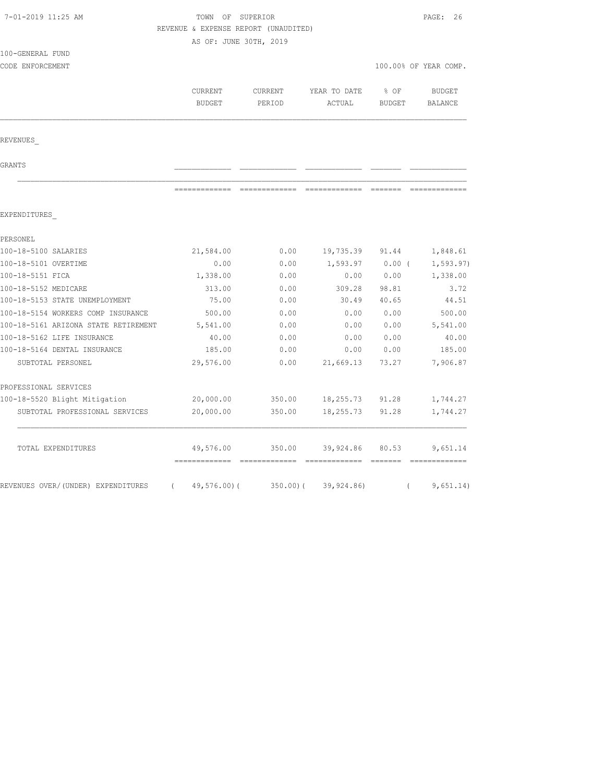| 7-01-2019 11:25 AM                              |                                      | TOWN OF SUPERIOR |              |               |                       |
|-------------------------------------------------|--------------------------------------|------------------|--------------|---------------|-----------------------|
|                                                 | REVENUE & EXPENSE REPORT (UNAUDITED) |                  |              |               |                       |
|                                                 | AS OF: JUNE 30TH, 2019               |                  |              |               |                       |
| 100-GENERAL FUND                                |                                      |                  |              |               |                       |
| CODE ENFORCEMENT                                |                                      |                  |              |               | 100.00% OF YEAR COMP. |
|                                                 | CURRENT                              | CURRENT          | YEAR TO DATE | % OF          | BUDGET                |
|                                                 | <b>BUDGET</b>                        | PERIOD           | ACTUAL       | <b>BUDGET</b> | BALANCE               |
|                                                 |                                      |                  |              |               |                       |
|                                                 |                                      |                  |              |               |                       |
| REVENUES                                        |                                      |                  |              |               |                       |
| GRANTS                                          |                                      |                  |              |               |                       |
|                                                 |                                      |                  |              |               |                       |
| EXPENDITURES                                    |                                      |                  |              |               |                       |
| PERSONEL                                        |                                      |                  |              |               |                       |
| 100-18-5100 SALARIES                            | 21,584.00                            | 0.00             | 19,735.39    | 91.44         | 1,848.61              |
| 100-18-5101 OVERTIME                            | 0.00                                 | 0.00             | 1,593.97     | $0.00$ (      | 1, 593.97)            |
| 100-18-5151 FICA                                | 1,338.00                             | 0.00             | 0.00         | 0.00          | 1,338.00              |
| 100-18-5152 MEDICARE                            | 313.00                               | 0.00             | 309.28       | 98.81         | 3.72                  |
| 100-18-5153 STATE UNEMPLOYMENT                  | 75.00                                | 0.00             | 30.49        | 40.65         | 44.51                 |
| 100-18-5154 WORKERS COMP INSURANCE              | 500.00                               | 0.00             | 0.00         | 0.00          | 500.00                |
| 100-18-5161 ARIZONA STATE RETIREMENT            | 5,541.00                             | 0.00             | 0.00         | 0.00          | 5,541.00              |
| 100-18-5162 LIFE INSURANCE                      | 40.00                                | 0.00             | 0.00         | 0.00          | 40.00                 |
| 100-18-5164 DENTAL INSURANCE                    | 185.00                               | 0.00             | 0.00         | 0.00          | 185.00                |
| SUBTOTAL PERSONEL                               | 29,576.00                            | 0.00             | 21,669.13    | 73.27         | 7,906.87              |
| PROFESSIONAL SERVICES                           |                                      |                  |              |               |                       |
| 100-18-5520 Blight Mitigation                   | 20,000.00                            | 350.00           | 18,255.73    | 91.28         | 1,744.27              |
| SUBTOTAL PROFESSIONAL SERVICES                  | 20,000.00                            | 350.00           | 18,255.73    | 91.28         | 1,744.27              |
| TOTAL EXPENDITURES                              | 49,576.00                            | 350.00           | 39,924.86    | 80.53         | 9,651.14              |
|                                                 |                                      |                  |              |               |                       |
| REVENUES OVER/ (UNDER) EXPENDITURES<br>$\left($ | $49,576.00$ (                        | 350.00(          | 39,924.86)   | $\left($      | 9,651.14)             |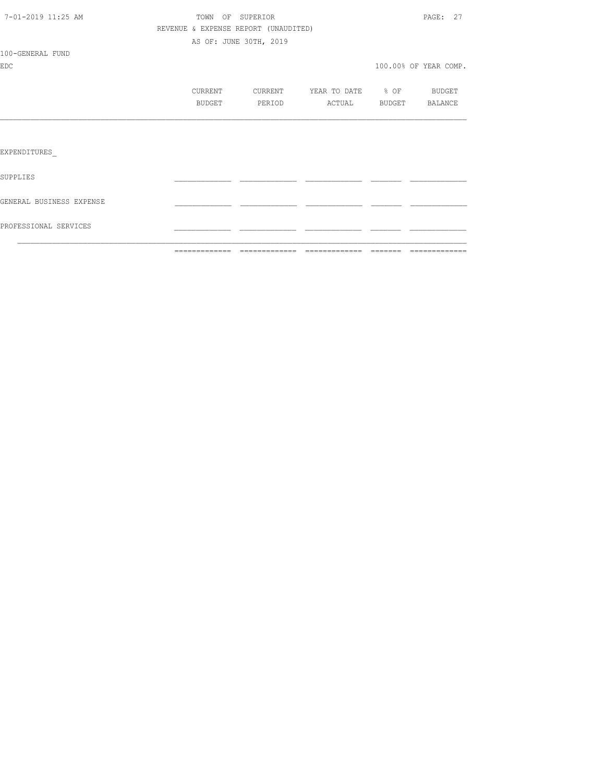|                          |                                      |                        |                           | ----------------------- |
|--------------------------|--------------------------------------|------------------------|---------------------------|-------------------------|
| PROFESSIONAL SERVICES    |                                      |                        |                           |                         |
| GENERAL BUSINESS EXPENSE |                                      |                        |                           |                         |
| SUPPLIES                 |                                      |                        |                           |                         |
| EXPENDITURES             |                                      |                        |                           |                         |
|                          |                                      |                        |                           |                         |
|                          | BUDGET                               | PERIOD                 | ACTUAL                    | BUDGET BALANCE          |
|                          | CURRENT                              |                        | CURRENT YEAR TO DATE % OF | BUDGET                  |
| <b>EDC</b>               |                                      |                        |                           | 100.00% OF YEAR COMP.   |
| 100-GENERAL FUND         |                                      |                        |                           |                         |
|                          |                                      | AS OF: JUNE 30TH, 2019 |                           |                         |
|                          | REVENUE & EXPENSE REPORT (UNAUDITED) |                        |                           |                         |
| 7-01-2019 11:25 AM       | TOWN OF SUPERIOR                     |                        |                           | PAGE: 27                |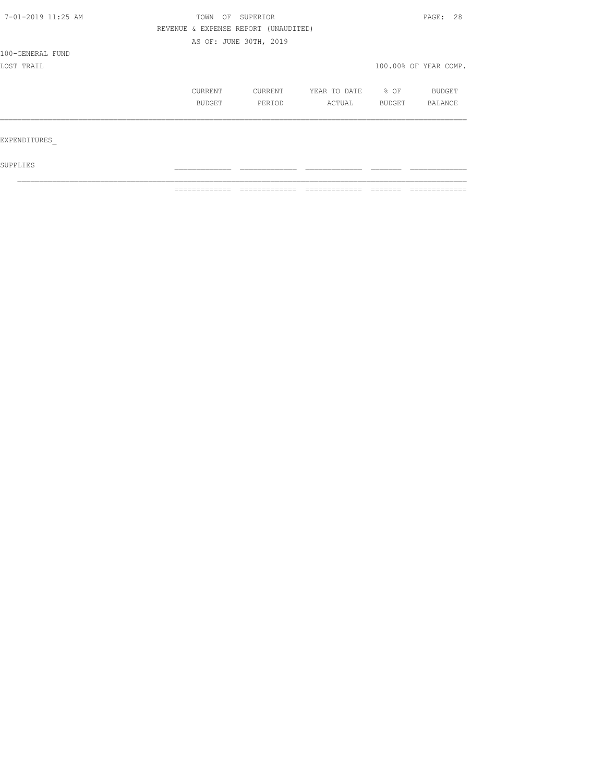| 7-01-2019 11:25 AM | TOWN                                 | OF SUPERIOR |              |        | PAGE: 28              |  |
|--------------------|--------------------------------------|-------------|--------------|--------|-----------------------|--|
|                    | REVENUE & EXPENSE REPORT (UNAUDITED) |             |              |        |                       |  |
|                    | AS OF: JUNE 30TH, 2019               |             |              |        |                       |  |
| 100-GENERAL FUND   |                                      |             |              |        |                       |  |
| LOST TRAIL         |                                      |             |              |        | 100.00% OF YEAR COMP. |  |
|                    | CURRENT                              | CURRENT     | YEAR TO DATE | % OF   | BUDGET                |  |
|                    | BUDGET                               | PERIOD      | ACTUAL       | BUDGET | BALANCE               |  |
|                    |                                      |             |              |        |                       |  |
| EXPENDITURES       |                                      |             |              |        |                       |  |
| SUPPLIES           |                                      |             |              |        |                       |  |

 $\mathcal{L}_\text{max}$ 

============= ============= ============= ======= =============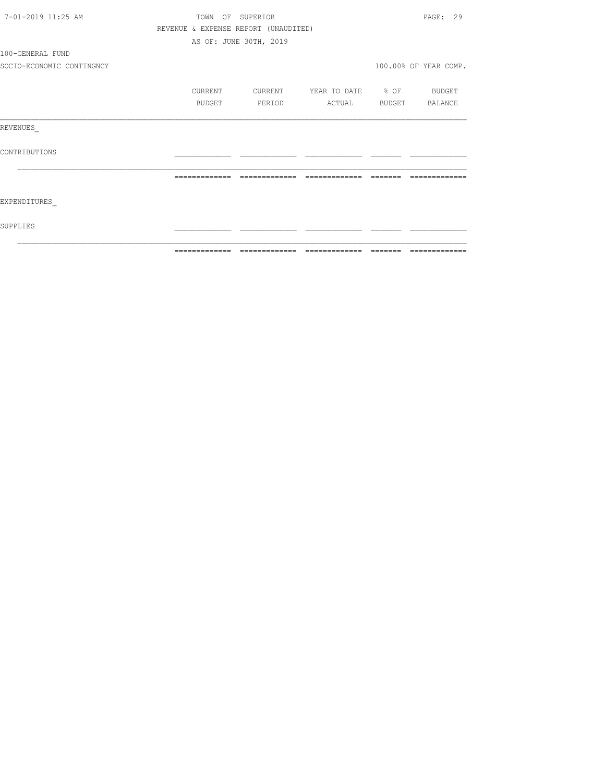| 7-01-2019 11:25 AM        |                                      | TOWN OF SUPERIOR       |                          | PAGE: 29              |
|---------------------------|--------------------------------------|------------------------|--------------------------|-----------------------|
|                           | REVENUE & EXPENSE REPORT (UNAUDITED) |                        |                          |                       |
|                           |                                      | AS OF: JUNE 30TH, 2019 |                          |                       |
| 100-GENERAL FUND          |                                      |                        |                          |                       |
| SOCIO-ECONOMIC CONTINGNCY |                                      |                        |                          | 100.00% OF YEAR COMP. |
|                           | CURRENT                              | CURRENT                | YEAR TO DATE % OF BUDGET |                       |
|                           | <b>BUDGET</b>                        | PERIOD                 | ACTUAL BUDGET BALANCE    |                       |
| REVENUES                  |                                      |                        |                          |                       |
| CONTRIBUTIONS             |                                      |                        |                          |                       |
|                           | =============                        | =============          |                          |                       |
| EXPENDITURES              |                                      |                        |                          |                       |
| SUPPLIES                  |                                      |                        |                          |                       |
|                           |                                      |                        |                          |                       |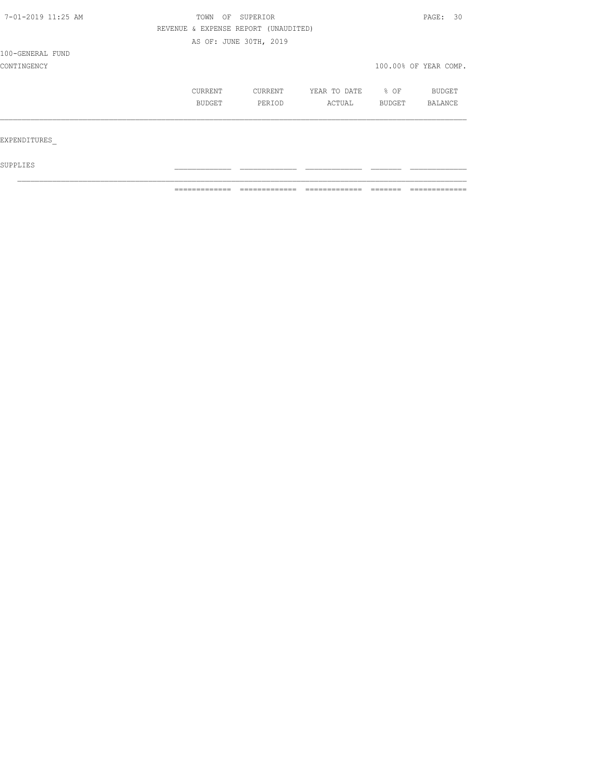| 7-01-2019 11:25 AM | OF<br>TOWN                           | SUPERIOR               |              |        | PAGE: 30              |  |
|--------------------|--------------------------------------|------------------------|--------------|--------|-----------------------|--|
|                    | REVENUE & EXPENSE REPORT (UNAUDITED) |                        |              |        |                       |  |
|                    |                                      | AS OF: JUNE 30TH, 2019 |              |        |                       |  |
| 100-GENERAL FUND   |                                      |                        |              |        |                       |  |
| CONTINGENCY        |                                      |                        |              |        | 100.00% OF YEAR COMP. |  |
|                    |                                      |                        |              |        |                       |  |
|                    | <b>CURRENT</b>                       | CURRENT                | YEAR TO DATE | % OF   | <b>BUDGET</b>         |  |
|                    | BUDGET                               | PERIOD                 | ACTUAL       | BUDGET | <b>BALANCE</b>        |  |
|                    |                                      |                        |              |        |                       |  |
|                    |                                      |                        |              |        |                       |  |
| EXPENDITURES       |                                      |                        |              |        |                       |  |
|                    |                                      |                        |              |        |                       |  |
|                    |                                      |                        |              |        |                       |  |

 ${\tt SUPPLIES}$  $\mathcal{L}_\text{max}$ 

============= ============= ============= ======= =============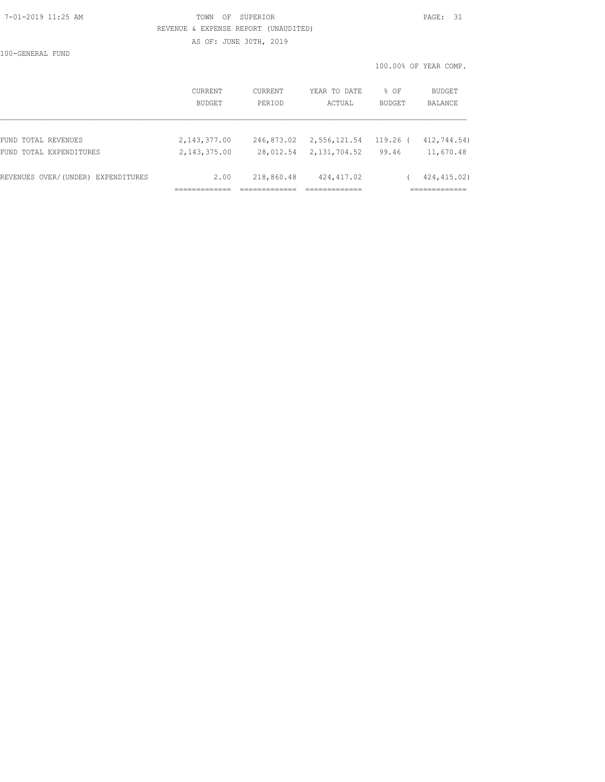### 7-01-2019 11:25 AM TOWN OF SUPERIOR PAGE: 31 REVENUE & EXPENSE REPORT (UNAUDITED)

AS OF: JUNE 30TH, 2019

100-GENERAL FUND

100.00% OF YEAR COMP.

|                                    | <b>CURRENT</b>  | CURRENT    | YEAR TO DATE | $8$ OF        | BUDGET       |
|------------------------------------|-----------------|------------|--------------|---------------|--------------|
|                                    | <b>BUDGET</b>   | PERIOD     | ACTUAL       | <b>BUDGET</b> | BALANCE      |
| FUND TOTAL REVENUES                | 2, 143, 377.00  | 246,873.02 | 2,556,121.54 | $119.26$ (    | 412,744.54)  |
| FUND TOTAL EXPENDITURES            | 2, 143, 375, 00 | 28,012.54  | 2,131,704.52 | 99.46         | 11,670.48    |
| REVENUES OVER/(UNDER) EXPENDITURES | 2.00            | 218,860.48 | 424, 417.02  |               | 424, 415.02) |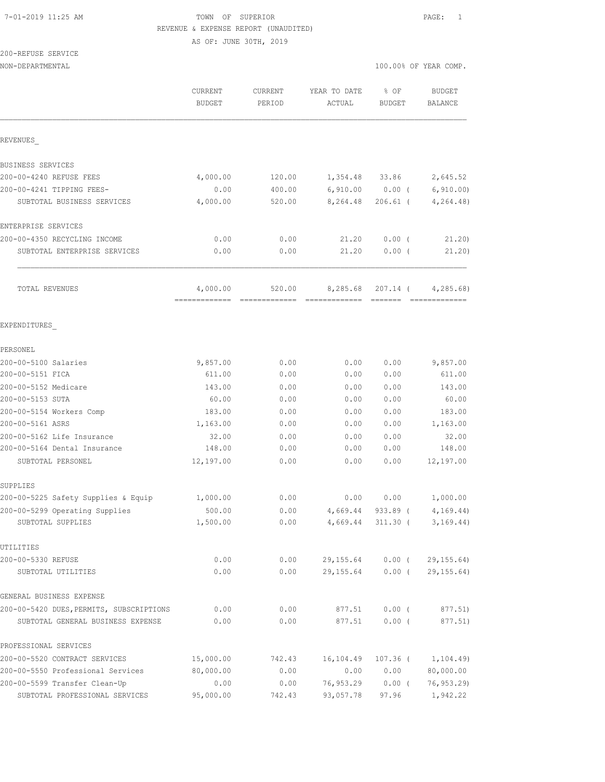## 7-01-2019 11:25 AM TOWN OF SUPERIOR PAGE: 1 REVENUE & EXPENSE REPORT (UNAUDITED)

AS OF: JUNE 30TH, 2019

# 200-REFUSE SERVICE

| NON-DEPARTMENTAL                                    |                                         |                          |                                                                                                                                                                                                                                                                                                                                                                                                                                                                                                    | 100.00% OF YEAR COMP.                                                                                                                                                                                                                                                                                                                                                                                                                                                                              |                             |  |
|-----------------------------------------------------|-----------------------------------------|--------------------------|----------------------------------------------------------------------------------------------------------------------------------------------------------------------------------------------------------------------------------------------------------------------------------------------------------------------------------------------------------------------------------------------------------------------------------------------------------------------------------------------------|----------------------------------------------------------------------------------------------------------------------------------------------------------------------------------------------------------------------------------------------------------------------------------------------------------------------------------------------------------------------------------------------------------------------------------------------------------------------------------------------------|-----------------------------|--|
|                                                     | CURRENT<br><b>BUDGET</b>                | <b>CURRENT</b><br>PERIOD | YEAR TO DATE<br>ACTUAL                                                                                                                                                                                                                                                                                                                                                                                                                                                                             | % OF<br>BUDGET                                                                                                                                                                                                                                                                                                                                                                                                                                                                                     | <b>BUDGET</b><br>BALANCE    |  |
| REVENUES                                            |                                         |                          |                                                                                                                                                                                                                                                                                                                                                                                                                                                                                                    |                                                                                                                                                                                                                                                                                                                                                                                                                                                                                                    |                             |  |
| BUSINESS SERVICES                                   |                                         |                          |                                                                                                                                                                                                                                                                                                                                                                                                                                                                                                    |                                                                                                                                                                                                                                                                                                                                                                                                                                                                                                    |                             |  |
| 200-00-4240 REFUSE FEES                             | 4,000.00                                | 120.00                   | 1,354.48                                                                                                                                                                                                                                                                                                                                                                                                                                                                                           | 33.86                                                                                                                                                                                                                                                                                                                                                                                                                                                                                              | 2,645.52                    |  |
| 200-00-4241 TIPPING FEES-                           | 0.00                                    | 400.00                   | 6,910.00                                                                                                                                                                                                                                                                                                                                                                                                                                                                                           | $0.00$ (                                                                                                                                                                                                                                                                                                                                                                                                                                                                                           | 6, 910.00                   |  |
| SUBTOTAL BUSINESS SERVICES                          | 4,000.00                                | 520.00                   | 8,264.48                                                                                                                                                                                                                                                                                                                                                                                                                                                                                           | $206.61$ (                                                                                                                                                                                                                                                                                                                                                                                                                                                                                         | 4, 264.48                   |  |
| ENTERPRISE SERVICES                                 |                                         |                          |                                                                                                                                                                                                                                                                                                                                                                                                                                                                                                    |                                                                                                                                                                                                                                                                                                                                                                                                                                                                                                    |                             |  |
| 200-00-4350 RECYCLING INCOME                        | 0.00                                    | 0.00                     | 21.20                                                                                                                                                                                                                                                                                                                                                                                                                                                                                              | 0.00(                                                                                                                                                                                                                                                                                                                                                                                                                                                                                              | 21.20                       |  |
| SUBTOTAL ENTERPRISE SERVICES                        | 0.00                                    | 0.00                     | 21.20                                                                                                                                                                                                                                                                                                                                                                                                                                                                                              | $0.00$ (                                                                                                                                                                                                                                                                                                                                                                                                                                                                                           | 21.20)                      |  |
| TOTAL REVENUES                                      | 4,000.00<br>------------- ------------- | 520.00                   | 8,285.68<br>$\begin{array}{cccccccccccccc} \multicolumn{2}{c}{} & \multicolumn{2}{c}{} & \multicolumn{2}{c}{} & \multicolumn{2}{c}{} & \multicolumn{2}{c}{} & \multicolumn{2}{c}{} & \multicolumn{2}{c}{} & \multicolumn{2}{c}{} & \multicolumn{2}{c}{} & \multicolumn{2}{c}{} & \multicolumn{2}{c}{} & \multicolumn{2}{c}{} & \multicolumn{2}{c}{} & \multicolumn{2}{c}{} & \multicolumn{2}{c}{} & \multicolumn{2}{c}{} & \multicolumn{2}{c}{} & \multicolumn{2}{c}{} & \multicolumn{2}{c}{} & \$ | 207.14 (<br>$\begin{array}{cccccccccc} \multicolumn{2}{c}{} & \multicolumn{2}{c}{} & \multicolumn{2}{c}{} & \multicolumn{2}{c}{} & \multicolumn{2}{c}{} & \multicolumn{2}{c}{} & \multicolumn{2}{c}{} & \multicolumn{2}{c}{} & \multicolumn{2}{c}{} & \multicolumn{2}{c}{} & \multicolumn{2}{c}{} & \multicolumn{2}{c}{} & \multicolumn{2}{c}{} & \multicolumn{2}{c}{} & \multicolumn{2}{c}{} & \multicolumn{2}{c}{} & \multicolumn{2}{c}{} & \multicolumn{2}{c}{} & \multicolumn{2}{c}{} & \mult$ | 4, 285.68<br>-------------- |  |
| EXPENDITURES                                        |                                         |                          |                                                                                                                                                                                                                                                                                                                                                                                                                                                                                                    |                                                                                                                                                                                                                                                                                                                                                                                                                                                                                                    |                             |  |
| PERSONEL                                            |                                         |                          |                                                                                                                                                                                                                                                                                                                                                                                                                                                                                                    |                                                                                                                                                                                                                                                                                                                                                                                                                                                                                                    |                             |  |
| 200-00-5100 Salaries                                | 9,857.00                                | 0.00                     | 0.00                                                                                                                                                                                                                                                                                                                                                                                                                                                                                               | 0.00                                                                                                                                                                                                                                                                                                                                                                                                                                                                                               | 9,857.00                    |  |
| 200-00-5151 FICA                                    | 611.00                                  | 0.00                     | 0.00                                                                                                                                                                                                                                                                                                                                                                                                                                                                                               | 0.00                                                                                                                                                                                                                                                                                                                                                                                                                                                                                               | 611.00                      |  |
| 200-00-5152 Medicare                                | 143.00                                  | 0.00                     | 0.00                                                                                                                                                                                                                                                                                                                                                                                                                                                                                               | 0.00                                                                                                                                                                                                                                                                                                                                                                                                                                                                                               | 143.00                      |  |
| 200-00-5153 SUTA                                    | 60.00                                   | 0.00                     | 0.00                                                                                                                                                                                                                                                                                                                                                                                                                                                                                               | 0.00                                                                                                                                                                                                                                                                                                                                                                                                                                                                                               | 60.00                       |  |
| 200-00-5154 Workers Comp                            | 183.00                                  | 0.00                     | 0.00                                                                                                                                                                                                                                                                                                                                                                                                                                                                                               | 0.00                                                                                                                                                                                                                                                                                                                                                                                                                                                                                               | 183.00                      |  |
| 200-00-5161 ASRS                                    | 1,163.00                                | 0.00                     | 0.00                                                                                                                                                                                                                                                                                                                                                                                                                                                                                               | 0.00                                                                                                                                                                                                                                                                                                                                                                                                                                                                                               | 1,163.00                    |  |
| 200-00-5162 Life Insurance                          | 32.00                                   | 0.00                     | 0.00                                                                                                                                                                                                                                                                                                                                                                                                                                                                                               | 0.00                                                                                                                                                                                                                                                                                                                                                                                                                                                                                               | 32.00                       |  |
| 200-00-5164 Dental Insurance                        | 148.00                                  | 0.00                     | 0.00                                                                                                                                                                                                                                                                                                                                                                                                                                                                                               | 0.00                                                                                                                                                                                                                                                                                                                                                                                                                                                                                               | 148.00                      |  |
| SUBTOTAL PERSONEL                                   | 12,197.00                               | 0.00                     | 0.00                                                                                                                                                                                                                                                                                                                                                                                                                                                                                               | 0.00                                                                                                                                                                                                                                                                                                                                                                                                                                                                                               | 12,197.00                   |  |
| SUPPLIES                                            |                                         |                          |                                                                                                                                                                                                                                                                                                                                                                                                                                                                                                    |                                                                                                                                                                                                                                                                                                                                                                                                                                                                                                    |                             |  |
| 200-00-5225 Safety Supplies & Equip                 | 1,000.00                                | 0.00                     | 0.00                                                                                                                                                                                                                                                                                                                                                                                                                                                                                               | 0.00                                                                                                                                                                                                                                                                                                                                                                                                                                                                                               | 1,000.00                    |  |
| 200-00-5299 Operating Supplies<br>SUBTOTAL SUPPLIES | 500.00<br>1,500.00                      | 0.00<br>0.00             | 4,669.44<br>4,669.44                                                                                                                                                                                                                                                                                                                                                                                                                                                                               | $933.89$ (<br>311.30 (                                                                                                                                                                                                                                                                                                                                                                                                                                                                             | 4, 169.44)<br>3, 169.44)    |  |
| UTILITIES                                           |                                         |                          |                                                                                                                                                                                                                                                                                                                                                                                                                                                                                                    |                                                                                                                                                                                                                                                                                                                                                                                                                                                                                                    |                             |  |
| 200-00-5330 REFUSE                                  | 0.00                                    | 0.00                     | 29,155.64                                                                                                                                                                                                                                                                                                                                                                                                                                                                                          | $0.00$ (                                                                                                                                                                                                                                                                                                                                                                                                                                                                                           | 29, 155.64)                 |  |
| SUBTOTAL UTILITIES                                  | 0.00                                    | 0.00                     | 29,155.64                                                                                                                                                                                                                                                                                                                                                                                                                                                                                          | $0.00$ (                                                                                                                                                                                                                                                                                                                                                                                                                                                                                           | 29, 155.64)                 |  |
| GENERAL BUSINESS EXPENSE                            |                                         |                          |                                                                                                                                                                                                                                                                                                                                                                                                                                                                                                    |                                                                                                                                                                                                                                                                                                                                                                                                                                                                                                    |                             |  |
| 200-00-5420 DUES, PERMITS, SUBSCRIPTIONS            | 0.00                                    | 0.00                     | 877.51                                                                                                                                                                                                                                                                                                                                                                                                                                                                                             | $0.00$ (                                                                                                                                                                                                                                                                                                                                                                                                                                                                                           | 877.51)                     |  |
| SUBTOTAL GENERAL BUSINESS EXPENSE                   | 0.00                                    | 0.00                     | 877.51                                                                                                                                                                                                                                                                                                                                                                                                                                                                                             | $0.00$ (                                                                                                                                                                                                                                                                                                                                                                                                                                                                                           | 877.51)                     |  |
| PROFESSIONAL SERVICES                               |                                         |                          |                                                                                                                                                                                                                                                                                                                                                                                                                                                                                                    |                                                                                                                                                                                                                                                                                                                                                                                                                                                                                                    |                             |  |
| 200-00-5520 CONTRACT SERVICES                       | 15,000.00                               | 742.43                   | 16,104.49                                                                                                                                                                                                                                                                                                                                                                                                                                                                                          | 107.36 (                                                                                                                                                                                                                                                                                                                                                                                                                                                                                           | 1,104.49)                   |  |
| 200-00-5550 Professional Services                   | 80,000.00                               | 0.00                     | 0.00                                                                                                                                                                                                                                                                                                                                                                                                                                                                                               | 0.00                                                                                                                                                                                                                                                                                                                                                                                                                                                                                               | 80,000.00                   |  |
| 200-00-5599 Transfer Clean-Up                       | 0.00                                    | 0.00                     | 76,953.29                                                                                                                                                                                                                                                                                                                                                                                                                                                                                          | $0.00$ (                                                                                                                                                                                                                                                                                                                                                                                                                                                                                           | 76, 953.29                  |  |

SUBTOTAL PROFESSIONAL SERVICES 95,000.00 742.43 93,057.78 97.96 1,942.22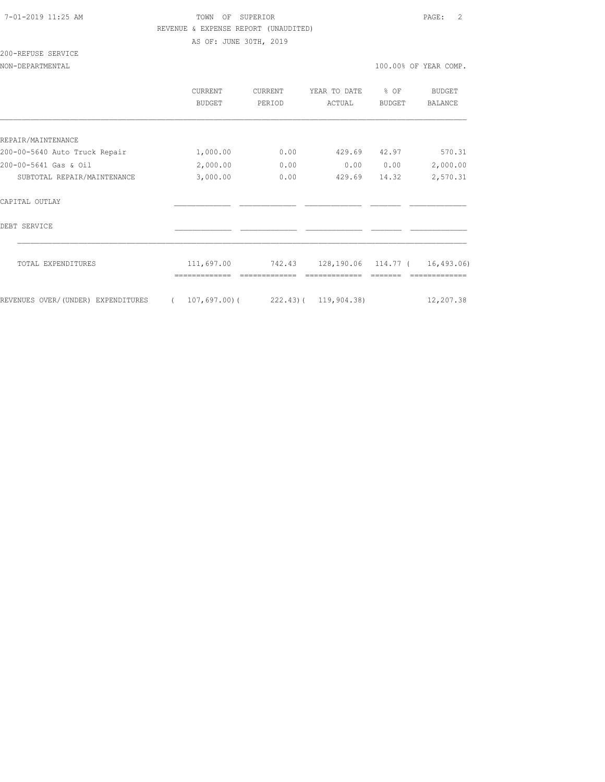## 7-01-2019 11:25 AM TOWN OF SUPERIOR PAGE: 2 REVENUE & EXPENSE REPORT (UNAUDITED) AS OF: JUNE 30TH, 2019

| 200-REFUSE SERVICE |  |
|--------------------|--|
|                    |  |

NON-DEPARTMENTAL 100.00% OF YEAR COMP.

|                                    | <b>CURRENT</b><br><b>BUDGET</b> | CURRENT<br>PERIOD | YEAR TO DATE<br>ACTUAL           | % OF<br><b>BUDGET</b> | <b>BUDGET</b><br><b>BALANCE</b> |
|------------------------------------|---------------------------------|-------------------|----------------------------------|-----------------------|---------------------------------|
|                                    |                                 |                   |                                  |                       |                                 |
| REPAIR/MAINTENANCE                 |                                 |                   |                                  |                       |                                 |
| 200-00-5640 Auto Truck Repair      | 1,000.00                        | 0.00              | 429.69                           | 42.97                 | 570.31                          |
| 200-00-5641 Gas & Oil              | 2,000.00                        | 0.00              | 0.00                             | 0.00                  | 2,000.00                        |
| SUBTOTAL REPAIR/MAINTENANCE        | 3,000.00                        | 0.00              | 429.69                           | 14.32                 | 2,570.31                        |
| CAPTTAL OUTLAY                     |                                 |                   |                                  |                       |                                 |
| DEBT SERVICE                       |                                 |                   |                                  |                       |                                 |
| TOTAL EXPENDITURES                 | 111,697.00                      | 742.43            | 128, 190.06 114.77 ( 16, 493.06) |                       |                                 |
| REVENUES OVER/(UNDER) EXPENDITURES | 107,697.00(                     |                   | 222.43) ( 119,904.38)            |                       | 12,207.38                       |
|                                    |                                 |                   |                                  |                       |                                 |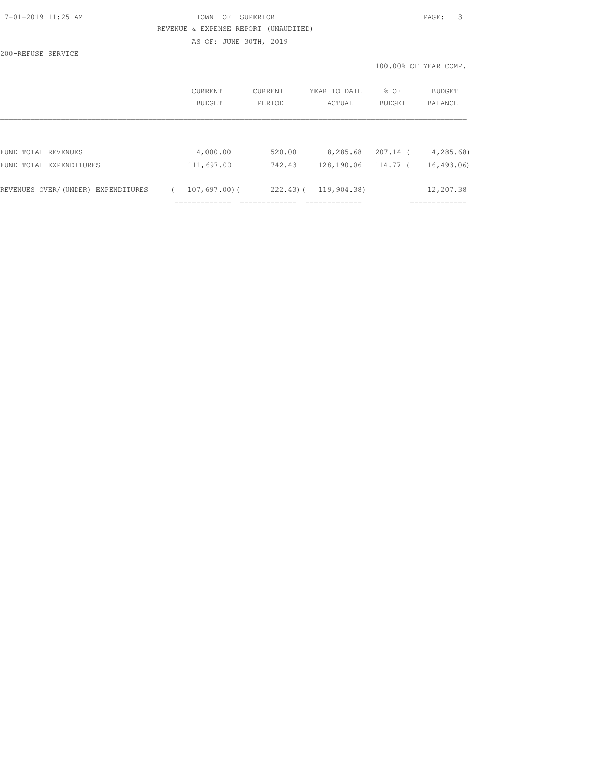## 7-01-2019 11:25 AM TOWN OF SUPERIOR PAGE: 3 REVENUE & EXPENSE REPORT (UNAUDITED) AS OF: JUNE 30TH, 2019

200-REFUSE SERVICE

100.00% OF YEAR COMP.

|                                    | CURRENT<br>BUDGET | CURRENT<br>PERIOD | YEAR TO DATE<br>ACTUAL | % OF<br><b>BUDGET</b> | BUDGET<br><b>BALANCE</b> |
|------------------------------------|-------------------|-------------------|------------------------|-----------------------|--------------------------|
|                                    |                   |                   |                        |                       |                          |
| FUND TOTAL REVENUES                | 4,000.00          | 520.00            | 8,285.68               | 207.14 (              | 4, 285, 68               |
| FUND TOTAL EXPENDITURES            | 111,697.00        | 742.43            | 128,190.06             | 114.77 (              | 16,493.06)               |
| REVENUES OVER/(UNDER) EXPENDITURES | $107,697,00$ (    | 222.43(           | 119,904.38)            |                       | 12,207.38                |
|                                    |                   |                   |                        |                       |                          |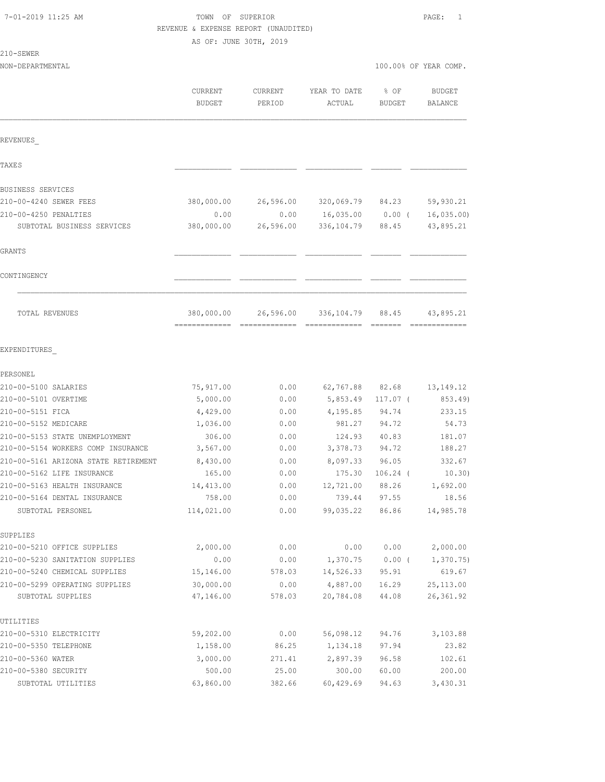| 7-01-2019 11:25 AM |  |  |
|--------------------|--|--|
|--------------------|--|--|

# TOWN OF SUPERIOR **PAGE:** 1 REVENUE & EXPENSE REPORT (UNAUDITED)

AS OF: JUNE 30TH, 2019

| ÷<br>$\sim$<br>۰, |
|-------------------|
|-------------------|

| 210-SEWER                                           |                    |                   |                          |                       |                        |
|-----------------------------------------------------|--------------------|-------------------|--------------------------|-----------------------|------------------------|
| NON-DEPARTMENTAL                                    |                    |                   |                          |                       | 100.00% OF YEAR COMP.  |
|                                                     | CURRENT<br>BUDGET  | CURRENT<br>PERIOD | YEAR TO DATE<br>ACTUAL   | % OF<br><b>BUDGET</b> | BUDGET<br>BALANCE      |
| REVENUES                                            |                    |                   |                          |                       |                        |
| TAXE S                                              |                    |                   |                          |                       |                        |
|                                                     |                    |                   |                          |                       |                        |
| BUSINESS SERVICES<br>210-00-4240 SEWER FEES         | 380,000.00         | 26,596.00         | 320,069.79               | 84.23                 | 59,930.21              |
|                                                     |                    |                   |                          |                       |                        |
| 210-00-4250 PENALTIES<br>SUBTOTAL BUSINESS SERVICES | 0.00<br>380,000.00 | 0.00<br>26,596.00 | 16,035.00<br>336, 104.79 | $0.00$ (<br>88.45     | 16,035.00<br>43,895.21 |
| GRANTS                                              |                    |                   |                          |                       |                        |
| CONTINGENCY                                         |                    |                   |                          |                       |                        |
| TOTAL REVENUES                                      | 380,000.00         | 26,596.00         | 336, 104.79              | 88.45                 | 43,895.21              |
| EXPENDITURES                                        |                    |                   |                          |                       |                        |
| PERSONEL                                            |                    |                   |                          |                       |                        |
| 210-00-5100 SALARIES                                | 75,917.00          | 0.00              | 62,767.88                | 82.68                 | 13, 149. 12            |
| 210-00-5101 OVERTIME                                | 5,000.00           | 0.00              | 5,853.49                 | $117.07$ (            | 853.49)                |
| 210-00-5151 FICA                                    | 4,429.00           | 0.00              | 4,195.85                 | 94.74                 | 233.15                 |
| 210-00-5152 MEDICARE                                | 1,036.00           | 0.00              | 981.27                   | 94.72                 | 54.73                  |
| 210-00-5153 STATE UNEMPLOYMENT                      | 306.00             | 0.00              | 124.93                   | 40.83                 | 181.07                 |
| 210-00-5154 WORKERS COMP INSURANCE                  | 3,567.00           | 0.00              | 3,378.73                 | 94.72                 | 188.27                 |
| 210-00-5161 ARIZONA STATE RETIREMENT                | 8,430.00           | 0.00              | 8,097.33                 | 96.05                 | 332.67                 |
| 210-00-5162 LIFE INSURANCE                          | 165.00             | 0.00              | 175.30                   | $106.24$ (            | 10.30)                 |
| 210-00-5163 HEALTH INSURANCE                        | 14,413.00          | 0.00              | 12,721.00                | 88.26                 | 1,692.00               |
| 210-00-5164 DENTAL INSURANCE                        | 758.00             | 0.00              | 739.44                   | 97.55                 | 18.56                  |
| SUBTOTAL PERSONEL                                   | 114,021.00         | 0.00              | 99,035.22                | 86.86                 | 14,985.78              |
| SUPPLIES                                            |                    |                   |                          |                       |                        |
| 210-00-5210 OFFICE SUPPLIES                         | 2,000.00           | 0.00              | 0.00                     | 0.00                  | 2,000.00               |
| 210-00-5230 SANITATION SUPPLIES                     | 0.00               | 0.00              | 1,370.75                 | $0.00$ (              | 1,370.75               |
| 210-00-5240 CHEMICAL SUPPLIES                       | 15,146.00          | 578.03            | 14,526.33                | 95.91                 | 619.67                 |
| 210-00-5299 OPERATING SUPPLIES                      | 30,000.00          | 0.00              | 4,887.00                 | 16.29                 | 25, 113.00             |
| SUBTOTAL SUPPLIES                                   | 47,146.00          | 578.03            | 20,784.08                | 44.08                 | 26, 361.92             |
| UTILITIES                                           |                    |                   |                          |                       |                        |
| 210-00-5310 ELECTRICITY                             | 59,202.00          | 0.00              | 56,098.12                | 94.76                 | 3,103.88               |
| 210-00-5350 TELEPHONE                               | 1,158.00           | 86.25             | 1,134.18                 | 97.94                 | 23.82                  |
| 210-00-5360 WATER<br>210-00-5380 SECURITY           | 3,000.00<br>500.00 | 271.41            | 2,897.39<br>300.00       | 96.58                 | 102.61<br>200.00       |
|                                                     |                    | 25.00             |                          | 60.00                 |                        |

SUBTOTAL UTILITIES 63,860.00 382.66 60,429.69 94.63 3,430.31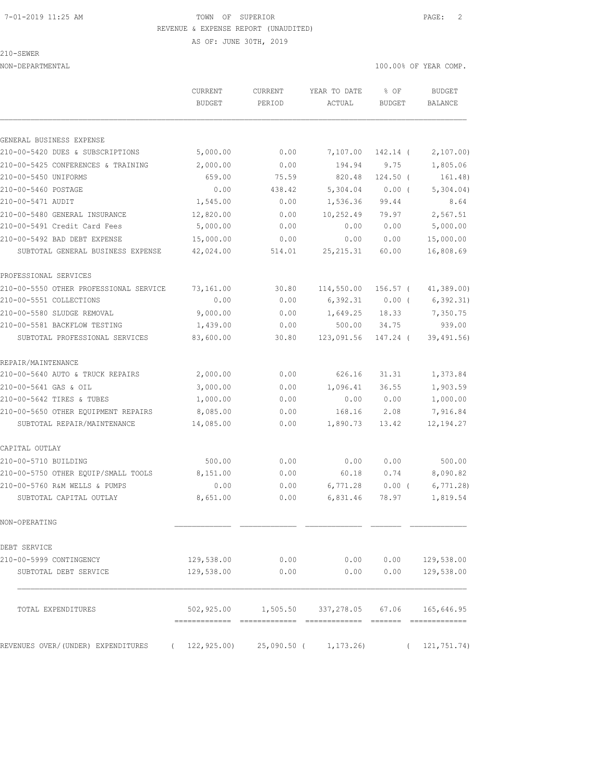## 7-01-2019 11:25 AM TOWN OF SUPERIOR PAGE: 2 REVENUE & EXPENSE REPORT (UNAUDITED)

AS OF: JUNE 30TH, 2019

210-SEWER

NON-DEPARTMENTAL 100.00% OF YEAR COMP.

|                                                | <b>BUDGET</b> | <b>CURRENT</b><br>PERIOD | YEAR TO DATE<br>ACTUAL | $8$ OF<br>BUDGET | <b>BUDGET</b><br>BALANCE |
|------------------------------------------------|---------------|--------------------------|------------------------|------------------|--------------------------|
| GENERAL BUSINESS EXPENSE                       |               |                          |                        |                  |                          |
| 210-00-5420 DUES & SUBSCRIPTIONS               | 5,000.00      | 0.00                     | 7,107.00               | 142.14 (         | 2,107.00)                |
| 210-00-5425 CONFERENCES & TRAINING             | 2,000.00      | 0.00                     | 194.94                 | 9.75             | 1,805.06                 |
| 210-00-5450 UNIFORMS                           | 659.00        | 75.59                    | 820.48                 | $124.50$ (       | 161.48)                  |
| 210-00-5460 POSTAGE                            | 0.00          | 438.42                   | 5,304.04               | $0.00$ (         | 5,304.04)                |
| 210-00-5471 AUDIT                              | 1,545.00      | 0.00                     | 1,536.36               | 99.44            | 8.64                     |
| 210-00-5480 GENERAL INSURANCE                  | 12,820.00     | 0.00                     | 10,252.49              | 79.97            | 2,567.51                 |
| 210-00-5491 Credit Card Fees                   | 5,000.00      | 0.00                     | 0.00                   | 0.00             | 5,000.00                 |
| 210-00-5492 BAD DEBT EXPENSE                   | 15,000.00     | 0.00                     | 0.00                   | 0.00             | 15,000.00                |
| SUBTOTAL GENERAL BUSINESS EXPENSE              | 42,024.00     | 514.01                   | 25, 215.31             | 60.00            | 16,808.69                |
| PROFESSIONAL SERVICES                          |               |                          |                        |                  |                          |
| 210-00-5550 OTHER PROFESSIONAL SERVICE         | 73,161.00     | 30.80                    | 114,550.00             | $156.57$ (       | 41,389.00)               |
| 210-00-5551 COLLECTIONS                        | 0.00          | 0.00                     | 6,392.31               | $0.00$ (         | 6,392.31)                |
| 210-00-5580 SLUDGE REMOVAL                     | 9,000.00      | 0.00                     | 1,649.25               | 18.33            | 7,350.75                 |
| 210-00-5581 BACKFLOW TESTING                   | 1,439.00      | 0.00                     | 500.00                 | 34.75            | 939.00                   |
| SUBTOTAL PROFESSIONAL SERVICES                 | 83,600.00     | 30.80                    | 123,091.56             | 147.24 (         | 39,491.56)               |
| REPAIR/MAINTENANCE                             |               |                          |                        |                  |                          |
| 210-00-5640 AUTO & TRUCK REPAIRS               | 2,000.00      | 0.00                     | 626.16                 | 31.31            | 1,373.84                 |
| 210-00-5641 GAS & OIL                          | 3,000.00      | 0.00                     | 1,096.41               | 36.55            | 1,903.59                 |
| 210-00-5642 TIRES & TUBES                      | 1,000.00      | 0.00                     | 0.00                   | 0.00             | 1,000.00                 |
| 210-00-5650 OTHER EQUIPMENT REPAIRS            | 8,085.00      | 0.00                     | 168.16                 | 2.08             | 7,916.84                 |
| SUBTOTAL REPAIR/MAINTENANCE                    | 14,085.00     | 0.00                     | 1,890.73               | 13.42            | 12, 194. 27              |
| CAPITAL OUTLAY                                 |               |                          |                        |                  |                          |
| 210-00-5710 BUILDING                           | 500.00        | 0.00                     | 0.00                   | 0.00             | 500.00                   |
| 210-00-5750 OTHER EOUIP/SMALL TOOLS            | 8,151.00      | 0.00                     | 60.18                  | 0.74             | 8,090.82                 |
| 210-00-5760 R&M WELLS & PUMPS                  | 0.00          | 0.00                     | 6,771.28               | $0.00$ (         | 6, 771.28                |
| SUBTOTAL CAPITAL OUTLAY                        | 8,651.00      | 0.00                     | 6,831.46               | 78.97            | 1,819.54                 |
| NON-OPERATING                                  |               |                          |                        |                  |                          |
| DEBT SERVICE                                   |               |                          |                        |                  |                          |
| 210-00-5999 CONTINGENCY                        | 129,538.00    | 0.00                     | 0.00                   | 0.00             | 129,538.00               |
| SUBTOTAL DEBT SERVICE                          | 129,538.00    | 0.00                     | 0.00                   | 0.00             | 129,538.00               |
| TOTAL EXPENDITURES                             | 502,925.00    | 1,505.50                 | 337,278.05             | 67.06            | 165,646.95               |
| REVENUES OVER/(UNDER) EXPENDITURES<br>$\left($ | 122, 925.00   | 25,090.50 (              | 1, 173.26              | $\left($         | 121, 751. 74)            |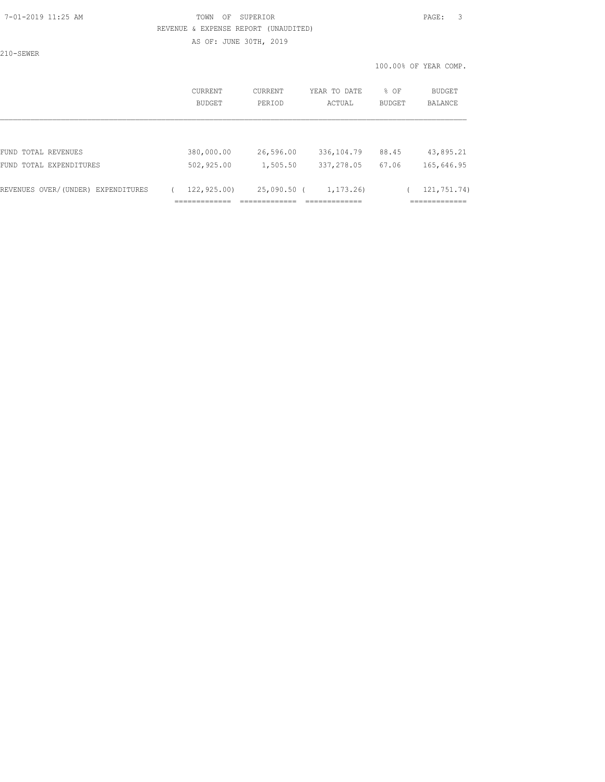#### 7-01-2019 11:25 AM TOWN OF SUPERIOR PAGE: 3 REVENUE & EXPENSE REPORT (UNAUDITED)

AS OF: JUNE 30TH, 2019

210-SEWER

100.00% OF YEAR COMP.

| <b>CURRENT</b><br>BUDGET | CURRENT<br>PERIOD      | YEAR TO DATE<br>ACTUAL                     | $8$ OF<br><b>BUDGET</b> | <b>BUDGET</b><br>BALANCE                  |
|--------------------------|------------------------|--------------------------------------------|-------------------------|-------------------------------------------|
|                          |                        |                                            |                         |                                           |
| 380,000.00               | 26,596.00              | 336,104.79                                 | 88.45                   | 43,895.21                                 |
| 502,925.00               | 1,505.50               | 337,278.05                                 | 67.06                   | 165,646.95                                |
| 122,925.00)              | __________<br>________ | 1, 173, 26<br>_____________<br>----------- |                         | 121,751.74)<br>____________<br>__________ |
|                          | _____________<br>.     |                                            | 25,090.50 (             |                                           |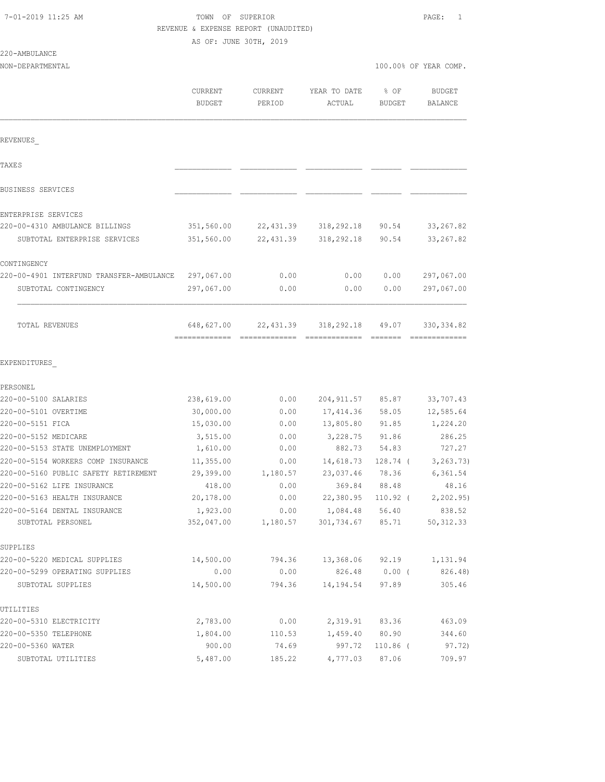## TOWN OF SUPERIOR **11:25 AM TOWN OF SUPERIOR** REVENUE & EXPENSE REPORT (UNAUDITED)

AS OF: JUNE 30TH, 2019

REVENUES\_

| TAXE S                                   |            |           |            |       |             |
|------------------------------------------|------------|-----------|------------|-------|-------------|
| BUSINESS SERVICES                        |            |           |            |       |             |
| ENTERPRISE SERVICES                      |            |           |            |       |             |
| 220-00-4310 AMBULANCE BILLINGS           | 351,560.00 | 22,431.39 | 318,292.18 | 90.54 | 33, 267.82  |
| SUBTOTAL ENTERPRISE SERVICES             | 351,560.00 | 22,431.39 | 318,292.18 | 90.54 | 33, 267.82  |
| CONTINGENCY                              |            |           |            |       |             |
| 220-00-4901 INTERFUND TRANSFER-AMBULANCE | 297,067.00 | 0.00      | 0.00       | 0.00  | 297,067.00  |
| SUBTOTAL CONTINGENCY                     | 297,067.00 | 0.00      | 0.00       | 0.00  | 297,067.00  |
| TOTAL REVENUES                           | 648,627.00 | 22,431.39 | 318,292.18 | 49.07 | 330, 334.82 |
|                                          |            |           |            |       |             |

#### EXPENDITURES\_

| PERSONEL                             |            |          |            |            |            |
|--------------------------------------|------------|----------|------------|------------|------------|
| 220-00-5100 SALARIES                 | 238,619.00 | 0.00     | 204,911.57 | 85.87      | 33,707.43  |
| 220-00-5101 OVERTIME                 | 30,000.00  | 0.00     | 17,414.36  | 58.05      | 12,585.64  |
| 220-00-5151 FICA                     | 15,030.00  | 0.00     | 13,805.80  | 91.85      | 1,224.20   |
| 220-00-5152 MEDICARE                 | 3,515.00   | 0.00     | 3,228.75   | 91.86      | 286.25     |
| 220-00-5153 STATE UNEMPLOYMENT       | 1,610.00   | 0.00     | 882.73     | 54.83      | 727.27     |
| 220-00-5154 WORKERS COMP INSURANCE   | 11,355.00  | 0.00     | 14,618.73  | 128.74 (   | 3, 263.73) |
| 220-00-5160 PUBLIC SAFETY RETIREMENT | 29,399.00  | 1,180.57 | 23,037.46  | 78.36      | 6,361.54   |
| 220-00-5162 LIFE INSURANCE           | 418.00     | 0.00     | 369.84     | 88.48      | 48.16      |
| 220-00-5163 HEALTH INSURANCE         | 20,178.00  | 0.00     | 22,380.95  | 110.92 (   | 2,202.95)  |
| 220-00-5164 DENTAL INSURANCE         | 1,923.00   | 0.00     | 1,084.48   | 56.40      | 838.52     |
| SUBTOTAL PERSONEL                    | 352,047.00 | 1,180.57 | 301,734.67 | 85.71      | 50, 312.33 |
| SUPPLIES                             |            |          |            |            |            |
| 220-00-5220 MEDICAL SUPPLIES         | 14,500.00  | 794.36   | 13,368.06  | 92.19      | 1,131.94   |
| 220-00-5299 OPERATING SUPPLIES       | 0.00       | 0.00     | 826.48     | $0.00$ (   | 826.48)    |
| SUBTOTAL SUPPLIES                    | 14,500.00  | 794.36   | 14,194.54  | 97.89      | 305.46     |
| UTILITIES                            |            |          |            |            |            |
| 220-00-5310 ELECTRICITY              | 2,783.00   | 0.00     | 2,319.91   | 83.36      | 463.09     |
| 220-00-5350 TELEPHONE                | 1,804.00   | 110.53   | 1,459.40   | 80.90      | 344.60     |
| 220-00-5360 WATER                    | 900.00     | 74.69    | 997.72     | $110.86$ ( | 97.72)     |
| SUBTOTAL UTILITIES                   | 5,487.00   | 185.22   | 4,777.03   | 87.06      | 709.97     |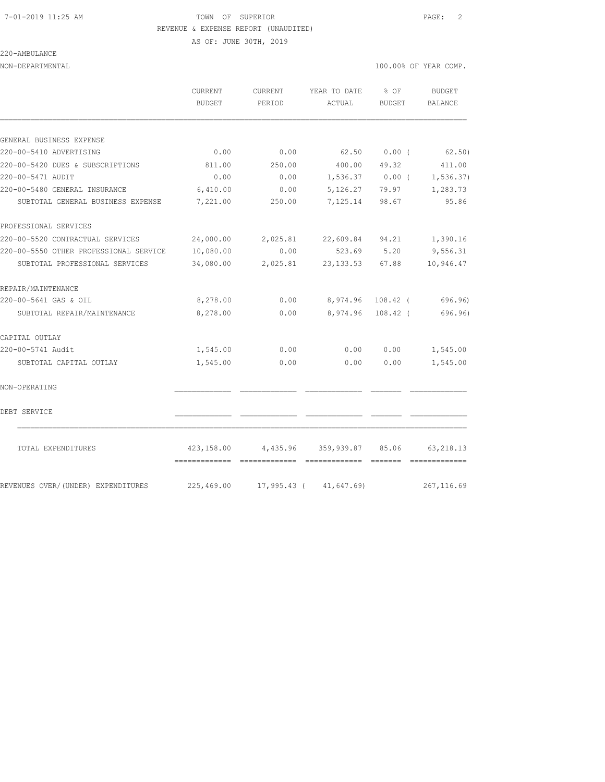#### 7-01-2019 11:25 AM TOWN OF SUPERIOR PAGE: 2 REVENUE & EXPENSE REPORT (UNAUDITED)

AS OF: JUNE 30TH, 2019

### 220-AMBULANCE

|                                        | CURRENT<br><b>BUDGET</b> | CURRENT<br>PERIOD | YEAR TO DATE<br>ACTUAL      | % OF<br><b>BUDGET</b> | <b>BUDGET</b><br><b>BALANCE</b> |
|----------------------------------------|--------------------------|-------------------|-----------------------------|-----------------------|---------------------------------|
|                                        |                          |                   |                             |                       |                                 |
| GENERAL BUSINESS EXPENSE               |                          |                   |                             |                       |                                 |
| 220-00-5410 ADVERTISING                | 0.00                     | 0.00              | 62.50                       | 0.00(                 | 62.50)                          |
| 220-00-5420 DUES & SUBSCRIPTIONS       | 811.00                   | 250.00            | 400.00                      | 49.32                 | 411.00                          |
| 220-00-5471 AUDIT                      | 0.00                     | 0.00              |                             |                       | $1,536.37$ 0.00 ( 1,536.37)     |
| 220-00-5480 GENERAL INSURANCE          | 6,410.00                 | 0.00              | 5,126.27                    | 79.97                 | 1,283.73                        |
| SUBTOTAL GENERAL BUSINESS EXPENSE      | 7,221.00                 | 250.00            | 7,125.14                    | 98.67                 | 95.86                           |
| PROFESSIONAL SERVICES                  |                          |                   |                             |                       |                                 |
| 220-00-5520 CONTRACTUAL SERVICES       | 24,000.00                | 2,025.81          | 22,609.84                   | 94.21                 | 1,390.16                        |
| 220-00-5550 OTHER PROFESSIONAL SERVICE | 10,080.00                | 0.00              | 523.69                      | 5.20                  | 9,556.31                        |
| SUBTOTAL PROFESSIONAL SERVICES         | 34,080.00                | 2,025.81          | 23,133.53 67.88             |                       | 10,946.47                       |
| REPAIR/MAINTENANCE                     |                          |                   |                             |                       |                                 |
| 220-00-5641 GAS & OIL                  | 8,278.00                 | 0.00              |                             | 8,974.96 108.42 (     | 696.96)                         |
| SUBTOTAL REPAIR/MAINTENANCE            | 8,278.00                 | 0.00              | 8,974.96                    | $108.42$ (            | 696.96)                         |
| CAPITAL OUTLAY                         |                          |                   |                             |                       |                                 |
| 220-00-5741 Audit                      | 1,545.00                 | 0.00              | 0.00                        | 0.00                  | 1,545.00                        |
| SUBTOTAL CAPITAL OUTLAY                | 1,545.00                 | 0.00              | 0.00                        | 0.00                  | 1,545.00                        |
| NON-OPERATING                          |                          |                   |                             |                       |                                 |
| DEBT SERVICE                           |                          |                   |                             |                       |                                 |
| TOTAL EXPENDITURES                     | 423,158.00               | 4,435.96          | 359,939.87                  | 85.06                 | 63, 218.13                      |
| REVENUES OVER/(UNDER) EXPENDITURES     | 225,469.00               |                   | $17,995.43$ ( $41,647.69$ ) |                       | 267, 116.69                     |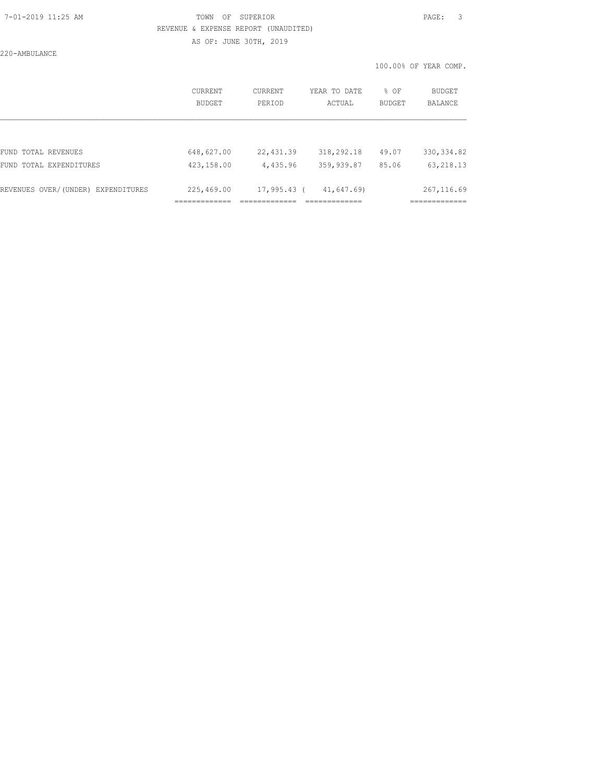## 7-01-2019 11:25 AM TOWN OF SUPERIOR PAGE: 3 REVENUE & EXPENSE REPORT (UNAUDITED)

AS OF: JUNE 30TH, 2019

220-AMBULANCE

|                                    |                          |                   |                            |                | 100.00% OF YEAR COMP.       |
|------------------------------------|--------------------------|-------------------|----------------------------|----------------|-----------------------------|
|                                    | <b>CURRENT</b><br>BUDGET | CURRENT<br>PERIOD | YEAR TO DATE<br>ACTUAL     | % OF<br>BUDGET | BUDGET<br>BALANCE           |
|                                    |                          |                   |                            |                |                             |
| FUND TOTAL REVENUES                | 648,627.00               | 22,431.39         | 318,292.18                 | 49.07          | 330, 334.82                 |
| FUND TOTAL EXPENDITURES            | 423,158.00               | 4,435.96          | 359,939.87                 | 85.06          | 63, 218.13                  |
| REVENUES OVER/(UNDER) EXPENDITURES | 225,469.00               | 17,995.43 (       | 41,647.69)<br>.=========== |                | 267, 116.69<br>============ |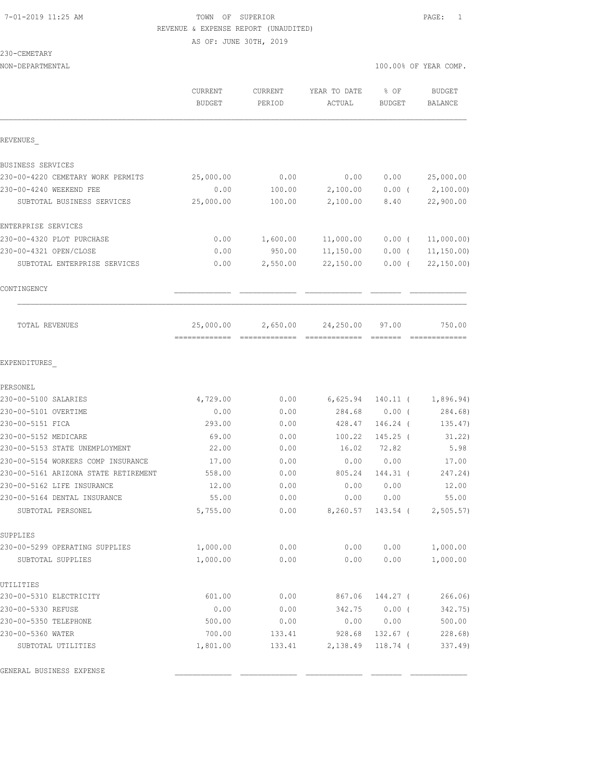## 7-01-2019 11:25 AM TOWN OF SUPERIOR PAGE: 1 REVENUE & EXPENSE REPORT (UNAUDITED)

AS OF: JUNE 30TH, 2019

### 230-CEMETARY

| NON-DEPARTMENTAL                     |                                 |                   |                        | 100.00% OF YEAR COMP. |                          |
|--------------------------------------|---------------------------------|-------------------|------------------------|-----------------------|--------------------------|
|                                      | <b>CURRENT</b><br><b>BUDGET</b> | CURRENT<br>PERIOD | YEAR TO DATE<br>ACTUAL | % OF<br><b>BUDGET</b> | <b>BUDGET</b><br>BALANCE |
| REVENUES                             |                                 |                   |                        |                       |                          |
| BUSINESS SERVICES                    |                                 |                   |                        |                       |                          |
| 230-00-4220 CEMETARY WORK PERMITS    | 25,000.00                       | 0.00              | 0.00                   | 0.00                  | 25,000.00                |
| 230-00-4240 WEEKEND FEE              | 0.00                            | 100.00            | 2,100.00               | $0.00$ (              | 2,100.00)                |
| SUBTOTAL BUSINESS SERVICES           | 25,000.00                       | 100.00            | 2,100.00               | 8.40                  | 22,900.00                |
| ENTERPRISE SERVICES                  |                                 |                   |                        |                       |                          |
| 230-00-4320 PLOT PURCHASE            | 0.00                            | 1,600.00          | 11,000.00              | $0.00$ (              | 11,000.00)               |
| 230-00-4321 OPEN/CLOSE               | 0.00                            | 950.00            | 11,150.00              | $0.00$ (              | 11, 150.00               |
| SUBTOTAL ENTERPRISE SERVICES         | 0.00                            | 2,550.00          | 22,150.00              | $0.00$ (              | 22, 150.00               |
| CONTINGENCY                          |                                 |                   |                        |                       |                          |
| TOTAL REVENUES                       | 25,000.00                       | 2,650.00          | 24,250.00              | 97.00                 | 750.00                   |
| EXPENDITURES                         |                                 |                   |                        |                       |                          |
| PERSONEL                             |                                 |                   |                        |                       |                          |
| 230-00-5100 SALARIES                 | 4,729.00                        | 0.00              | 6,625.94               | $140.11$ (            | 1,896.94)                |
| 230-00-5101 OVERTIME                 | 0.00                            | 0.00              | 284.68                 | 0.00(                 | 284.68)                  |
| 230-00-5151 FICA                     | 293.00                          | 0.00              | 428.47                 | $146.24$ (            | 135.47)                  |
| 230-00-5152 MEDICARE                 | 69.00                           | 0.00              | 100.22                 | $145.25$ (            | 31.22)                   |
| 230-00-5153 STATE UNEMPLOYMENT       | 22.00                           | 0.00              | 16.02                  | 72.82                 | 5.98                     |
| 230-00-5154 WORKERS COMP INSURANCE   | 17.00                           | 0.00              | 0.00                   | 0.00                  | 17.00                    |
| 230-00-5161 ARIZONA STATE RETIREMENT | 558.00                          | 0.00              | 805.24                 | 144.31 (              | 247.24)                  |
| 230-00-5162 LIFE INSURANCE           | 12.00                           | 0.00              | 0.00                   | 0.00                  | 12.00                    |
| 230-00-5164 DENTAL INSURANCE         | 55.00                           | 0.00              | 0.00                   | 0.00                  | 55.00                    |
| SUBTOTAL PERSONEL                    | 5,755.00                        | 0.00              |                        | 8,260.57 143.54 (     | 2,505.57)                |
| SUPPLIES                             |                                 |                   |                        |                       |                          |
| 230-00-5299 OPERATING SUPPLIES       | 1,000.00                        | 0.00              | 0.00                   | 0.00                  | 1,000.00                 |
| SUBTOTAL SUPPLIES                    | 1,000.00                        | 0.00              | 0.00                   | 0.00                  | 1,000.00                 |
| UTILITIES                            |                                 |                   |                        |                       |                          |
| 230-00-5310 ELECTRICITY              | 601.00                          | 0.00              | 867.06                 | 144.27 (              | 266.06)                  |
| 230-00-5330 REFUSE                   | 0.00                            | 0.00              | 342.75                 | $0.00$ (              | 342.75)                  |
| 230-00-5350 TELEPHONE                | 500.00                          | 0.00              | 0.00                   | 0.00                  | 500.00                   |
| 230-00-5360 WATER                    | 700.00                          | 133.41            | 928.68                 | 132.67 (              | 228.68)                  |
| SUBTOTAL UTILITIES                   | 1,801.00                        | 133.41            | 2,138.49               | 118.74 (              | 337.49)                  |
| GENERAL BUSINESS EXPENSE             |                                 |                   |                        |                       |                          |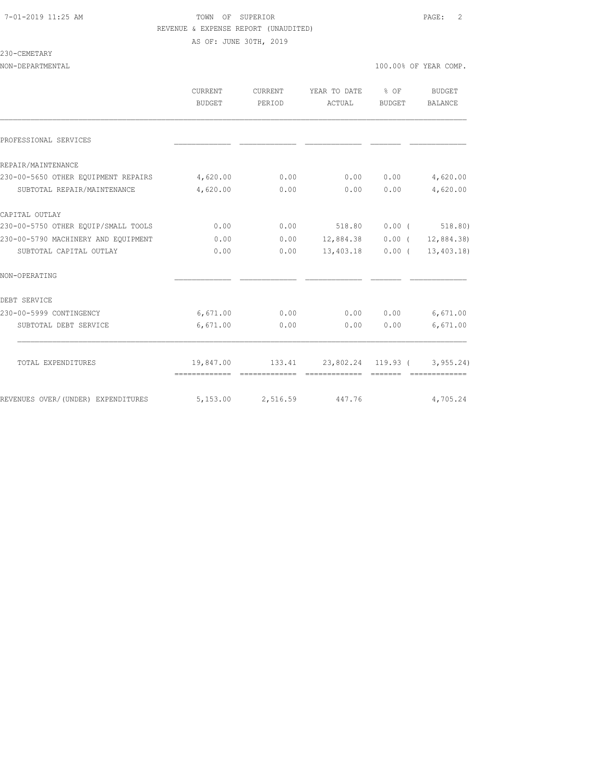### 7-01-2019 11:25 AM TOWN OF SUPERIOR PAGE: 2 REVENUE & EXPENSE REPORT (UNAUDITED) AS OF: JUNE 30TH, 2019

#### 230-CEMETARY

|                                     | <b>CURRENT</b><br><b>BUDGET</b> | <b>CURRENT</b><br>PERIOD | YEAR TO DATE<br>ACTUAL | % OF<br><b>BUDGET</b>                                                                                                                                                                                                                                                                                                                                                                                                                                                                                                                                                                         | <b>BUDGET</b><br><b>BALANCE</b>               |
|-------------------------------------|---------------------------------|--------------------------|------------------------|-----------------------------------------------------------------------------------------------------------------------------------------------------------------------------------------------------------------------------------------------------------------------------------------------------------------------------------------------------------------------------------------------------------------------------------------------------------------------------------------------------------------------------------------------------------------------------------------------|-----------------------------------------------|
| PROFESSIONAL SERVICES               |                                 |                          |                        |                                                                                                                                                                                                                                                                                                                                                                                                                                                                                                                                                                                               |                                               |
| REPAIR/MAINTENANCE                  |                                 |                          |                        |                                                                                                                                                                                                                                                                                                                                                                                                                                                                                                                                                                                               |                                               |
| 230-00-5650 OTHER EQUIPMENT REPAIRS | 4,620.00                        | 0.00                     | 0.00                   | 0.00                                                                                                                                                                                                                                                                                                                                                                                                                                                                                                                                                                                          | 4,620.00                                      |
| SUBTOTAL REPAIR/MAINTENANCE         | 4,620.00                        | 0.00                     | 0.00                   | 0.00                                                                                                                                                                                                                                                                                                                                                                                                                                                                                                                                                                                          | 4,620.00                                      |
| CAPITAL OUTLAY                      |                                 |                          |                        |                                                                                                                                                                                                                                                                                                                                                                                                                                                                                                                                                                                               |                                               |
| 230-00-5750 OTHER EQUIP/SMALL TOOLS | 0.00                            | 0.00                     | 518.80                 |                                                                                                                                                                                                                                                                                                                                                                                                                                                                                                                                                                                               | $0.00$ ( 518.80)                              |
| 230-00-5790 MACHINERY AND EQUIPMENT | 0.00                            | 0.00                     | 12,884.38              | $0.00$ (                                                                                                                                                                                                                                                                                                                                                                                                                                                                                                                                                                                      | 12,884.38)                                    |
| SUBTOTAL CAPITAL OUTLAY             | 0.00                            | 0.00                     | 13,403.18              |                                                                                                                                                                                                                                                                                                                                                                                                                                                                                                                                                                                               | $0.00$ ( $13,403.18$ )                        |
| NON-OPERATING                       |                                 |                          |                        |                                                                                                                                                                                                                                                                                                                                                                                                                                                                                                                                                                                               |                                               |
| DEBT SERVICE                        |                                 |                          |                        |                                                                                                                                                                                                                                                                                                                                                                                                                                                                                                                                                                                               |                                               |
| 230-00-5999 CONTINGENCY             | 6,671.00                        | 0.00                     | 0.00                   | 0.00                                                                                                                                                                                                                                                                                                                                                                                                                                                                                                                                                                                          | 6,671.00                                      |
| SUBTOTAL DEBT SERVICE               | 6,671.00                        | 0.00                     | 0.00                   | 0.00                                                                                                                                                                                                                                                                                                                                                                                                                                                                                                                                                                                          | 6,671.00                                      |
| TOTAL EXPENDITURES                  | -------------- -------------    | 19,847.00 133.41         | =============          | $\qquad \qquad \overline{\qquad \qquad }=\overline{\qquad \qquad }=\overline{\qquad \qquad }=\overline{\qquad \qquad }=\overline{\qquad \qquad }=\overline{\qquad \qquad }=\overline{\qquad \qquad }=\overline{\qquad \qquad }=\overline{\qquad \qquad }=\overline{\qquad \qquad }=\overline{\qquad \qquad }=\overline{\qquad \qquad }=\overline{\qquad \qquad }=\overline{\qquad \qquad }=\overline{\qquad \qquad }=\overline{\qquad \qquad }=\overline{\qquad \qquad }=\overline{\qquad \qquad }=\overline{\qquad \qquad }=\overline{\qquad \qquad }=\overline{\qquad \qquad }=\overline{\$ | 23,802.24 119.93 ( 3,955.24)<br>============= |
| REVENUES OVER/(UNDER) EXPENDITURES  | 5,153.00                        | 2,516.59                 | 447.76                 |                                                                                                                                                                                                                                                                                                                                                                                                                                                                                                                                                                                               | 4,705.24                                      |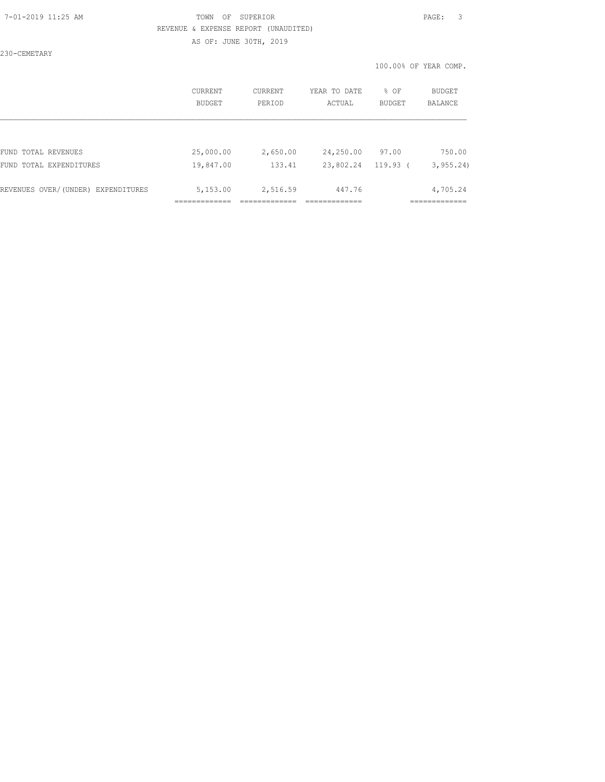### 7-01-2019 11:25 AM TOWN OF SUPERIOR PAGE: 3 REVENUE & EXPENSE REPORT (UNAUDITED) AS OF: JUNE 30TH, 2019

230-CEMETARY

100.00% OF YEAR COMP.

|                                    | CURRENT<br>BUDGET | CURRENT<br>PERIOD | YEAR TO DATE<br>ACTUAL | % OF<br><b>BUDGET</b> | <b>BUDGET</b><br><b>BALANCE</b> |
|------------------------------------|-------------------|-------------------|------------------------|-----------------------|---------------------------------|
|                                    |                   |                   |                        |                       |                                 |
| FUND TOTAL REVENUES                | 25,000.00         | 2,650.00          | 24,250.00              | 97.00                 | 750.00                          |
| FUND TOTAL EXPENDITURES            | 19,847.00         | 133.41            | 23,802.24              | $119.93$ (            | 3, 955.24                       |
| REVENUES OVER/(UNDER) EXPENDITURES | 5,153.00          | 2,516.59          | 447.76                 |                       | 4,705.24                        |
|                                    |                   |                   |                        |                       |                                 |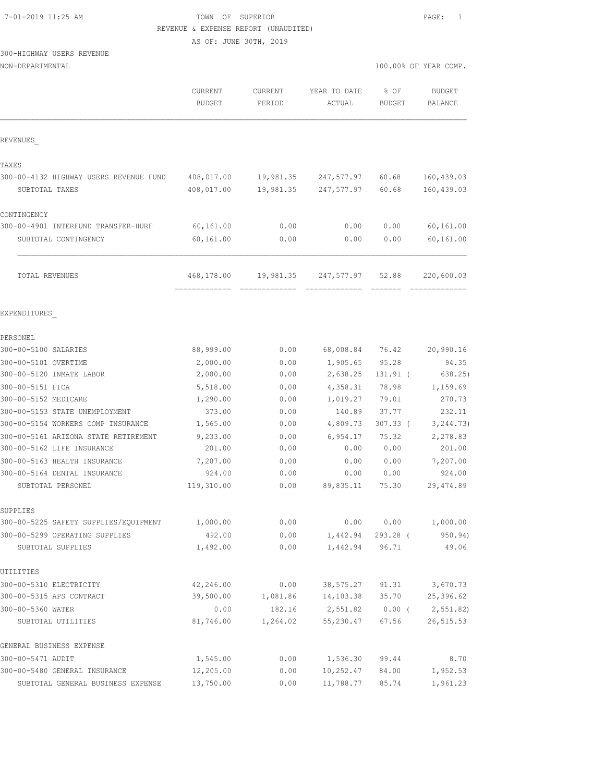| 7-01-2019 11:25 AM |  |  |  |  |
|--------------------|--|--|--|--|
|--------------------|--|--|--|--|

### TOWN OF SUPERIOR **11:25 AM TOWN OF SUPERIOR** REVENUE & EXPENSE REPORT (UNAUDITED)

AS OF: JUNE 30TH, 2019

## 300-HIGHWAY USERS REVENUE

| NON-DEPARTMENTAL |  |
|------------------|--|
|------------------|--|

|                                        | CURRENT<br><b>BUDGET</b> | <b>CURRENT</b><br>PERIOD | YEAR TO DATE<br>ACTUAL     | $8$ OF<br><b>BUDGET</b> | <b>BUDGET</b><br><b>BALANCE</b> |
|----------------------------------------|--------------------------|--------------------------|----------------------------|-------------------------|---------------------------------|
| REVENUES                               |                          |                          |                            |                         |                                 |
| TAXES                                  |                          |                          |                            |                         |                                 |
| 300-00-4132 HIGHWAY USERS REVENUE FUND | 408,017.00               | 19,981.35                | 247,577.97                 | 60.68                   | 160, 439.03                     |
| SUBTOTAL TAXES                         | 408,017.00               | 19,981.35                | 247,577.97                 | 60.68                   | 160, 439.03                     |
| CONTINGENCY                            |                          |                          |                            |                         |                                 |
| 300-00-4901 INTERFUND TRANSFER-HURF    | 60,161.00                | 0.00                     | 0.00                       | 0.00                    | 60,161.00                       |
| SUBTOTAL CONTINGENCY                   | 60,161.00                | 0.00                     | 0.00                       | 0.00                    | 60,161.00                       |
| TOTAL REVENUES                         | 468,178.00               |                          | 19,981.35 247,577.97 52.88 |                         | 220,600.03                      |
| EXPENDITURES                           |                          |                          |                            |                         |                                 |
| PERSONEL                               |                          |                          |                            |                         |                                 |
| 300-00-5100 SALARIES                   | 88,999.00                | 0.00                     | 68,008.84                  | 76.42                   | 20,990.16                       |
| 300-00-5101 OVERTIME                   | 2,000.00                 | 0.00                     | 1,905.65                   | 95.28                   | 94.35                           |
| 300-00-5120 INMATE LABOR               | 2,000.00                 | 0.00                     | 2,638.25                   | 131.91 (                | 638.25)                         |
| 300-00-5151 FICA                       | 5,518.00                 | 0.00                     | 4,358.31                   | 78.98                   | 1,159.69                        |
| 300-00-5152 MEDICARE                   | 1,290.00                 | 0.00                     | 1,019.27                   | 79.01                   | 270.73                          |
| 300-00-5153 STATE UNEMPLOYMENT         | 373.00                   | 0.00                     | 140.89                     | 37.77                   | 232.11                          |
| 300-00-5154 WORKERS COMP INSURANCE     | 1,565.00                 | 0.00                     | 4,809.73                   | $307.33$ (              | 3, 244.73)                      |
| 300-00-5161 ARIZONA STATE RETIREMENT   | 9,233.00                 | 0.00                     | 6,954.17                   | 75.32                   | 2,278.83                        |
| 300-00-5162 LIFE INSURANCE             | 201.00                   | 0.00                     | 0.00                       | 0.00                    | 201.00                          |
| 300-00-5163 HEALTH INSURANCE           | 7,207.00                 | 0.00                     | 0.00                       | 0.00                    | 7,207.00                        |
| 300-00-5164 DENTAL INSURANCE           | 924.00                   | 0.00                     | 0.00                       | 0.00                    | 924.00                          |
| SUBTOTAL PERSONEL                      | 119,310.00               | 0.00                     | 89,835.11                  | 75.30                   | 29, 474.89                      |
| SUPPLIES                               |                          |                          |                            |                         |                                 |
| 300-00-5225 SAFETY SUPPLIES/EQUIPMENT  | 1,000.00                 | 0.00                     | 0.00                       | 0.00                    | 1,000.00                        |
| 300-00-5299 OPERATING SUPPLIES         | 492.00                   | 0.00                     | 1,442.94                   | 293.28 (                | 950.94)                         |
| SUBTOTAL SUPPLIES                      | 1,492.00                 | 0.00                     | 1,442.94                   | 96.71                   | 49.06                           |
| UTILITIES                              |                          |                          |                            |                         |                                 |
| 300-00-5310 ELECTRICITY                | 42,246.00                | 0.00                     | 38,575.27                  | 91.31                   | 3,670.73                        |
| 300-00-5315 APS CONTRACT               | 39,500.00                | 1,081.86                 | 14,103.38                  | 35.70                   | 25,396.62                       |
| 300-00-5360 WATER                      | 0.00                     | 182.16                   | 2,551.82                   | $0.00$ (                | 2,551.82)                       |
| SUBTOTAL UTILITIES                     | 81,746.00                | 1,264.02                 | 55,230.47                  | 67.56                   | 26, 515.53                      |
| GENERAL BUSINESS EXPENSE               |                          |                          |                            |                         |                                 |
| 300-00-5471 AUDIT                      | 1,545.00                 | 0.00                     | 1,536.30                   | 99.44                   | 8.70                            |
| 300-00-5480 GENERAL INSURANCE          | 12,205.00                | 0.00                     | 10,252.47                  | 84.00                   | 1,952.53                        |
| SUBTOTAL GENERAL BUSINESS EXPENSE      | 13,750.00                | 0.00                     | 11,788.77                  | 85.74                   | 1,961.23                        |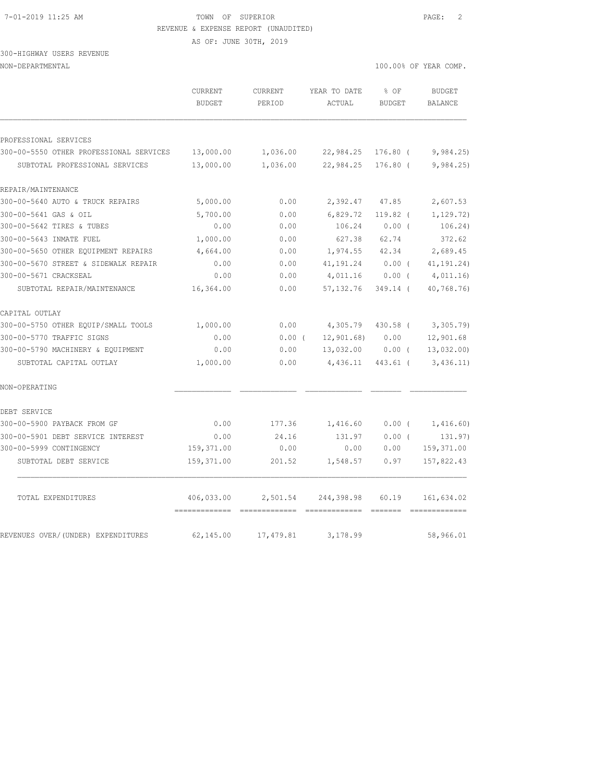#### 7-01-2019 11:25 AM TOWN OF SUPERIOR PAGE: 2 REVENUE & EXPENSE REPORT (UNAUDITED)

AS OF: JUNE 30TH, 2019

### 300-HIGHWAY USERS REVENUE NON-DEPARTMENTAL 100.00% OF YEAR COMP.

|                                         | CURRENT<br><b>BUDGET</b>   | CURRENT<br>PERIOD | YEAR TO DATE<br>ACTUAL | % OF<br><b>BUDGET</b> | <b>BUDGET</b><br><b>BALANCE</b> |
|-----------------------------------------|----------------------------|-------------------|------------------------|-----------------------|---------------------------------|
| PROFESSIONAL SERVICES                   |                            |                   |                        |                       |                                 |
| 300-00-5550 OTHER PROFESSIONAL SERVICES | 13,000.00                  | 1,036.00          | 22,984.25              | $176.80$ (            | 9,984.25                        |
| SUBTOTAL PROFESSIONAL SERVICES          | 13,000.00                  | 1,036.00          | 22,984.25              | $176.80$ (            | 9,984.25                        |
| REPAIR/MAINTENANCE                      |                            |                   |                        |                       |                                 |
| 300-00-5640 AUTO & TRUCK REPAIRS        | 5,000.00                   | 0.00              | 2,392.47               | 47.85                 | 2,607.53                        |
| 300-00-5641 GAS & OIL                   | 5,700.00                   | 0.00              | 6,829.72               | $119.82$ (            | 1, 129.72)                      |
| 300-00-5642 TIRES & TUBES               | 0.00                       | 0.00              | 106.24                 | $0.00$ (              | 106.24)                         |
| 300-00-5643 INMATE FUEL                 | 1,000.00                   | 0.00              | 627.38                 | 62.74                 | 372.62                          |
| 300-00-5650 OTHER EQUIPMENT REPAIRS     | 4,664.00                   | 0.00              | 1,974.55               | 42.34                 | 2,689.45                        |
| 300-00-5670 STREET & SIDEWALK REPAIR    | 0.00                       | 0.00              | 41, 191.24             | $0.00$ (              | 41, 191. 24)                    |
| 300-00-5671 CRACKSEAL                   | 0.00                       | 0.00              | 4,011.16               | $0.00$ (              | 4,011.16                        |
| SUBTOTAL REPAIR/MAINTENANCE             | 16,364.00                  | 0.00              | 57, 132.76             | $349.14$ (            | 40,768.76)                      |
| CAPITAL OUTLAY                          |                            |                   |                        |                       |                                 |
| 300-00-5750 OTHER EQUIP/SMALL TOOLS     | 1,000.00                   | 0.00              | 4,305.79               | 430.58 (              | 3,305.79                        |
| 300-00-5770 TRAFFIC SIGNS               | 0.00                       | $0.00$ (          | 12,901.68              | 0.00                  | 12,901.68                       |
| 300-00-5790 MACHINERY & EQUIPMENT       | 0.00                       | 0.00              | 13,032.00              | $0.00$ (              | 13,032.00                       |
| SUBTOTAL CAPITAL OUTLAY                 | 1,000.00                   | 0.00              | 4,436.11               | 443.61 (              | 3,436.11)                       |
| NON-OPERATING                           |                            |                   |                        |                       |                                 |
| DEBT SERVICE                            |                            |                   |                        |                       |                                 |
| 300-00-5900 PAYBACK FROM GF             | 0.00                       | 177.36            | 1,416.60               | $0.00$ (              | 1,416.60)                       |
| 300-00-5901 DEBT SERVICE INTEREST       | 0.00                       | 24.16             | 131.97                 | $0.00$ (              | 131.97)                         |
| 300-00-5999 CONTINGENCY                 | 159,371.00                 | 0.00              | 0.00                   | 0.00                  | 159,371.00                      |
| SUBTOTAL DEBT SERVICE                   | 159,371.00                 | 201.52            | 1,548.57               | 0.97                  | 157,822.43                      |
| TOTAL EXPENDITURES                      | 406,033.00                 | 2,501.54          | 244,398.98             | 60.19                 | 161,634.02                      |
| REVENUES OVER/(UNDER) EXPENDITURES      | =============<br>62,145.00 | 17,479.81         | 3,178.99               |                       | 58,966.01                       |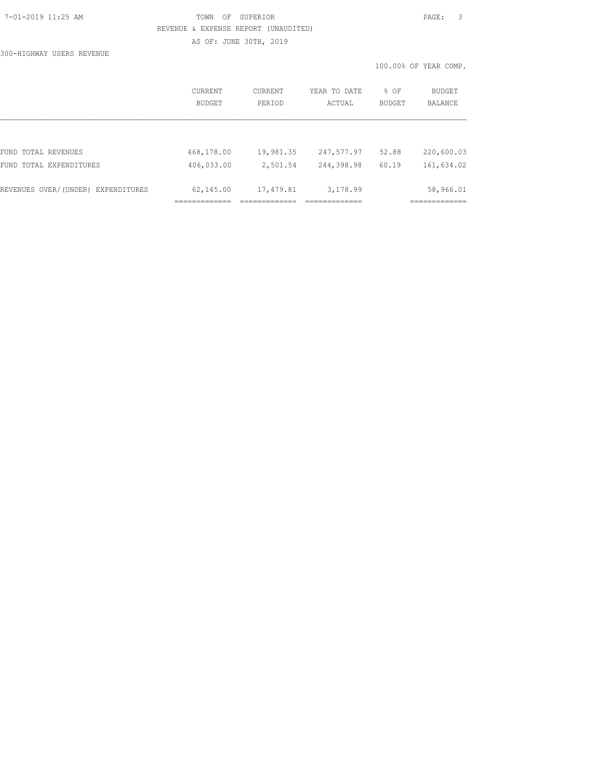## 7-01-2019 11:25 AM TOWN OF SUPERIOR PAGE: 3 REVENUE & EXPENSE REPORT (UNAUDITED) AS OF: JUNE 30TH, 2019

100.00% OF YEAR COMP.

300-HIGHWAY USERS REVENUE

|                                                   | CURRENT<br>BUDGET        | CURRENT<br>PERIOD     | YEAR TO DATE<br>ACTUAL   | % OF<br>BUDGET | BUDGET<br>BALANCE         |
|---------------------------------------------------|--------------------------|-----------------------|--------------------------|----------------|---------------------------|
|                                                   |                          |                       |                          |                |                           |
| FUND TOTAL REVENUES<br>TOTAL EXPENDITURES<br>FUND | 468,178.00<br>406,033.00 | 19,981.35<br>2,501.54 | 247,577.97<br>244,398.98 | 52.88<br>60.19 | 220,600.03<br>161,634.02  |
| REVENUES OVER/(UNDER) EXPENDITURES                | 62,145.00                | 17,479.81             | 3,178.99                 |                | 58,966.01<br>============ |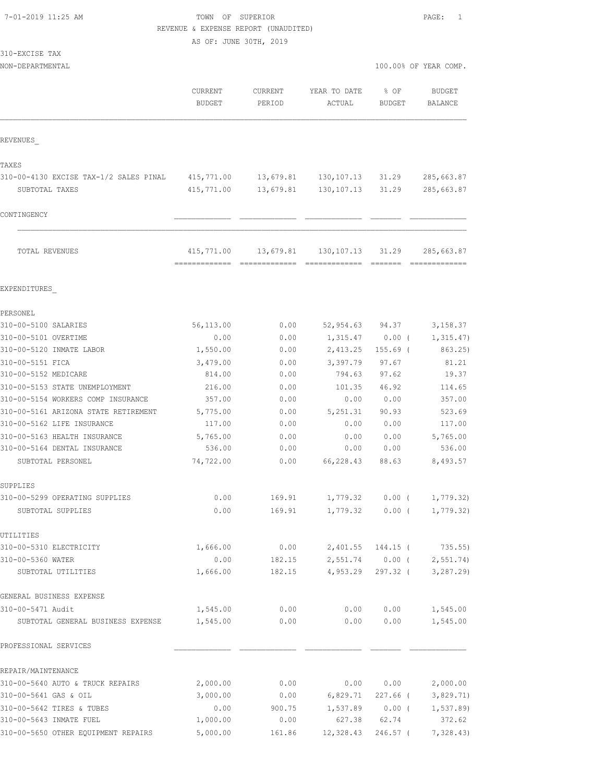### 7-01-2019 11:25 AM TOWN OF SUPERIOR PAGE: 1 REVENUE & EXPENSE REPORT (UNAUDITED)

AS OF: JUNE 30TH, 2019

|  | 310-EXCISE | TAX |
|--|------------|-----|
|  |            |     |

NON-DEPARTMENTAL 100.00% OF YEAR COMP.

|                                                        | CURRENT<br><b>BUDGET</b> | CURRENT<br>PERIOD | YEAR TO DATE<br>ACTUAL | % OF<br><b>BUDGET</b>         | <b>BUDGET</b><br><b>BALANCE</b> |
|--------------------------------------------------------|--------------------------|-------------------|------------------------|-------------------------------|---------------------------------|
| REVENUES                                               |                          |                   |                        |                               |                                 |
| TAXES                                                  |                          |                   |                        |                               |                                 |
| 310-00-4130 EXCISE TAX-1/2 SALES PINAL                 | 415,771.00               | 13,679.81         | 130, 107. 13           | 31.29                         | 285,663.87                      |
| SUBTOTAL TAXES                                         | 415,771.00               | 13,679.81         | 130, 107. 13           | 31.29                         | 285,663.87                      |
| CONTINGENCY                                            |                          |                   |                        |                               |                                 |
| TOTAL REVENUES                                         | 415,771.00               | 13,679.81         | 130, 107. 13           | 31.29                         | 285,663.87                      |
| EXPENDITURES                                           |                          |                   |                        |                               |                                 |
| PERSONEL                                               |                          |                   |                        |                               |                                 |
| 310-00-5100 SALARIES                                   | 56,113.00                | 0.00              | 52,954.63              | 94.37                         | 3,158.37                        |
| 310-00-5101 OVERTIME                                   | 0.00                     | 0.00              | 1,315.47               | $0.00$ (                      | 1, 315.47)                      |
| 310-00-5120 INMATE LABOR                               | 1,550.00                 | 0.00              | 2,413.25               | $155.69$ (                    | 863.25)                         |
| 310-00-5151 FICA                                       | 3,479.00                 | 0.00              | 3,397.79               | 97.67                         | 81.21                           |
| 310-00-5152 MEDICARE                                   | 814.00                   | 0.00              | 794.63                 | 97.62                         | 19.37                           |
| 310-00-5153 STATE UNEMPLOYMENT                         | 216.00                   | 0.00              | 101.35                 | 46.92                         | 114.65                          |
| 310-00-5154 WORKERS COMP INSURANCE                     | 357.00                   | 0.00              | 0.00                   | 0.00                          | 357.00                          |
| 310-00-5161 ARIZONA STATE RETIREMENT                   | 5,775.00                 | 0.00              | 5, 251.31              | 90.93                         | 523.69                          |
| 310-00-5162 LIFE INSURANCE                             | 117.00                   | 0.00              | 0.00                   | 0.00                          | 117.00                          |
| 310-00-5163 HEALTH INSURANCE                           | 5,765.00                 | 0.00              | 0.00                   | 0.00                          | 5,765.00                        |
| 310-00-5164 DENTAL INSURANCE                           | 536.00                   | 0.00              | 0.00                   | 0.00                          | 536.00                          |
| SUBTOTAL PERSONEL                                      | 74,722.00                | 0.00              | 66,228.43              | 88.63                         | 8,493.57                        |
| SUPPLIES                                               |                          |                   |                        |                               |                                 |
| 310-00-5299 OPERATING SUPPLIES                         | 0.00                     | 169.91            | 1,779.32               | $0.00$ (                      | 1,779.32)                       |
| SUBTOTAL SUPPLIES                                      | 0.00                     | 169.91            | 1,779.32               | $0.00$ (                      | 1,779.32)                       |
| UTILITIES                                              |                          |                   |                        |                               |                                 |
| 310-00-5310 ELECTRICITY                                | 1,666.00                 | 0.00              | 2,401.55               | 144.15 (                      | 735.55)                         |
| 310-00-5360 WATER<br>SUBTOTAL UTILITIES                | 0.00<br>1,666.00         | 182.15<br>182.15  | 4,953.29               | 2,551.74 0.00 (<br>$297.32$ ( | 2, 551.74<br>3,287.29           |
|                                                        |                          |                   |                        |                               |                                 |
| GENERAL BUSINESS EXPENSE                               |                          |                   |                        |                               |                                 |
| 310-00-5471 Audit<br>SUBTOTAL GENERAL BUSINESS EXPENSE | 1,545.00<br>1,545.00     | 0.00<br>0.00      | 0.00<br>0.00           | 0.00<br>0.00                  | 1,545.00<br>1,545.00            |
| PROFESSIONAL SERVICES                                  |                          |                   |                        |                               |                                 |
| REPAIR/MAINTENANCE                                     |                          |                   |                        |                               |                                 |
| 310-00-5640 AUTO & TRUCK REPAIRS                       | 2,000.00                 | 0.00              | 0.00                   | 0.00                          | 2,000.00                        |
| 310-00-5641 GAS & OIL                                  | 3,000.00                 | 0.00              | 6,829.71               |                               | 227.66 ( 3,829.71)              |
| 310-00-5642 TIRES & TUBES                              | 0.00                     | 900.75            | 1,537.89               |                               | $0.00$ ( $1,537.89$ )           |

310-00-5643 INMATE FUEL 1,000.00 0.00 627.38 62.74 372.62 310-00-5650 OTHER EQUIPMENT REPAIRS 5,000.00 161.86 12,328.43 246.57 ( 7,328.43)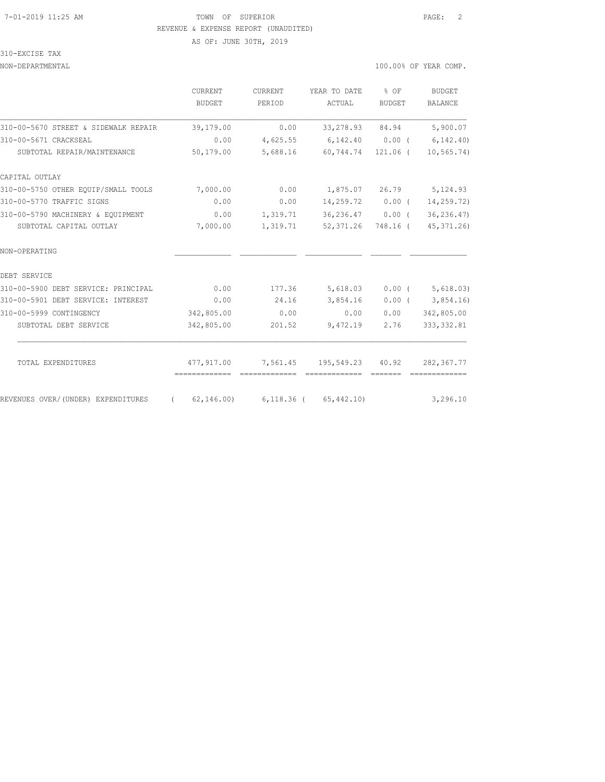#### 7-01-2019 11:25 AM TOWN OF SUPERIOR PAGE: 2 REVENUE & EXPENSE REPORT (UNAUDITED)

AS OF: JUNE 30TH, 2019

310-EXCISE TAX

#### NON-DEPARTMENTAL 100.00% OF YEAR COMP.

|                                      | CURRENT<br>BUDGET                | CURRENT<br>PERIOD | YEAR TO DATE<br>ACTUAL     | $8$ OF<br><b>BUDGET</b> | <b>BUDGET</b><br><b>BALANCE</b> |
|--------------------------------------|----------------------------------|-------------------|----------------------------|-------------------------|---------------------------------|
| 310-00-5670 STREET & SIDEWALK REPAIR | 39,179.00                        | 0.00              | 33,278.93                  | 84.94                   | 5,900.07                        |
| 310-00-5671 CRACKSEAL                | 0.00                             | 4,625.55          | 6,142.40                   | 0.00(                   | 6, 142, 40                      |
| SUBTOTAL REPAIR/MAINTENANCE          | 50,179.00                        | 5,688.16          | 60,744.74                  | 121.06 (                | 10, 565.74)                     |
| CAPITAL OUTLAY                       |                                  |                   |                            |                         |                                 |
| 310-00-5750 OTHER EOUIP/SMALL TOOLS  | 7,000.00                         | 0.00              | 1,875.07                   | 26.79                   | 5,124.93                        |
| 310-00-5770 TRAFFIC SIGNS            | 0.00                             | 0.00              | $14,259.72$ 0.00 (         |                         | 14,259.72)                      |
| 310-00-5790 MACHINERY & EQUIPMENT    | 0.00                             | 1,319.71          | 36,236.47                  | $0.00$ (                | 36, 236.47                      |
| SUBTOTAL CAPITAL OUTLAY              | 7,000.00                         | 1,319.71          | 52,371.26                  | 748.16 (                | 45,371.26                       |
| NON-OPERATING                        |                                  |                   |                            |                         |                                 |
| DEBT SERVICE                         |                                  |                   |                            |                         |                                 |
| 310-00-5900 DEBT SERVICE: PRINCIPAL  | 0.00                             | 177.36            | 5,618.03                   | $0.00$ (                | 5,618.03)                       |
| 310-00-5901 DEBT SERVICE: INTEREST   | 0.00                             | 24.16             | 3,854.16                   | $0.00$ (                | 3,854.16                        |
| 310-00-5999 CONTINGENCY              | 342,805.00                       | 0.00              | 0.00                       | 0.00                    | 342,805.00                      |
| SUBTOTAL DEBT SERVICE                | 342,805.00                       | 201.52            | 9,472.19                   | 2.76                    | 333, 332.81                     |
| TOTAL EXPENDITURES                   | 477,917.00                       | 7,561.45          | 195,549.23                 | 40.92                   | 282,367.77                      |
|                                      | -------------------------------- |                   | =============              |                         |                                 |
| REVENUES OVER/(UNDER) EXPENDITURES   | 62,146.00)<br>$\left($           |                   | $6,118.36$ ( $65,442.10$ ) |                         | 3,296.10                        |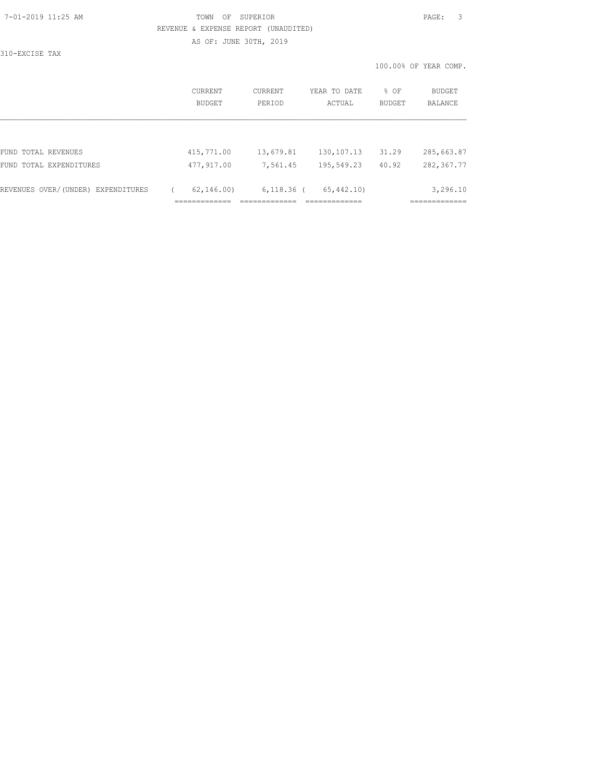### 7-01-2019 11:25 AM TOWN OF SUPERIOR PAGE: 3 REVENUE & EXPENSE REPORT (UNAUDITED) AS OF: JUNE 30TH, 2019

310-EXCISE TAX

100.00% OF YEAR COMP.

|                                    | CURRENT<br><b>BUDGET</b> | CURRENT<br>PERIOD | YEAR TO DATE<br>ACTUAL | % OF<br><b>BUDGET</b> | BUDGET<br><b>BALANCE</b> |
|------------------------------------|--------------------------|-------------------|------------------------|-----------------------|--------------------------|
|                                    |                          |                   |                        |                       |                          |
| FUND TOTAL REVENUES                | 415,771.00               | 13,679.81         | 130, 107. 13           | 31.29                 | 285,663.87               |
| FUND TOTAL EXPENDITURES            | 477,917.00               | 7,561.45          | 195,549.23             | 40.92                 | 282, 367.77              |
| REVENUES OVER/(UNDER) EXPENDITURES | 62, 146, 00)             | $6,118.36$ (      | 65, 442, 10)           |                       | 3,296.10                 |
|                                    |                          |                   |                        |                       |                          |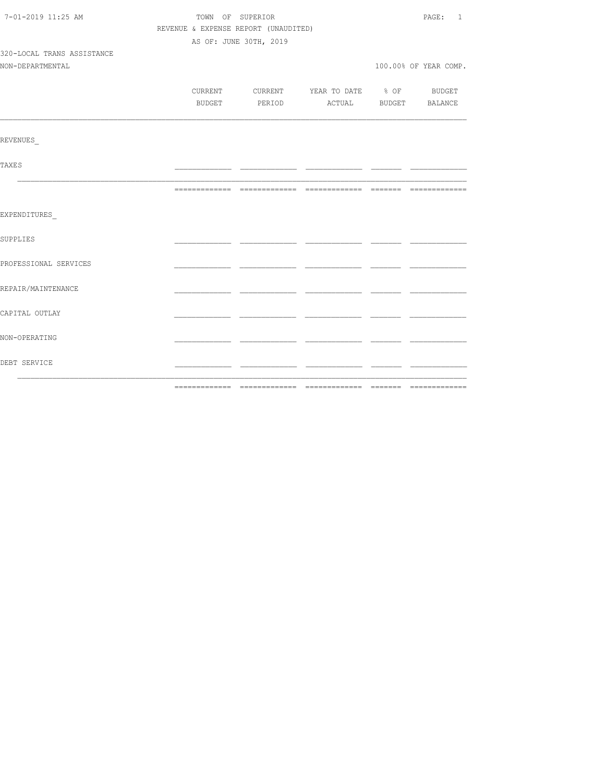| 7-01-2019 11:25 AM         | TOWN OF SUPERIOR |                                      |                                          |  | PAGE: 1               |
|----------------------------|------------------|--------------------------------------|------------------------------------------|--|-----------------------|
|                            |                  | REVENUE & EXPENSE REPORT (UNAUDITED) |                                          |  |                       |
|                            |                  | AS OF: JUNE 30TH, 2019               |                                          |  |                       |
| 320-LOCAL TRANS ASSISTANCE |                  |                                      |                                          |  |                       |
| NON-DEPARTMENTAL           |                  |                                      |                                          |  | 100.00% OF YEAR COMP. |
|                            |                  |                                      |                                          |  |                       |
|                            |                  |                                      | CURRENT CURRENT YEAR TO DATE % OF BUDGET |  |                       |
|                            |                  |                                      | BUDGET PERIOD ACTUAL BUDGET BALANCE      |  |                       |
|                            |                  |                                      |                                          |  |                       |
| REVENUES                   |                  |                                      |                                          |  |                       |
| <b>TAXES</b>               |                  |                                      |                                          |  |                       |
|                            |                  |                                      |                                          |  |                       |
| EXPENDITURES               |                  |                                      |                                          |  |                       |
| <b>SUPPLIES</b>            |                  |                                      |                                          |  |                       |
| PROFESSIONAL SERVICES      |                  |                                      |                                          |  |                       |
| REPAIR/MAINTENANCE         |                  |                                      |                                          |  |                       |
| CAPITAL OUTLAY             |                  |                                      |                                          |  |                       |
| NON-OPERATING              |                  |                                      |                                          |  |                       |
| DEBT SERVICE               |                  |                                      |                                          |  |                       |
|                            |                  |                                      |                                          |  |                       |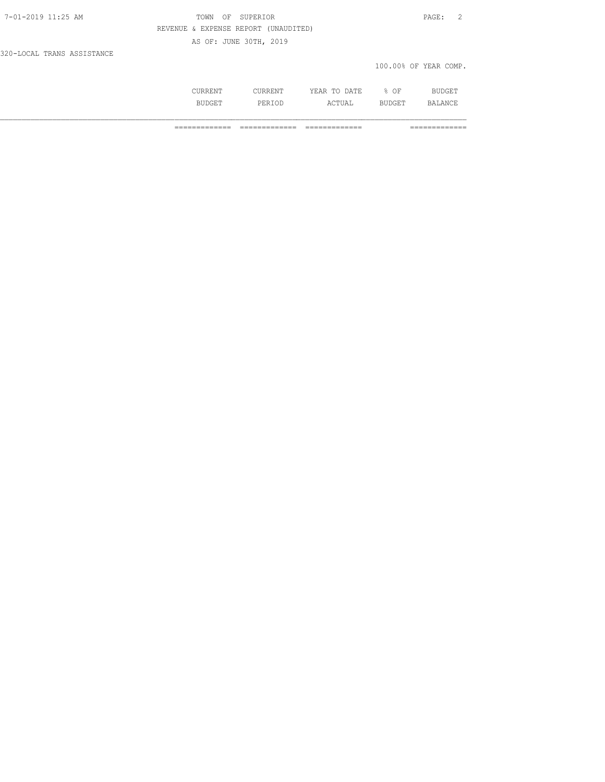|--|

### TOWN OF SUPERIOR **11:25 AM TOWN OF SUPERIOR**  REVENUE & EXPENSE REPORT (UNAUDITED) AS OF: JUNE 30TH, 2019

320-LOCAL TRANS ASSISTANCE

#### 100.00% OF YEAR COMP.

| <b>ATIT</b> | DATE.<br>$- - -$<br>m <sub>c</sub><br>$\sim$<br>--- | ΟF |  |
|-------------|-----------------------------------------------------|----|--|
|             | .                                                   |    |  |

============= ============= ============= =============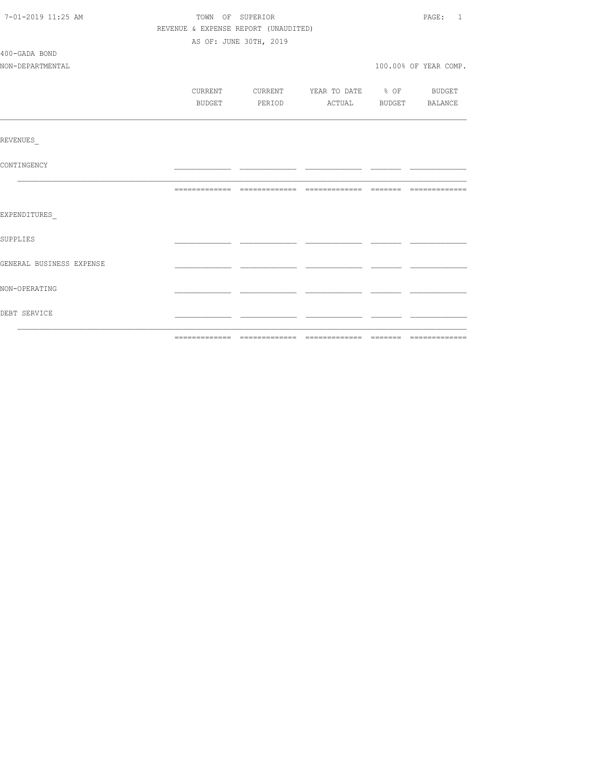| 7-01-2019 11:25 AM       | TOWN OF SUPERIOR                     |                        |                                          |  | PAGE: 1               |
|--------------------------|--------------------------------------|------------------------|------------------------------------------|--|-----------------------|
|                          | REVENUE & EXPENSE REPORT (UNAUDITED) |                        |                                          |  |                       |
|                          |                                      | AS OF: JUNE 30TH, 2019 |                                          |  |                       |
| 400-GADA BOND            |                                      |                        |                                          |  |                       |
| NON-DEPARTMENTAL         |                                      |                        |                                          |  | 100.00% OF YEAR COMP. |
|                          |                                      |                        |                                          |  |                       |
|                          |                                      |                        | CURRENT CURRENT YEAR TO DATE % OF BUDGET |  |                       |
|                          | BUDGET                               |                        | PERIOD ACTUAL BUDGET BALANCE             |  |                       |
|                          |                                      |                        |                                          |  |                       |
|                          |                                      |                        |                                          |  |                       |
| REVENUES                 |                                      |                        |                                          |  |                       |
|                          |                                      |                        |                                          |  |                       |
| CONTINGENCY              |                                      |                        |                                          |  |                       |
|                          |                                      |                        |                                          |  |                       |
|                          |                                      |                        |                                          |  |                       |
|                          |                                      |                        |                                          |  |                       |
| EXPENDITURES             |                                      |                        |                                          |  |                       |
| SUPPLIES                 |                                      |                        |                                          |  |                       |
|                          |                                      |                        |                                          |  |                       |
| GENERAL BUSINESS EXPENSE |                                      |                        |                                          |  |                       |
|                          |                                      |                        |                                          |  |                       |
| NON-OPERATING            |                                      |                        |                                          |  |                       |
|                          |                                      |                        |                                          |  |                       |
| DEBT SERVICE             |                                      |                        |                                          |  |                       |
|                          |                                      |                        |                                          |  |                       |
|                          |                                      |                        |                                          |  |                       |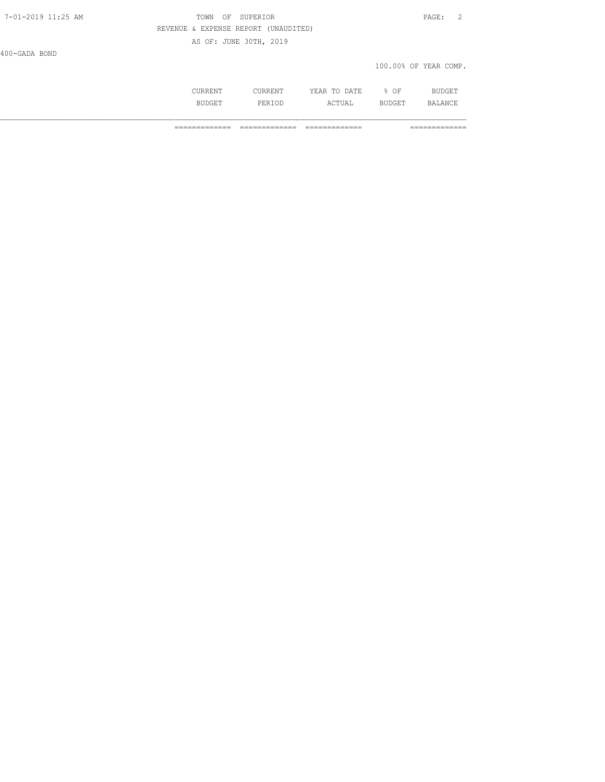## 7-01-2019 11:25 AM TOWN OF SUPERIOR PAGE: 2 REVENUE & EXPENSE REPORT (UNAUDITED)

AS OF: JUNE 30TH, 2019

400-GADA BOND

#### 100.00% OF YEAR COMP.

| NП | DA ME<br>---<br>17<br>$\cdots$<br>.<br>the contract of the contract of the contract of the contract of the contract of | ΟF<br>$\sim$ |     |
|----|------------------------------------------------------------------------------------------------------------------------|--------------|-----|
|    | .                                                                                                                      | . н.         | ، ب |

============= ============= ============= =============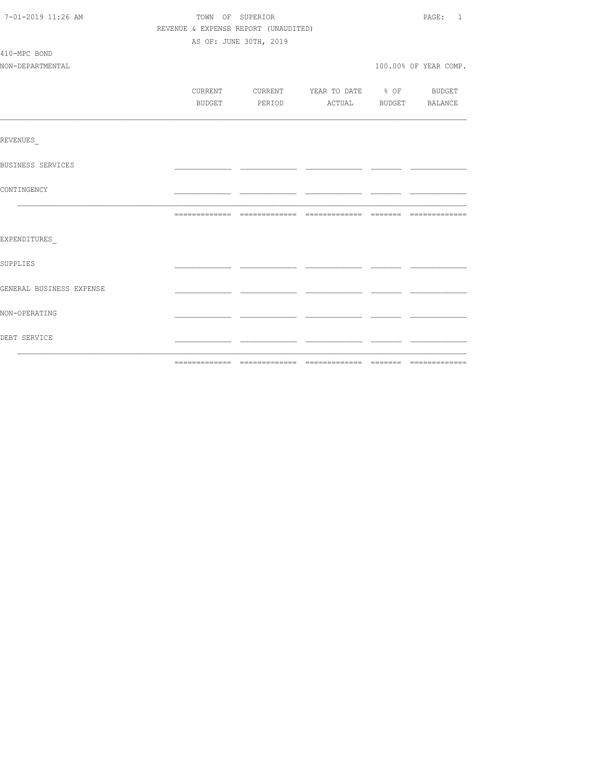| 7-01-2019 11:26 AM       |                                      | TOWN OF SUPERIOR |                        |                                          |  | PAGE: 1               |
|--------------------------|--------------------------------------|------------------|------------------------|------------------------------------------|--|-----------------------|
|                          | REVENUE & EXPENSE REPORT (UNAUDITED) |                  |                        |                                          |  |                       |
|                          |                                      |                  | AS OF: JUNE 30TH, 2019 |                                          |  |                       |
| 410-MPC BOND             |                                      |                  |                        |                                          |  |                       |
| NON-DEPARTMENTAL         |                                      |                  |                        |                                          |  | 100.00% OF YEAR COMP. |
|                          |                                      |                  |                        |                                          |  |                       |
|                          |                                      |                  |                        | CURRENT CURRENT YEAR TO DATE % OF BUDGET |  |                       |
|                          |                                      |                  |                        | BUDGET PERIOD ACTUAL BUDGET BALANCE      |  |                       |
|                          |                                      |                  |                        |                                          |  |                       |
| REVENUES                 |                                      |                  |                        |                                          |  |                       |
| BUSINESS SERVICES        |                                      |                  |                        |                                          |  |                       |
| CONTINGENCY              |                                      |                  |                        |                                          |  |                       |
|                          |                                      |                  |                        |                                          |  |                       |
| EXPENDITURES             |                                      |                  |                        |                                          |  |                       |
| SUPPLIES                 |                                      |                  |                        |                                          |  |                       |
| GENERAL BUSINESS EXPENSE |                                      |                  |                        |                                          |  |                       |
| NON-OPERATING            |                                      |                  |                        |                                          |  |                       |
| DEBT SERVICE             |                                      |                  |                        |                                          |  |                       |
|                          |                                      |                  |                        |                                          |  |                       |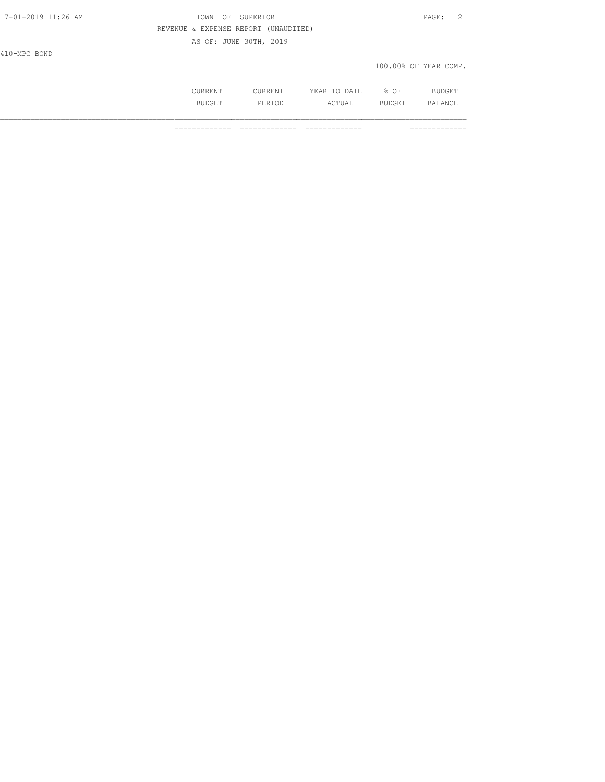100.00% OF YEAR COMP.

| .       | 7. m r.<br>----<br>----<br>__ | ΟF<br>∽.<br>- |  |
|---------|-------------------------------|---------------|--|
| الماقية | ---                           | --            |  |

============= ============= ============= =============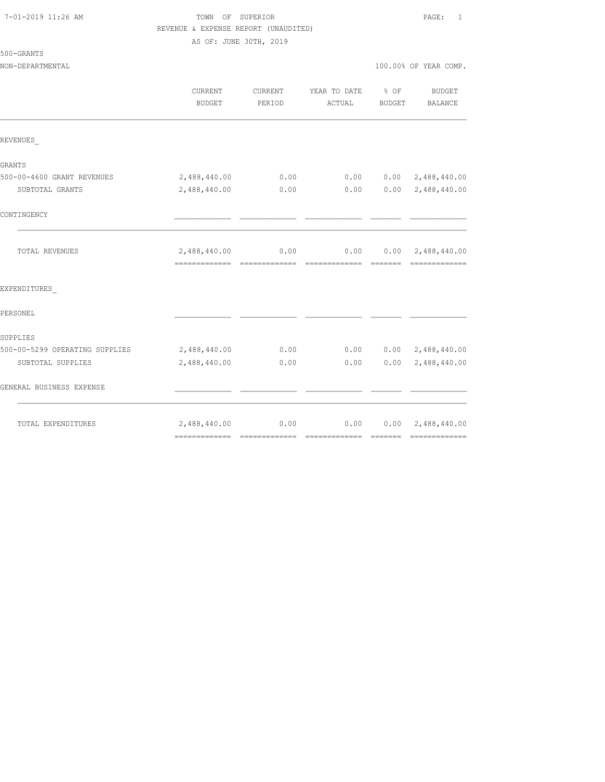### 7-01-2019 11:26 AM TOWN OF SUPERIOR PAGE: 1 REVENUE & EXPENSE REPORT (UNAUDITED) AS OF: JUNE 30TH, 2019

| 500-GRANTS |
|------------|
|------------|

NON-DEPARTMENTAL 100.00% OF YEAR COMP.

|                                | CURRENT<br>BUDGET              | <b>CURRENT</b><br>PERIOD | YEAR TO DATE % OF<br>ACTUAL | BUDGET | <b>BUDGET</b><br>BALANCE                       |
|--------------------------------|--------------------------------|--------------------------|-----------------------------|--------|------------------------------------------------|
| REVENUES                       |                                |                          |                             |        |                                                |
| <b>GRANTS</b>                  |                                |                          |                             |        |                                                |
| 500-00-4600 GRANT REVENUES     | 2,488,440.00                   | 0.00                     | 0.00                        |        | $0.00 \quad 2,488,440.00$                      |
| SUBTOTAL GRANTS                | 2,488,440.00                   | 0.00                     | 0.00                        |        | $0.00 \quad 2,488,440.00$                      |
| CONTINGENCY                    |                                |                          |                             |        |                                                |
| TOTAL REVENUES                 | 2,488,440.00<br>-------------- | 0.00<br>--------------   |                             |        | $0.00$ $0.00$ $2,488,440.00$<br>-------------- |
| EXPENDITURES                   |                                |                          |                             |        |                                                |
| PERSONEL                       |                                |                          |                             |        |                                                |
| SUPPLIES                       |                                |                          |                             |        |                                                |
| 500-00-5299 OPERATING SUPPLIES | 2,488,440.00                   | 0.00                     |                             |        | $0.00$ $0.00$ $2,488,440.00$                   |
| SUBTOTAL SUPPLIES              | 2,488,440.00                   | 0.00                     | 0.00                        | 0.00   | 2,488,440.00                                   |
| GENERAL BUSINESS EXPENSE       |                                |                          |                             |        |                                                |
| TOTAL EXPENDITURES             | 2,488,440.00                   | 0.00                     |                             |        | $0.00$ $0.00$ $2,488,440.00$                   |
|                                |                                |                          |                             |        |                                                |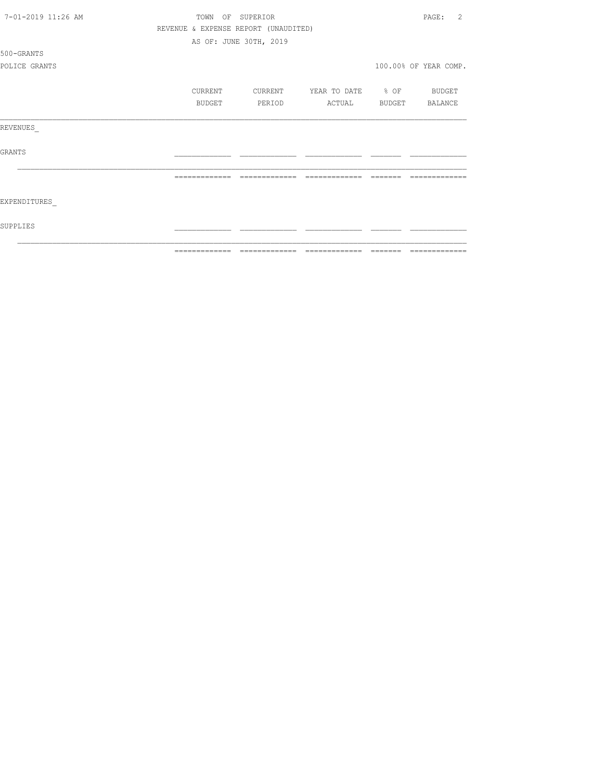| 7-01-2019 11:26 AM | TOWN<br>OF    | SUPERIOR                             |                                 |         | 2<br>PAGE:            |
|--------------------|---------------|--------------------------------------|---------------------------------|---------|-----------------------|
|                    |               | REVENUE & EXPENSE REPORT (UNAUDITED) |                                 |         |                       |
|                    |               | AS OF: JUNE 30TH, 2019               |                                 |         |                       |
| 500-GRANTS         |               |                                      |                                 |         |                       |
| POLICE GRANTS      |               |                                      |                                 |         | 100.00% OF YEAR COMP. |
|                    | CURRENT       | CURRENT                              | YEAR TO DATE % OF               |         | BUDGET                |
|                    | BUDGET        | PERIOD                               | ACTUAL                          | BUDGET  | BALANCE               |
| REVENUES           |               |                                      |                                 |         |                       |
| <b>GRANTS</b>      |               |                                      |                                 |         |                       |
|                    |               |                                      |                                 |         |                       |
| EXPENDITURES       |               |                                      |                                 |         |                       |
| SUPPLIES           |               |                                      |                                 |         |                       |
|                    | ============= |                                      | =============================== | ======= | =============         |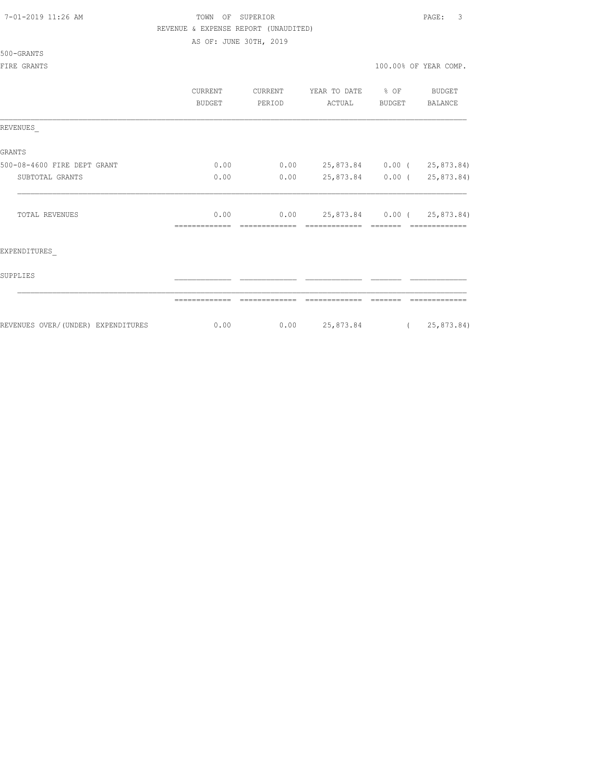|  |  |  | 7-01-2019 11:26 AM |  |
|--|--|--|--------------------|--|
|--|--|--|--------------------|--|

### TOWN OF SUPERIOR **12:26 AM TOWN OF SUPERIOR** REVENUE & EXPENSE REPORT (UNAUDITED)

AS OF: JUNE 30TH, 2019

500-GRANTS

## FIRE GRANTS

|  |  |  |  |  |  | 100.00% OF YEAR COMP. |  |
|--|--|--|--|--|--|-----------------------|--|
|--|--|--|--|--|--|-----------------------|--|

|                                     | CURRENT<br><b>BUDGET</b> | CURRENT<br>PERIOD | YEAR TO DATE % OF<br>ACTUAL | BUDGET | BUDGET<br>BALANCE |
|-------------------------------------|--------------------------|-------------------|-----------------------------|--------|-------------------|
| REVENUES                            |                          |                   |                             |        |                   |
| GRANTS                              |                          |                   |                             |        |                   |
| 500-08-4600 FIRE DEPT GRANT         | 0.00                     | 0.00              | 25,873.84 0.00 (25,873.84)  |        |                   |
| SUBTOTAL GRANTS                     | 0.00                     | 0.00              | 25,873.84 0.00 ( 25,873.84) |        |                   |
| <b>TOTAL REVENUES</b>               | 0.00                     | 0.00              | 25,873.84 0.00 (25,873.84)  |        |                   |
| EXPENDITURES                        |                          |                   |                             |        |                   |
| SUPPLIES                            |                          |                   |                             |        |                   |
|                                     |                          |                   |                             |        |                   |
| REVENUES OVER/ (UNDER) EXPENDITURES | 0.00                     | 0.00              | 25,873.84 (25,873.84)       |        |                   |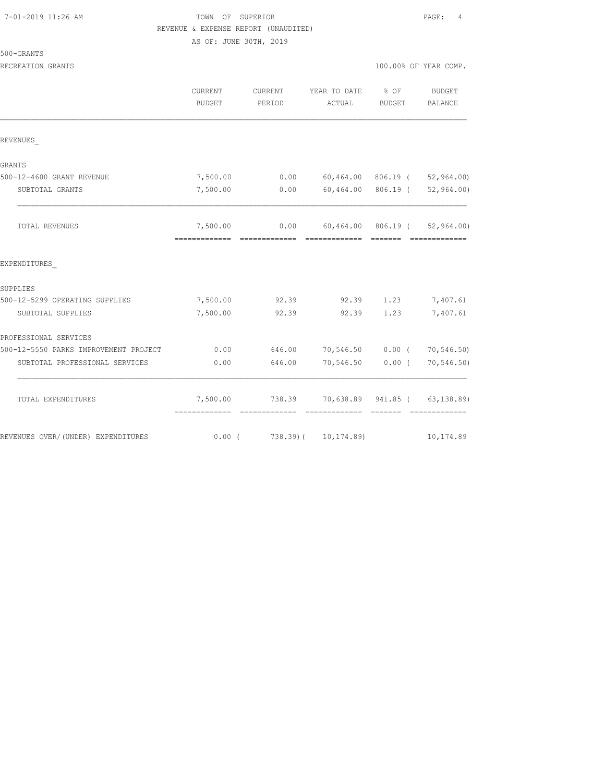## TOWN OF SUPERIOR **11:2010** PAGE: 4 REVENUE & EXPENSE REPORT (UNAUDITED)

AS OF: JUNE 30TH, 2019

|                                       | <b>CURRENT</b><br><b>BUDGET</b>            | CURRENT<br>PERIOD | YEAR TO DATE<br>ACTUAL                        | % OF<br>BUDGET | <b>BUDGET</b><br>BALANCE               |
|---------------------------------------|--------------------------------------------|-------------------|-----------------------------------------------|----------------|----------------------------------------|
| REVENUES                              |                                            |                   |                                               |                |                                        |
| GRANTS                                |                                            |                   |                                               |                |                                        |
| 500-12-4600 GRANT REVENUE             | 7,500.00                                   |                   | $0.00$ 60,464.00 806.19 ( 52,964.00)          |                |                                        |
| SUBTOTAL GRANTS                       | 7,500.00                                   | 0.00              |                                               |                | $60, 464.00$ $806.19$ ( $52, 964.00$ ) |
| TOTAL REVENUES                        | 7,500.00<br>------------------------------ |                   | $0.00$ 60,464.00 806.19 ( 52,964.00)          |                |                                        |
| EXPENDITURES                          |                                            |                   |                                               |                |                                        |
| SUPPLIES                              |                                            |                   |                                               |                |                                        |
| 500-12-5299 OPERATING SUPPLIES        | 7,500.00                                   | 92.39             |                                               | 92.39 1.23     | 7,407.61                               |
| SUBTOTAL SUPPLIES                     | 7,500.00                                   | 92.39             |                                               | 92.39 1.23     | 7,407.61                               |
| PROFESSIONAL SERVICES                 |                                            |                   |                                               |                |                                        |
| 500-12-5550 PARKS IMPROVEMENT PROJECT | 0.00                                       |                   | 646.00 70,546.50 0.00 ( 70,546.50)            |                |                                        |
| SUBTOTAL PROFESSIONAL SERVICES        | 0.00                                       | 646.00            | 70,546.50 0.00 (                              |                | 70,546.50)                             |
| TOTAL EXPENDITURES                    |                                            |                   | 7,500.00 738.39 70,638.89 941.85 ( 63,138.89) |                |                                        |
| REVENUES OVER/ (UNDER) EXPENDITURES   | 0.00(                                      |                   | 738.39) ( 10,174.89)                          |                | 10,174.89                              |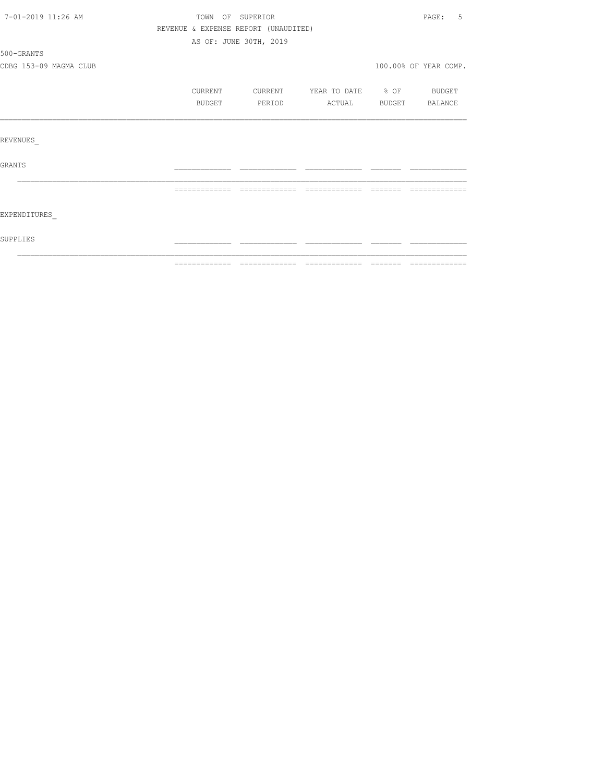| 7-01-2019 11:26 AM     | TOWN OF SUPERIOR                     |                        |                          |                | 5<br>PAGE:            |
|------------------------|--------------------------------------|------------------------|--------------------------|----------------|-----------------------|
|                        | REVENUE & EXPENSE REPORT (UNAUDITED) |                        |                          |                |                       |
|                        |                                      | AS OF: JUNE 30TH, 2019 |                          |                |                       |
| 500-GRANTS             |                                      |                        |                          |                |                       |
| CDBG 153-09 MAGMA CLUB |                                      |                        |                          |                | 100.00% OF YEAR COMP. |
|                        | CURRENT                              | CURRENT                | YEAR TO DATE % OF BUDGET |                |                       |
|                        | BUDGET                               | PERIOD                 | ACTUAL                   | BUDGET BALANCE |                       |
|                        |                                      |                        |                          |                |                       |
| REVENUES               |                                      |                        |                          |                |                       |
| <b>GRANTS</b>          |                                      |                        |                          |                |                       |
|                        |                                      |                        |                          |                |                       |
| EXPENDITURES           |                                      |                        |                          |                |                       |
| SUPPLIES               |                                      |                        |                          |                |                       |
|                        |                                      |                        |                          |                |                       |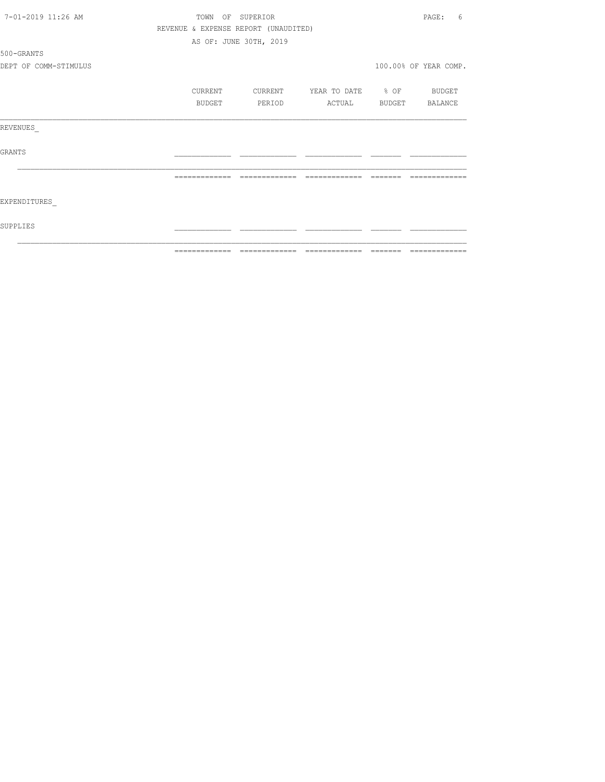| 7-01-2019 11:26 AM    | TOWN          | OF SUPERIOR                          |                   |         | PAGE:<br>6            |
|-----------------------|---------------|--------------------------------------|-------------------|---------|-----------------------|
|                       |               | REVENUE & EXPENSE REPORT (UNAUDITED) |                   |         |                       |
|                       |               | AS OF: JUNE 30TH, 2019               |                   |         |                       |
| 500-GRANTS            |               |                                      |                   |         |                       |
| DEPT OF COMM-STIMULUS |               |                                      |                   |         | 100.00% OF YEAR COMP. |
|                       | CURRENT       | CURRENT                              | YEAR TO DATE % OF |         | BUDGET                |
|                       | BUDGET        | PERIOD                               | ACTUAL            | BUDGET  | BALANCE               |
| REVENUES              |               |                                      |                   |         |                       |
| <b>GRANTS</b>         |               |                                      |                   |         |                       |
|                       |               |                                      |                   |         |                       |
| EXPENDITURES          |               |                                      |                   |         |                       |
| SUPPLIES              |               |                                      |                   |         |                       |
|                       | ============= | =============                        | =============     | ======= | =============         |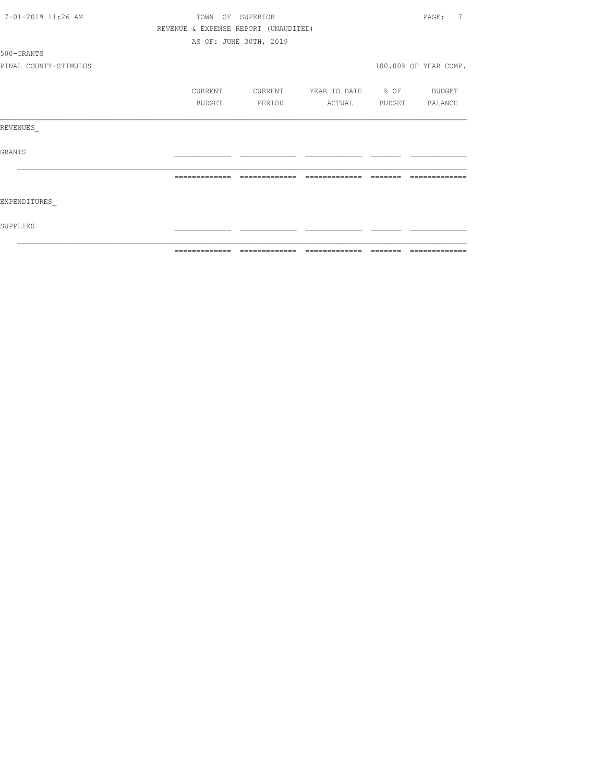| 7-01-2019 11:26 AM    |               | TOWN    | OF SUPERIOR                          |                   |         | 7<br>PAGE:            |
|-----------------------|---------------|---------|--------------------------------------|-------------------|---------|-----------------------|
|                       |               |         | REVENUE & EXPENSE REPORT (UNAUDITED) |                   |         |                       |
|                       |               |         | AS OF: JUNE 30TH, 2019               |                   |         |                       |
| 500-GRANTS            |               |         |                                      |                   |         |                       |
| PINAL COUNTY-STIMULUS |               |         |                                      |                   |         | 100.00% OF YEAR COMP. |
|                       |               | CURRENT | CURRENT                              | YEAR TO DATE % OF |         | BUDGET                |
|                       |               | BUDGET  | PERIOD                               | ACTUAL            | BUDGET  | BALANCE               |
| REVENUES              |               |         |                                      |                   |         |                       |
| <b>GRANTS</b>         |               |         |                                      |                   |         |                       |
|                       |               |         |                                      |                   |         |                       |
| EXPENDITURES          |               |         |                                      |                   |         |                       |
| SUPPLIES              |               |         |                                      |                   |         |                       |
|                       | ------------- |         | =============                        | -------------     | ======= | -------------         |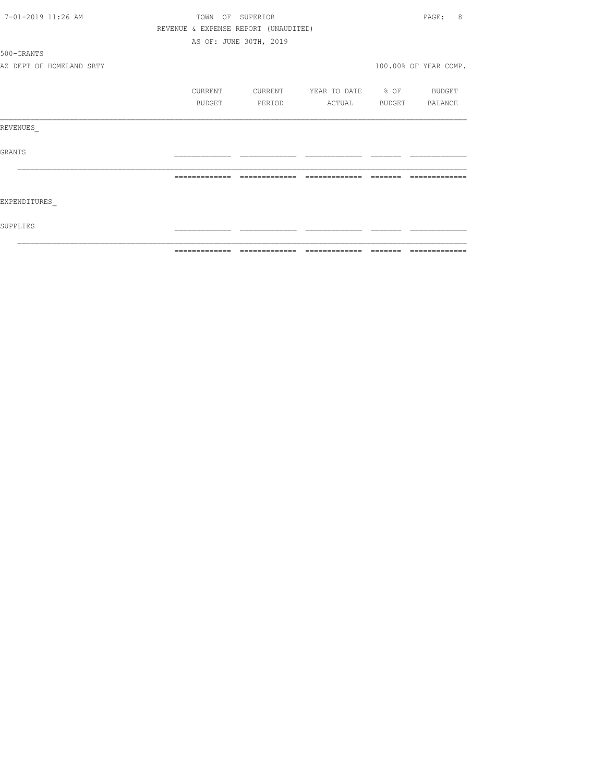| 7-01-2019 11:26 AM       |                | TOWN OF SUPERIOR                     |                                  |         | 8<br>PAGE:            |
|--------------------------|----------------|--------------------------------------|----------------------------------|---------|-----------------------|
|                          |                | REVENUE & EXPENSE REPORT (UNAUDITED) |                                  |         |                       |
|                          |                | AS OF: JUNE 30TH, 2019               |                                  |         |                       |
| 500-GRANTS               |                |                                      |                                  |         |                       |
| AZ DEPT OF HOMELAND SRTY |                |                                      |                                  |         | 100.00% OF YEAR COMP. |
|                          | <b>CURRENT</b> | CURRENT                              | YEAR TO DATE % OF BUDGET         |         |                       |
|                          | BUDGET         | PERIOD                               | ACTUAL                           |         | BUDGET BALANCE        |
| REVENUES                 |                |                                      |                                  |         |                       |
| GRANTS                   |                |                                      |                                  |         |                       |
|                          |                |                                      |                                  |         |                       |
| EXPENDITURES             |                |                                      |                                  |         |                       |
| SUPPLIES                 |                |                                      |                                  |         |                       |
|                          | =============  |                                      | ================================ | ======= | =============         |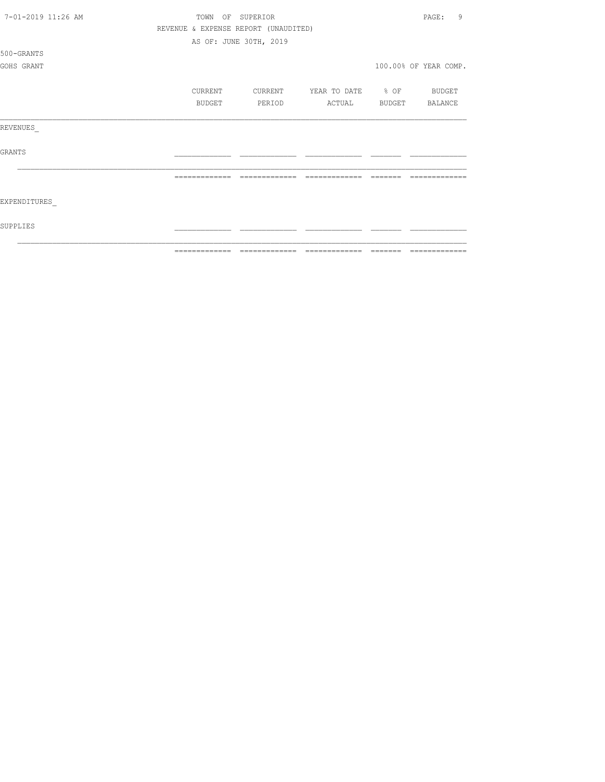| 7-01-2019 11:26 AM | TOWN<br>OF    | SUPERIOR                             |                   |        | $\overline{9}$<br>PAGE: |
|--------------------|---------------|--------------------------------------|-------------------|--------|-------------------------|
|                    |               | REVENUE & EXPENSE REPORT (UNAUDITED) |                   |        |                         |
|                    |               | AS OF: JUNE 30TH, 2019               |                   |        |                         |
| 500-GRANTS         |               |                                      |                   |        |                         |
| GOHS GRANT         |               |                                      |                   |        | 100.00% OF YEAR COMP.   |
|                    |               |                                      |                   |        |                         |
|                    | CURRENT       | CURRENT                              | YEAR TO DATE % OF |        | BUDGET                  |
|                    | BUDGET        | PERIOD                               | ACTUAL            | BUDGET | BALANCE                 |
| REVENUES           |               |                                      |                   |        |                         |
| <b>GRANTS</b>      |               |                                      |                   |        |                         |
|                    |               |                                      |                   |        |                         |
| EXPENDITURES       |               |                                      |                   |        |                         |
| SUPPLIES           |               |                                      |                   |        |                         |
|                    | ------------- |                                      |                   |        |                         |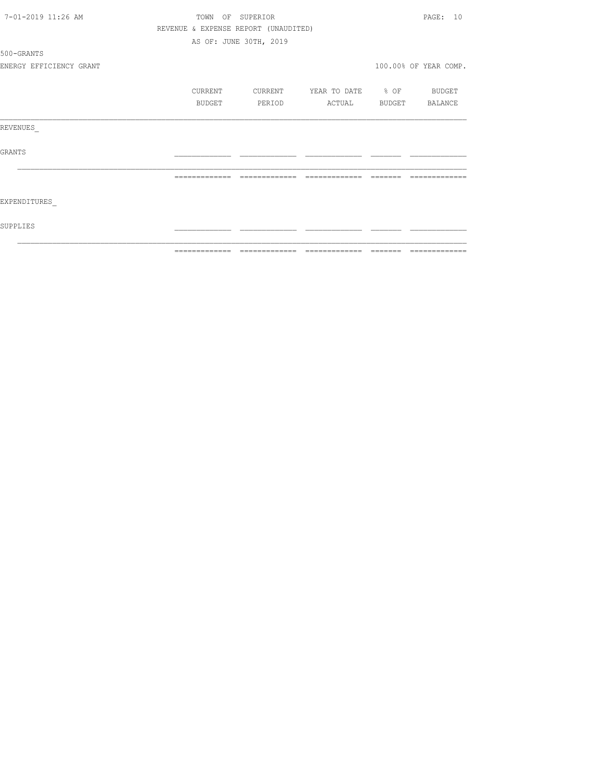| =============<br>-------- |
|---------------------------|
|                           |
|                           |
|                           |
|                           |
|                           |
|                           |
|                           |
|                           |
|                           |
|                           |
|                           |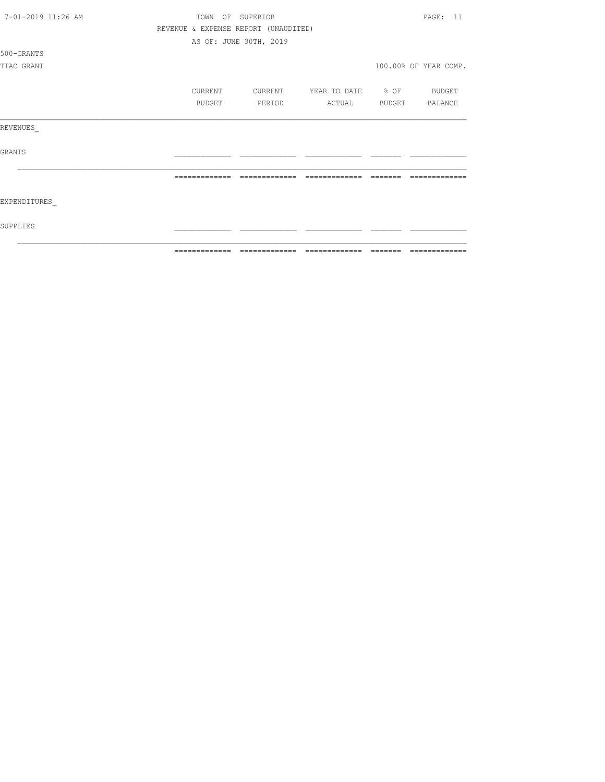| 7-01-2019 11:26 AM | TOWN          | OF SUPERIOR                          |                   | PAGE: 11              |
|--------------------|---------------|--------------------------------------|-------------------|-----------------------|
|                    |               | REVENUE & EXPENSE REPORT (UNAUDITED) |                   |                       |
|                    |               | AS OF: JUNE 30TH, 2019               |                   |                       |
| 500-GRANTS         |               |                                      |                   |                       |
| TTAC GRANT         |               |                                      |                   | 100.00% OF YEAR COMP. |
|                    |               |                                      |                   |                       |
|                    | CURRENT       | CURRENT                              | YEAR TO DATE % OF | BUDGET                |
|                    | BUDGET        | PERIOD                               | ACTUAL            | BUDGET BALANCE        |
| REVENUES           |               |                                      |                   |                       |
| <b>GRANTS</b>      |               |                                      |                   |                       |
|                    |               |                                      |                   |                       |
| EXPENDITURES       |               |                                      |                   |                       |
| SUPPLIES           |               |                                      |                   |                       |
|                    | ------------- |                                      | -------------     |                       |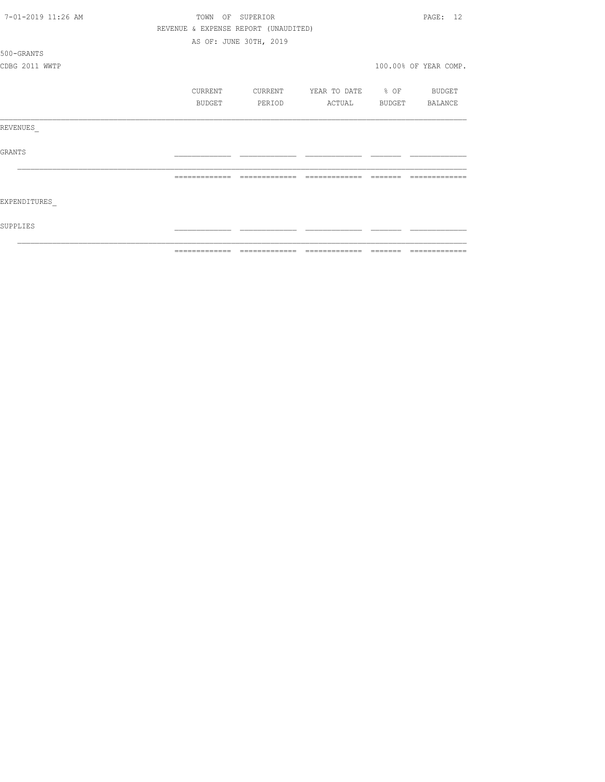| 7-01-2019 11:26 AM | TOWN OF SUPERIOR |                                      |                          |         | PAGE: 12                                                                                                                                                                                                                                                                                                                                                                                                                                                                                     |
|--------------------|------------------|--------------------------------------|--------------------------|---------|----------------------------------------------------------------------------------------------------------------------------------------------------------------------------------------------------------------------------------------------------------------------------------------------------------------------------------------------------------------------------------------------------------------------------------------------------------------------------------------------|
|                    |                  | REVENUE & EXPENSE REPORT (UNAUDITED) |                          |         |                                                                                                                                                                                                                                                                                                                                                                                                                                                                                              |
|                    |                  | AS OF: JUNE 30TH, 2019               |                          |         |                                                                                                                                                                                                                                                                                                                                                                                                                                                                                              |
| 500-GRANTS         |                  |                                      |                          |         |                                                                                                                                                                                                                                                                                                                                                                                                                                                                                              |
| CDBG 2011 WWTP     |                  |                                      |                          |         | 100.00% OF YEAR COMP.                                                                                                                                                                                                                                                                                                                                                                                                                                                                        |
|                    | CURRENT          | CURRENT                              | YEAR TO DATE % OF BUDGET |         |                                                                                                                                                                                                                                                                                                                                                                                                                                                                                              |
|                    | BUDGET           | PERIOD                               | ACTUAL BUDGET BALANCE    |         |                                                                                                                                                                                                                                                                                                                                                                                                                                                                                              |
| REVENUES           |                  |                                      |                          |         |                                                                                                                                                                                                                                                                                                                                                                                                                                                                                              |
| GRANTS             |                  |                                      |                          |         |                                                                                                                                                                                                                                                                                                                                                                                                                                                                                              |
|                    |                  |                                      | =============            |         |                                                                                                                                                                                                                                                                                                                                                                                                                                                                                              |
| EXPENDITURES       |                  |                                      |                          |         |                                                                                                                                                                                                                                                                                                                                                                                                                                                                                              |
| SUPPLIES           |                  |                                      |                          |         |                                                                                                                                                                                                                                                                                                                                                                                                                                                                                              |
|                    |                  |                                      |                          | ======= | $\begin{array}{c} \multicolumn{2}{c} {\textbf{1}} & \multicolumn{2}{c} {\textbf{2}} & \multicolumn{2}{c} {\textbf{3}} & \multicolumn{2}{c} {\textbf{4}} \\ \multicolumn{2}{c} {\textbf{5}} & \multicolumn{2}{c} {\textbf{6}} & \multicolumn{2}{c} {\textbf{7}} & \multicolumn{2}{c} {\textbf{8}} & \multicolumn{2}{c} {\textbf{9}} \\ \multicolumn{2}{c} {\textbf{1}} & \multicolumn{2}{c} {\textbf{1}} & \multicolumn{2}{c} {\textbf{1}} & \multicolumn{2}{c} {\textbf{1}} & \multicolumn{$ |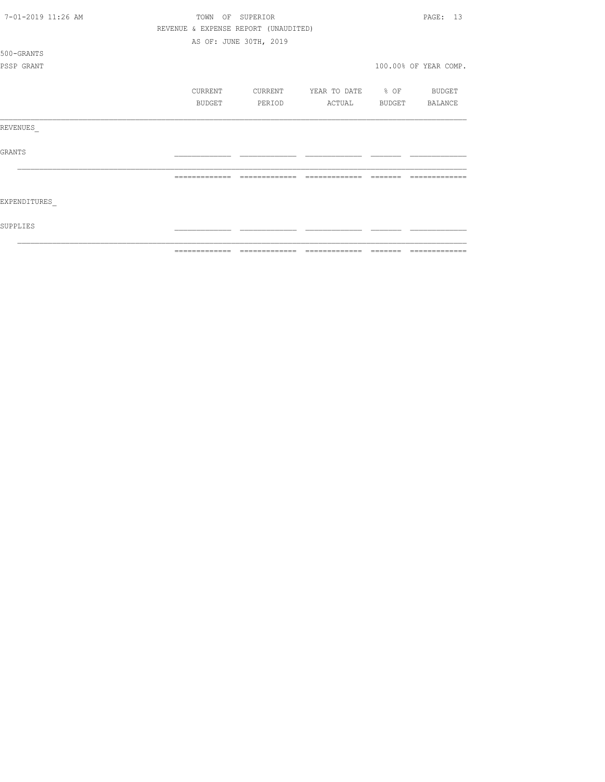| 7-01-2019 11:26 AM | TOWN<br>OF    | SUPERIOR                             |                   |        | PAGE: 13              |
|--------------------|---------------|--------------------------------------|-------------------|--------|-----------------------|
|                    |               | REVENUE & EXPENSE REPORT (UNAUDITED) |                   |        |                       |
|                    |               | AS OF: JUNE 30TH, 2019               |                   |        |                       |
| 500-GRANTS         |               |                                      |                   |        |                       |
| PSSP GRANT         |               |                                      |                   |        | 100.00% OF YEAR COMP. |
|                    |               |                                      |                   |        |                       |
|                    | CURRENT       | CURRENT                              | YEAR TO DATE % OF |        | BUDGET                |
|                    | <b>BUDGET</b> | PERIOD                               | ACTUAL            | BUDGET | BALANCE               |
| REVENUES           |               |                                      |                   |        |                       |
| <b>GRANTS</b>      |               |                                      |                   |        |                       |
|                    |               |                                      |                   |        |                       |
| EXPENDITURES       |               |                                      |                   |        |                       |
| SUPPLIES           |               |                                      |                   |        |                       |
|                    | ------------- |                                      |                   |        |                       |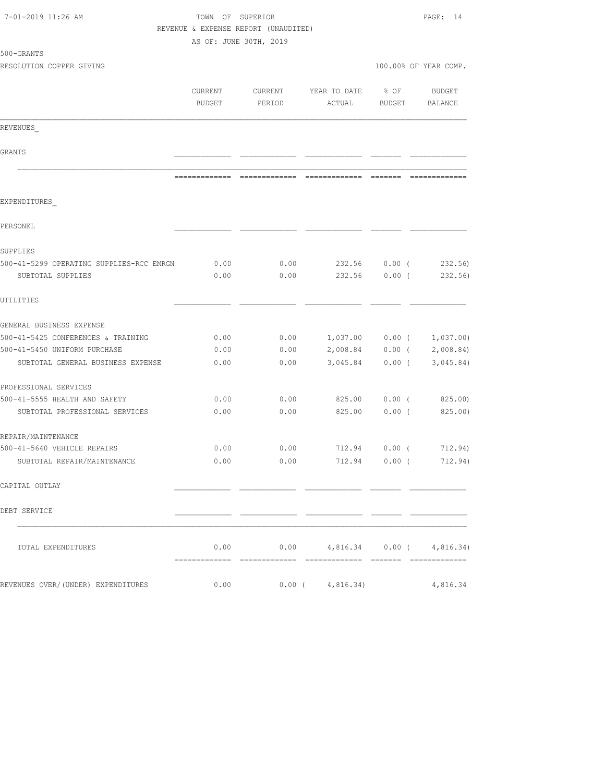| 7-01-2019 11:26 AM                                            | TOWN OF SUPERIOR<br>REVENUE & EXPENSE REPORT (UNAUDITED)<br>AS OF: JUNE 30TH, 2019 | PAGE: 14          |                                                                                                                                                                                                                                                                                                                                                                                                                                                                                              |                           |                       |
|---------------------------------------------------------------|------------------------------------------------------------------------------------|-------------------|----------------------------------------------------------------------------------------------------------------------------------------------------------------------------------------------------------------------------------------------------------------------------------------------------------------------------------------------------------------------------------------------------------------------------------------------------------------------------------------------|---------------------------|-----------------------|
| 500-GRANTS                                                    |                                                                                    |                   |                                                                                                                                                                                                                                                                                                                                                                                                                                                                                              |                           |                       |
| RESOLUTION COPPER GIVING                                      |                                                                                    |                   |                                                                                                                                                                                                                                                                                                                                                                                                                                                                                              |                           | 100.00% OF YEAR COMP. |
|                                                               | CURRENT<br><b>BUDGET</b>                                                           | CURRENT<br>PERIOD | YEAR TO DATE<br>ACTUAL                                                                                                                                                                                                                                                                                                                                                                                                                                                                       | $8$ OF<br>BUDGET          | BUDGET<br>BALANCE     |
| REVENUES                                                      |                                                                                    |                   |                                                                                                                                                                                                                                                                                                                                                                                                                                                                                              |                           |                       |
| GRANTS                                                        |                                                                                    |                   |                                                                                                                                                                                                                                                                                                                                                                                                                                                                                              |                           |                       |
|                                                               | =============                                                                      | $222222222222222$ | $\begin{array}{c} \multicolumn{3}{c} {\textbf{1}} & \multicolumn{3}{c} {\textbf{2}} & \multicolumn{3}{c} {\textbf{3}} & \multicolumn{3}{c} {\textbf{4}} \\ \multicolumn{3}{c} {\textbf{2}} & \multicolumn{3}{c} {\textbf{3}} & \multicolumn{3}{c} {\textbf{4}} & \multicolumn{3}{c} {\textbf{5}} & \multicolumn{3}{c} {\textbf{6}} \\ \multicolumn{3}{c} {\textbf{4}} & \multicolumn{3}{c} {\textbf{5}} & \multicolumn{3}{c} {\textbf{6}} & \multicolumn{3}{c} {\textbf{6}} & \multicolumn{$ |                           |                       |
| EXPENDITURES                                                  |                                                                                    |                   |                                                                                                                                                                                                                                                                                                                                                                                                                                                                                              |                           |                       |
| PERSONEL                                                      |                                                                                    |                   |                                                                                                                                                                                                                                                                                                                                                                                                                                                                                              |                           |                       |
| SUPPLIES                                                      |                                                                                    |                   |                                                                                                                                                                                                                                                                                                                                                                                                                                                                                              |                           |                       |
| 500-41-5299 OPERATING SUPPLIES-RCC EMRGN<br>SUBTOTAL SUPPLIES | 0.00<br>0.00                                                                       | 0.00<br>0.00      | 232.56                                                                                                                                                                                                                                                                                                                                                                                                                                                                                       | 232.56 0.00 (<br>$0.00$ ( | 232.56)<br>232.56)    |
| UTILITIES                                                     |                                                                                    |                   |                                                                                                                                                                                                                                                                                                                                                                                                                                                                                              |                           |                       |
| GENERAL BUSINESS EXPENSE                                      |                                                                                    |                   |                                                                                                                                                                                                                                                                                                                                                                                                                                                                                              |                           |                       |
| 500-41-5425 CONFERENCES & TRAINING                            | 0.00                                                                               | 0.00              | $1,037.00$ 0.00 ( 1,037.00)                                                                                                                                                                                                                                                                                                                                                                                                                                                                  |                           |                       |
| 500-41-5450 UNIFORM PURCHASE                                  | 0.00                                                                               | 0.00              | 2,008.84                                                                                                                                                                                                                                                                                                                                                                                                                                                                                     | $0.00$ (                  | 2,008.84              |
| SUBTOTAL GENERAL BUSINESS EXPENSE                             | 0.00                                                                               | 0.00              | 3,045.84                                                                                                                                                                                                                                                                                                                                                                                                                                                                                     | $0.00$ (                  | 3,045.84)             |
| PROFESSIONAL SERVICES                                         |                                                                                    |                   |                                                                                                                                                                                                                                                                                                                                                                                                                                                                                              |                           |                       |
| 500-41-5555 HEALTH AND SAFETY                                 | 0.00                                                                               | 0.00              | 825.00                                                                                                                                                                                                                                                                                                                                                                                                                                                                                       | $0.00$ (                  | 825.00)               |
| SUBTOTAL PROFESSIONAL SERVICES                                | 0.00                                                                               | 0.00              | 825.00                                                                                                                                                                                                                                                                                                                                                                                                                                                                                       | $0.00$ (                  | 825.00)               |
| REPAIR/MAINTENANCE                                            |                                                                                    |                   |                                                                                                                                                                                                                                                                                                                                                                                                                                                                                              |                           |                       |
| 500-41-5640 VEHICLE REPAIRS                                   | 0.00                                                                               | 0.00              | 712.94                                                                                                                                                                                                                                                                                                                                                                                                                                                                                       | $0.00$ (                  | 712.94)               |
| SUBTOTAL REPAIR/MAINTENANCE                                   |                                                                                    | 0.00              | $0.00$ 712.94 0.00 ( 712.94)                                                                                                                                                                                                                                                                                                                                                                                                                                                                 |                           |                       |
| CAPITAL OUTLAY                                                |                                                                                    |                   |                                                                                                                                                                                                                                                                                                                                                                                                                                                                                              |                           |                       |
| DEBT SERVICE                                                  |                                                                                    |                   |                                                                                                                                                                                                                                                                                                                                                                                                                                                                                              |                           |                       |
| TOTAL EXPENDITURES                                            | 0.00                                                                               |                   | $0.00$ 4,816.34 0.00 ( 4,816.34)                                                                                                                                                                                                                                                                                                                                                                                                                                                             |                           |                       |
| REVENUES OVER/(UNDER) EXPENDITURES                            | 0.00                                                                               |                   | $0.00$ ( $4,816.34$ )                                                                                                                                                                                                                                                                                                                                                                                                                                                                        |                           | 4,816.34              |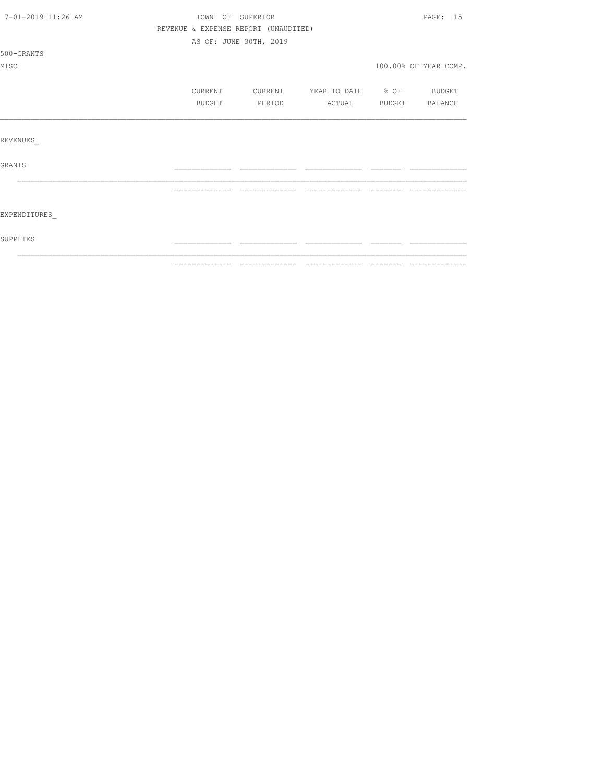| 7-01-2019 11:26 AM | TOWN OF SUPERIOR                     |                        |                   |          | PAGE: 15              |
|--------------------|--------------------------------------|------------------------|-------------------|----------|-----------------------|
|                    | REVENUE & EXPENSE REPORT (UNAUDITED) |                        |                   |          |                       |
|                    |                                      | AS OF: JUNE 30TH, 2019 |                   |          |                       |
| 500-GRANTS         |                                      |                        |                   |          |                       |
| MISC               |                                      |                        |                   |          | 100.00% OF YEAR COMP. |
|                    | CURRENT                              | CURRENT                | YEAR TO DATE % OF |          | BUDGET                |
|                    | BUDGET                               | PERIOD                 | ACTUAL            | BUDGET   | BALANCE               |
|                    |                                      |                        |                   |          |                       |
| REVENUES           |                                      |                        |                   |          |                       |
| GRANTS             |                                      |                        |                   |          |                       |
|                    | =============                        | =============          | =============     | -------- |                       |
|                    |                                      |                        |                   |          |                       |
| EXPENDITURES       |                                      |                        |                   |          |                       |
| SUPPLIES           |                                      |                        |                   |          |                       |
|                    |                                      |                        |                   |          |                       |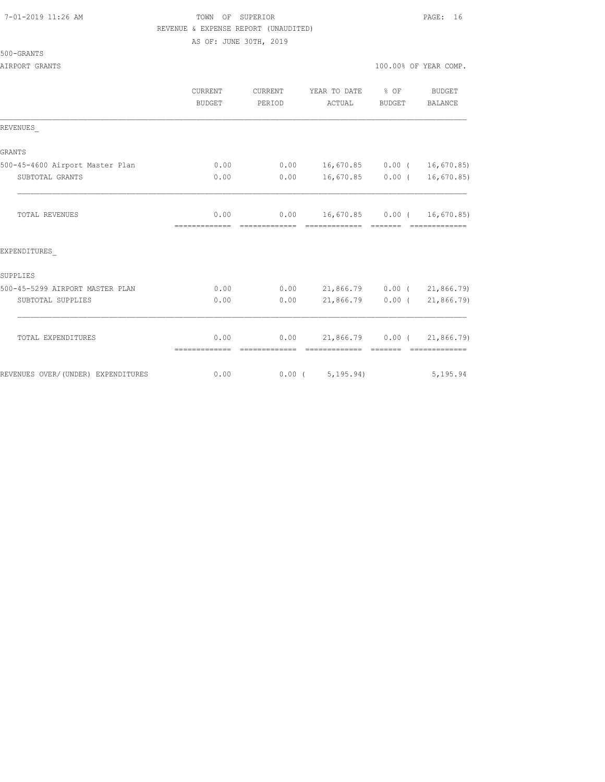#### 7-01-2019 11:26 AM TOWN OF SUPERIOR PAGE: 16 REVENUE & EXPENSE REPORT (UNAUDITED)

AS OF: JUNE 30TH, 2019

AIRPORT GRANTS AND SERVICE OF THE SERVICE OF THE SERVICE OF THE SERVICE OF THE SERVICE OF THE SERVICE OF THE SERVICE OF THE SERVICE OF THE SERVICE OF THE SERVICE OF THE SERVICE OF THE SERVICE OF THE SERVICE OF THE SERVICE

|                                    | CURRENT                | CURRENT<br>PERIOD | YEAR TO DATE % OF<br>ACTUAL        |        | <b>BUDGET</b> |
|------------------------------------|------------------------|-------------------|------------------------------------|--------|---------------|
|                                    | BUDGET                 |                   |                                    | BUDGET | BALANCE       |
| REVENUES                           |                        |                   |                                    |        |               |
| <b>GRANTS</b>                      |                        |                   |                                    |        |               |
| 500-45-4600 Airport Master Plan    | 0.00                   |                   | $0.00$ 16,670.85 0.00 ( 16,670.85) |        |               |
| SUBTOTAL GRANTS                    | 0.00                   | 0.00              | 16,670.85 0.00 ( 16,670.85)        |        |               |
| TOTAL REVENUES                     |                        | 0.00              | $0.00$ 16,670.85 0.00 ( 16,670.85) |        |               |
| EXPENDITURES                       |                        |                   |                                    |        |               |
| SUPPLIES                           |                        |                   |                                    |        |               |
| 500-45-5299 AIRPORT MASTER PLAN    | 0.00                   |                   | $0.00$ 21,866.79 0.00 ( 21,866.79) |        |               |
| SUBTOTAL SUPPLIES                  | 0.00                   | 0.00              | 21,866.79 0.00 (21,866.79)         |        |               |
| TOTAL EXPENDITURES                 | 0.00                   |                   | $0.00$ 21,866.79 0.00 ( 21,866.79) |        |               |
| REVENUES OVER/(UNDER) EXPENDITURES | --------------<br>0.00 |                   | 0.00(5, 195.94)                    |        | 5,195.94      |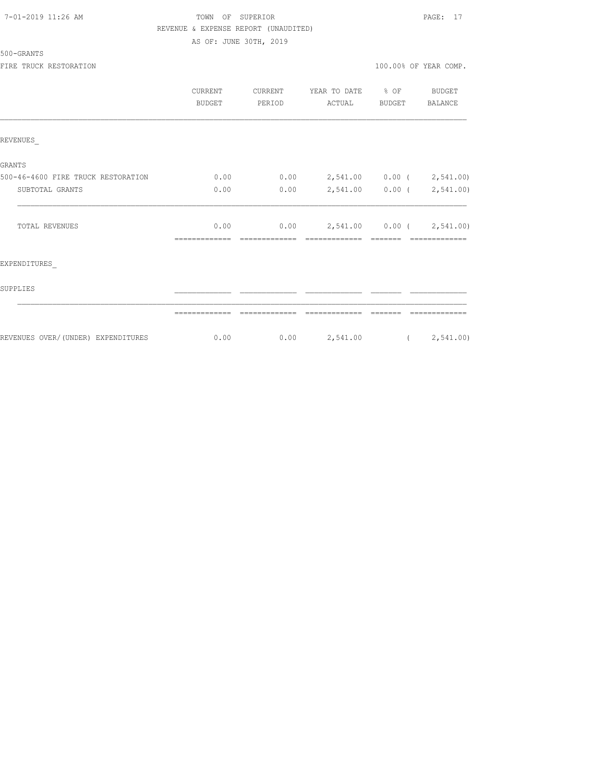| 7-01-2019 11:26 AM |  |
|--------------------|--|
|--------------------|--|

# TOWN OF SUPERIOR **11:2010** 11:26 PAGE: 17 REVENUE & EXPENSE REPORT (UNAUDITED)

AS OF: JUNE 30TH, 2019

| 500-GRANTS |  |
|------------|--|
|------------|--|

|                                     | CURRENT<br><b>BUDGET</b> | CURRENT<br>PERIOD     | YEAR TO DATE % OF<br>ACTUAL                  | BUDGET  | BUDGET<br><b>BALANCE</b> |
|-------------------------------------|--------------------------|-----------------------|----------------------------------------------|---------|--------------------------|
| REVENUES                            |                          |                       |                                              |         |                          |
| <b>GRANTS</b>                       |                          |                       |                                              |         |                          |
| 500-46-4600 FIRE TRUCK RESTORATION  | 0.00                     | 0.00                  | 2,541.00  0.00  ( 2,541.00)                  |         |                          |
| SUBTOTAL GRANTS                     | 0.00                     | 0.00                  | 2,541.00 0.00 ( 2,541.00)                    |         |                          |
| <b>TOTAL REVENUES</b>               | 0.00<br>-------------    | 0.00<br>============= | 2,541.00  0.00  ( 2,541.00)<br>============= | ======= | -------------            |
| EXPENDITURES                        |                          |                       |                                              |         |                          |
| SUPPLIES                            |                          |                       |                                              |         |                          |
|                                     |                          |                       |                                              |         |                          |
| REVENUES OVER/ (UNDER) EXPENDITURES | 0.00                     | 0.00                  | 2,541.00                                     |         | (2, 541.00)              |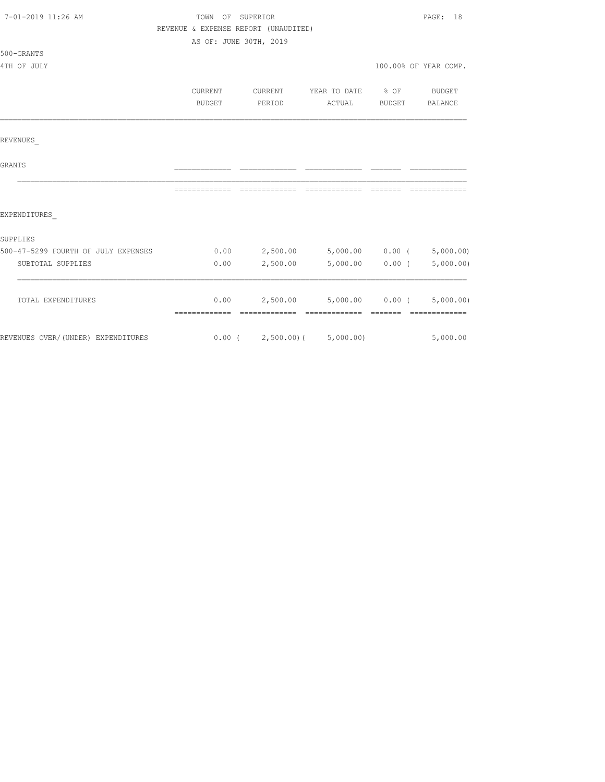| 7-01-2019 11:26 AM                  | TOWN OF SUPERIOR |                                                     | PAGE: 18              |          |                       |  |
|-------------------------------------|------------------|-----------------------------------------------------|-----------------------|----------|-----------------------|--|
|                                     |                  | REVENUE & EXPENSE REPORT (UNAUDITED)                |                       |          |                       |  |
|                                     |                  | AS OF: JUNE 30TH, 2019                              |                       |          |                       |  |
| 500-GRANTS                          |                  |                                                     |                       |          |                       |  |
| 4TH OF JULY                         |                  |                                                     |                       |          | 100.00% OF YEAR COMP. |  |
|                                     | CURRENT          | CURRENT YEAR TO DATE % OF BUDGET                    |                       |          |                       |  |
|                                     | BUDGET           | PERIOD                                              | ACTUAL BUDGET BALANCE |          |                       |  |
| REVENUES                            |                  |                                                     |                       |          |                       |  |
| GRANTS                              |                  |                                                     |                       |          |                       |  |
|                                     | =============    | =============                                       | =============         | -------- |                       |  |
| EXPENDITURES                        |                  |                                                     |                       |          |                       |  |
| SUPPLIES                            |                  |                                                     |                       |          |                       |  |
| 500-47-5299 FOURTH OF JULY EXPENSES |                  | $0.00$ $2,500.00$ $5,000.00$ $0.00$ $($ $5,000.00)$ |                       |          |                       |  |
| SUBTOTAL SUPPLIES                   |                  | 0.00 2,500.00                                       | 5,000.00              | $0.00$ ( | 5,000.00)             |  |
| TOTAL EXPENDITURES                  |                  | $0.00$ 2,500.00 5,000.00 0.00 (5,000.00)            |                       |          |                       |  |
|                                     |                  |                                                     |                       |          |                       |  |
| REVENUES OVER/(UNDER) EXPENDITURES  |                  | $0.00$ ( $2,500.00$ ) ( $5,000.00$ )                |                       |          | 5,000.00              |  |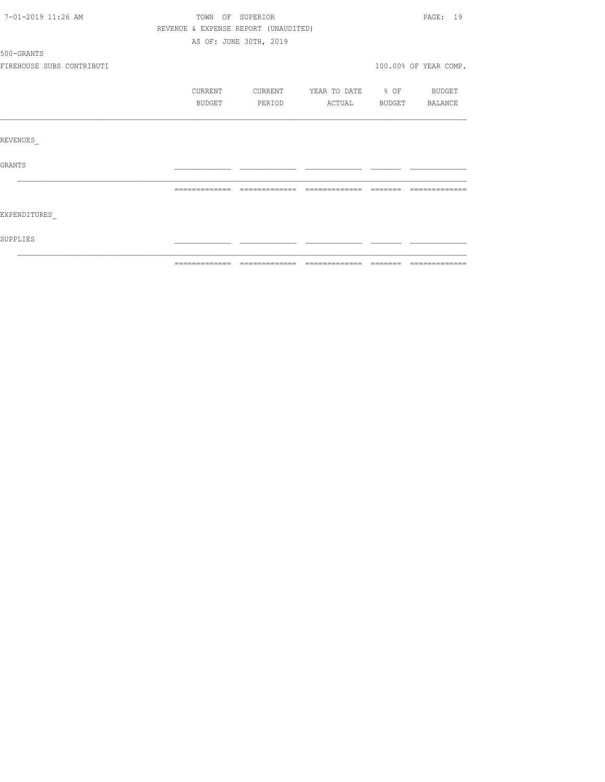| 7-01-2019 11:26 AM        | TOWN<br>OF                           | SUPERIOR                                                                                                                                                                                                                                                                                                                                                                                                                                                                                     |                   |        | PAGE: 19              |
|---------------------------|--------------------------------------|----------------------------------------------------------------------------------------------------------------------------------------------------------------------------------------------------------------------------------------------------------------------------------------------------------------------------------------------------------------------------------------------------------------------------------------------------------------------------------------------|-------------------|--------|-----------------------|
|                           | REVENUE & EXPENSE REPORT (UNAUDITED) |                                                                                                                                                                                                                                                                                                                                                                                                                                                                                              |                   |        |                       |
|                           |                                      | AS OF: JUNE 30TH, 2019                                                                                                                                                                                                                                                                                                                                                                                                                                                                       |                   |        |                       |
| 500-GRANTS                |                                      |                                                                                                                                                                                                                                                                                                                                                                                                                                                                                              |                   |        |                       |
| FIREHOUSE SUBS CONTRIBUTI |                                      |                                                                                                                                                                                                                                                                                                                                                                                                                                                                                              |                   |        | 100.00% OF YEAR COMP. |
|                           | CURRENT                              | CURRENT                                                                                                                                                                                                                                                                                                                                                                                                                                                                                      | YEAR TO DATE % OF |        | <b>BUDGET</b>         |
|                           | BUDGET                               | PERIOD                                                                                                                                                                                                                                                                                                                                                                                                                                                                                       | ACTUAL            | BUDGET | BALANCE               |
|                           |                                      |                                                                                                                                                                                                                                                                                                                                                                                                                                                                                              |                   |        |                       |
| REVENUES                  |                                      |                                                                                                                                                                                                                                                                                                                                                                                                                                                                                              |                   |        |                       |
| <b>GRANTS</b>             |                                      |                                                                                                                                                                                                                                                                                                                                                                                                                                                                                              |                   |        |                       |
|                           | =============                        | $\begin{array}{c} \multicolumn{2}{c} {\textbf{1}} & \multicolumn{2}{c} {\textbf{2}} & \multicolumn{2}{c} {\textbf{3}} & \multicolumn{2}{c} {\textbf{4}} \\ \multicolumn{2}{c} {\textbf{5}} & \multicolumn{2}{c} {\textbf{6}} & \multicolumn{2}{c} {\textbf{7}} & \multicolumn{2}{c} {\textbf{8}} & \multicolumn{2}{c} {\textbf{9}} \\ \multicolumn{2}{c} {\textbf{1}} & \multicolumn{2}{c} {\textbf{1}} & \multicolumn{2}{c} {\textbf{1}} & \multicolumn{2}{c} {\textbf{1}} & \multicolumn{$ | =============     |        |                       |
| EXPENDITURES              |                                      |                                                                                                                                                                                                                                                                                                                                                                                                                                                                                              |                   |        |                       |
| <b>SUPPLIES</b>           |                                      |                                                                                                                                                                                                                                                                                                                                                                                                                                                                                              |                   |        |                       |
|                           |                                      |                                                                                                                                                                                                                                                                                                                                                                                                                                                                                              |                   |        |                       |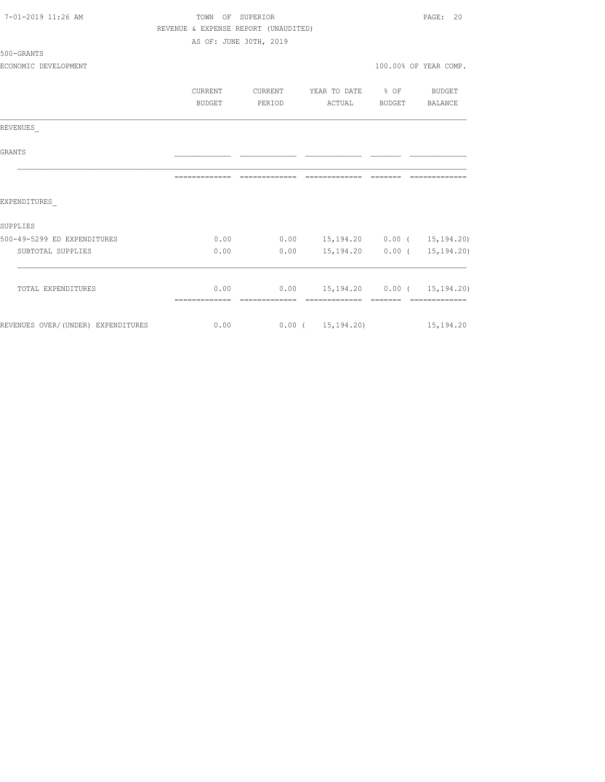| 7-01-2019 11:26 AM                 | TOWN OF SUPERIOR                     |                                     |                                  |                  | PAGE:<br>20            |  |
|------------------------------------|--------------------------------------|-------------------------------------|----------------------------------|------------------|------------------------|--|
|                                    | REVENUE & EXPENSE REPORT (UNAUDITED) |                                     |                                  |                  |                        |  |
|                                    |                                      | AS OF: JUNE 30TH, 2019              |                                  |                  |                        |  |
| 500-GRANTS                         |                                      |                                     |                                  |                  |                        |  |
| ECONOMIC DEVELOPMENT               |                                      |                                     |                                  |                  | 100.00% OF YEAR COMP.  |  |
|                                    |                                      |                                     |                                  |                  |                        |  |
|                                    | <b>CURRENT</b>                       | CURRENT                             | YEAR TO DATE                     | $\frac{1}{6}$ OF | <b>BUDGET</b>          |  |
|                                    | BUDGET                               | PERIOD                              | ACTUAL                           | BUDGET           | BALANCE                |  |
| REVENUES                           |                                      |                                     |                                  |                  |                        |  |
| <b>GRANTS</b>                      |                                      |                                     |                                  |                  |                        |  |
|                                    | =============                        | -------------- ------------- ------ |                                  |                  | --------------         |  |
| EXPENDITURES                       |                                      |                                     |                                  |                  |                        |  |
| SUPPLIES                           |                                      |                                     |                                  |                  |                        |  |
| 500-49-5299 ED EXPENDITURES        | 0.00                                 | 0.00                                | 15, 194. 20  0.00 ( 15, 194. 20) |                  |                        |  |
| SUBTOTAL SUPPLIES                  | 0.00                                 | 0.00                                | 15,194.20                        |                  | $0.00$ ( $15,194.20$ ) |  |
|                                    |                                      | 0.00                                |                                  |                  |                        |  |
| TOTAL EXPENDITURES                 | 0.00                                 |                                     | 15, 194. 20  0.00 ( 15, 194. 20) |                  | --------------         |  |
| REVENUES OVER/(UNDER) EXPENDITURES | 0.00                                 |                                     | $0.00$ ( $15,194.20$ )           |                  | 15, 194.20             |  |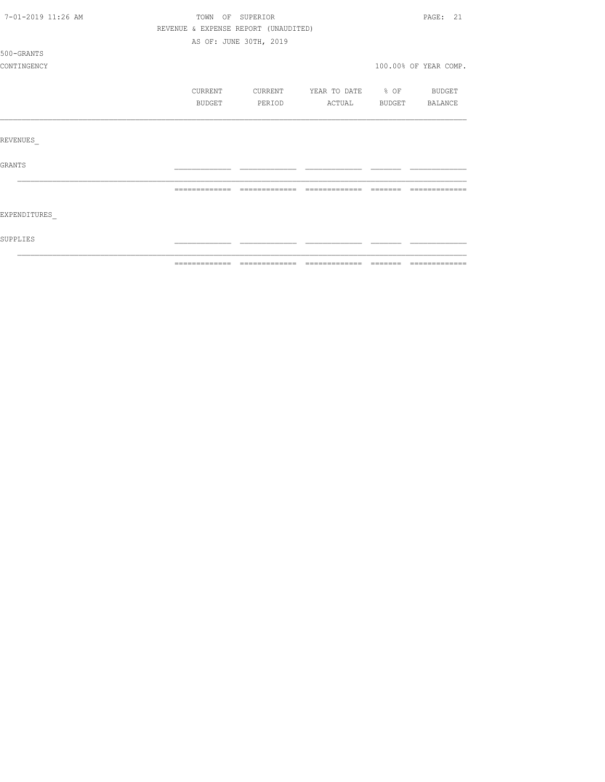| 7-01-2019 11:26 AM |                                      | TOWN OF SUPERIOR       |                          |         | PAGE: 21              |
|--------------------|--------------------------------------|------------------------|--------------------------|---------|-----------------------|
|                    | REVENUE & EXPENSE REPORT (UNAUDITED) |                        |                          |         |                       |
|                    |                                      | AS OF: JUNE 30TH, 2019 |                          |         |                       |
| 500-GRANTS         |                                      |                        |                          |         |                       |
| CONTINGENCY        |                                      |                        |                          |         | 100.00% OF YEAR COMP. |
|                    | CURRENT                              | CURRENT                | YEAR TO DATE % OF BUDGET |         |                       |
|                    | BUDGET                               | PERIOD                 | ACTUAL BUDGET BALANCE    |         |                       |
|                    |                                      |                        |                          |         |                       |
| REVENUES           |                                      |                        |                          |         |                       |
| <b>GRANTS</b>      |                                      |                        |                          |         |                       |
|                    | =============                        | --------------         | --------------           | ======= |                       |
| EXPENDITURES       |                                      |                        |                          |         |                       |
| SUPPLIES           |                                      |                        |                          |         |                       |
|                    |                                      |                        |                          |         |                       |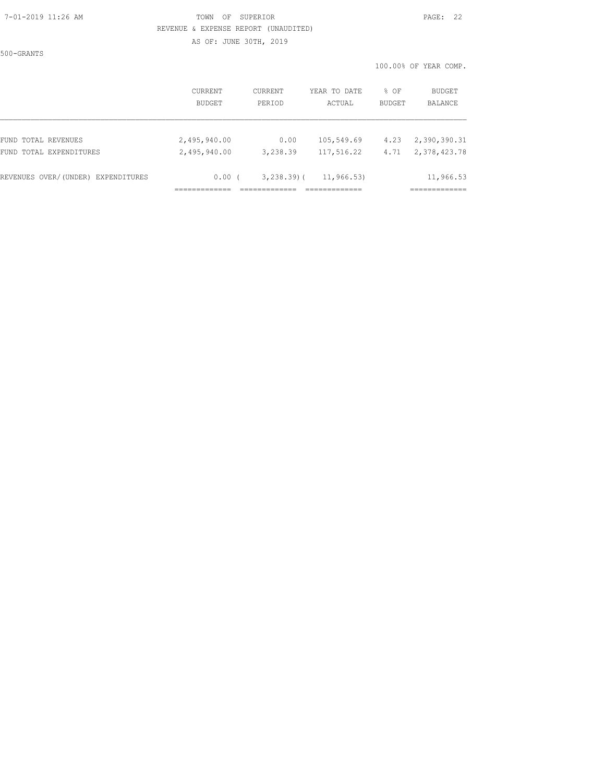#### 7-01-2019 11:26 AM TOWN OF SUPERIOR PAGE: 22 REVENUE & EXPENSE REPORT (UNAUDITED)

AS OF: JUNE 30TH, 2019

500-GRANTS

|                                    | CURRENT      | <b>CURRENT</b> | YEAR TO DATE | % OF          | BUDGET       |
|------------------------------------|--------------|----------------|--------------|---------------|--------------|
|                                    | BUDGET       | PERIOD         | ACTUAL       | <b>BUDGET</b> | BALANCE      |
| FUND TOTAL REVENUES                | 2,495,940.00 | 0.00           | 105,549.69   | 4.23          | 2,390,390.31 |
| FUND TOTAL EXPENDITURES            | 2,495,940.00 | 3,238.39       | 117,516.22   | 4.71          | 2,378,423.78 |
| REVENUES OVER/(UNDER) EXPENDITURES | 0.00(        | $3, 238, 39$ ( | 11, 966, 53) |               | 11,966.53    |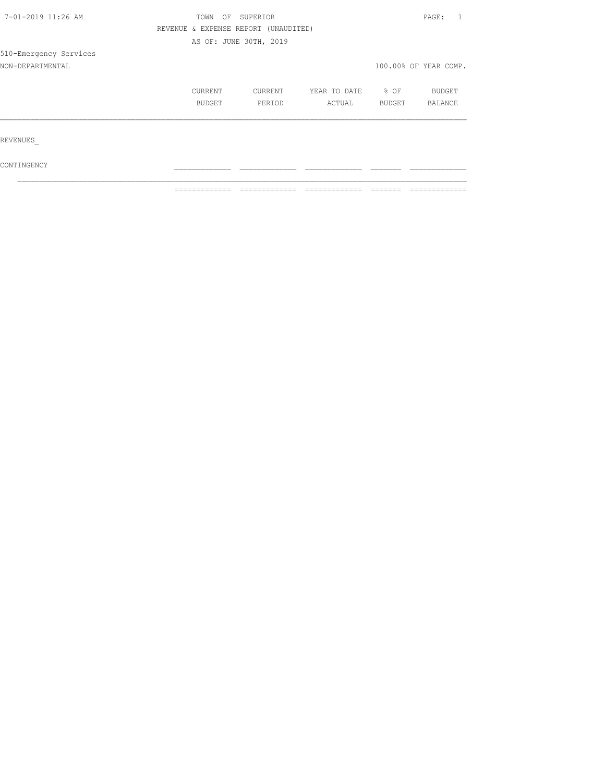| 7-01-2019 11:26 AM     |                                      |                        | PAGE:        |        |                       |  |
|------------------------|--------------------------------------|------------------------|--------------|--------|-----------------------|--|
|                        | REVENUE & EXPENSE REPORT (UNAUDITED) |                        |              |        |                       |  |
|                        |                                      | AS OF: JUNE 30TH, 2019 |              |        |                       |  |
| 510-Emergency Services |                                      |                        |              |        |                       |  |
| NON-DEPARTMENTAL       |                                      |                        |              |        | 100.00% OF YEAR COMP. |  |
|                        | CURRENT                              | CURRENT                | YEAR TO DATE | % OF   | <b>BUDGET</b>         |  |
|                        | BUDGET                               | PERIOD                 | ACTUAL       | BUDGET | <b>BALANCE</b>        |  |
| REVENUES               |                                      |                        |              |        |                       |  |
|                        |                                      |                        |              |        |                       |  |

 $\texttt{CONTINGENCY}$  $\mathcal{L}_\text{max}$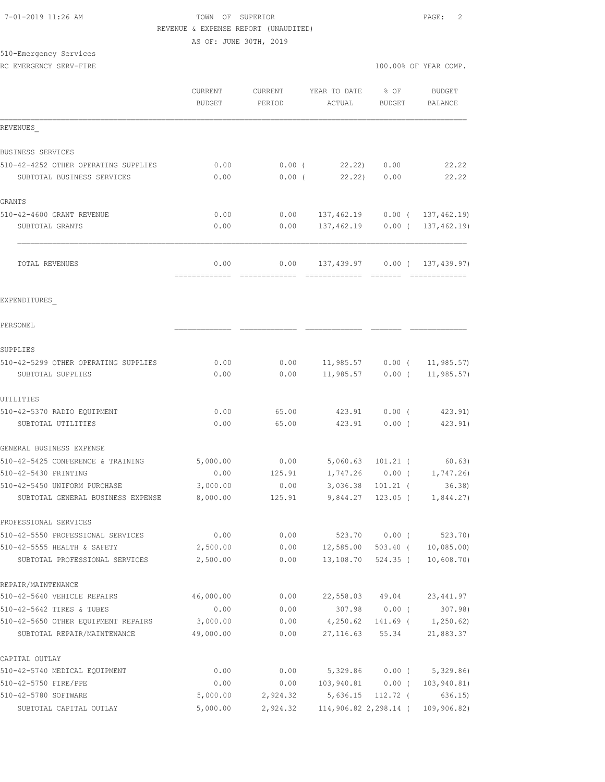### 7-01-2019 11:26 AM TOWN OF SUPERIOR PAGE: 2 REVENUE & EXPENSE REPORT (UNAUDITED) AS OF: JUNE 30TH, 2019

# 510-Emergency Services

|                                                                    | CURRENT<br>BUDGET     | CURRENT<br>PERIOD | YEAR TO DATE<br>ACTUAL                     | % OF<br><b>BUDGET</b> | BUDGET<br>BALANCE                    |
|--------------------------------------------------------------------|-----------------------|-------------------|--------------------------------------------|-----------------------|--------------------------------------|
| REVENUES                                                           |                       |                   |                                            |                       |                                      |
| BUSINESS SERVICES                                                  |                       |                   |                                            |                       |                                      |
| 510-42-4252 OTHER OPERATING SUPPLIES                               | 0.00                  | $0.00$ (          | 22.22)                                     | 0.00                  | 22.22                                |
| SUBTOTAL BUSINESS SERVICES                                         | 0.00                  | $0.00$ (          | 22.22                                      | 0.00                  | 22.22                                |
| GRANTS                                                             |                       |                   |                                            |                       |                                      |
| 510-42-4600 GRANT REVENUE                                          | 0.00                  | 0.00              | 137,462.19 0.00 ( 137,462.19)              |                       |                                      |
| SUBTOTAL GRANTS                                                    | 0.00                  | 0.00              |                                            |                       | 137,462.19   0.00   137,462.19)      |
| TOTAL REVENUES                                                     | 0.00                  | 0.00              |                                            |                       | 137,439.97 0.00 ( 137,439.97)        |
| EXPENDITURES                                                       |                       |                   |                                            |                       |                                      |
| PERSONEL                                                           |                       |                   |                                            |                       |                                      |
| SUPPLIES                                                           |                       |                   |                                            |                       |                                      |
| 510-42-5299 OTHER OPERATING SUPPLIES                               | 0.00                  | 0.00              | 11,985.57                                  | $0.00$ (              | 11, 985.57)                          |
| SUBTOTAL SUPPLIES                                                  | 0.00                  | 0.00              | 11,985.57                                  | $0.00$ (              | 11, 985.57)                          |
| UTILITIES                                                          |                       |                   |                                            |                       |                                      |
| 510-42-5370 RADIO EQUIPMENT                                        | 0.00                  | 65.00             | 423.91                                     | $0.00$ (              | 423.91)                              |
| SUBTOTAL UTILITIES                                                 | 0.00                  | 65.00             | 423.91                                     | $0.00$ (              | 423.91)                              |
| GENERAL BUSINESS EXPENSE                                           |                       |                   |                                            |                       |                                      |
| 510-42-5425 CONFERENCE & TRAINING                                  | 5,000.00              | 0.00              | 5,060.63                                   | $101.21$ (            | 60.63)                               |
| 510-42-5430 PRINTING                                               | 0.00                  | 125.91            |                                            |                       | $1,747.26$ 0.00 ( 1,747.26)          |
| 510-42-5450 UNIFORM PURCHASE                                       | 3,000.00              | 0.00              | 3,036.38                                   | $101.21$ (            | 36.38                                |
| SUBTOTAL GENERAL BUSINESS EXPENSE                                  | 8,000.00              | 125.91            | 9,844.27                                   | $123.05$ (            | 1,844.27)                            |
| PROFESSIONAL SERVICES                                              |                       |                   |                                            |                       |                                      |
| 510-42-5550 PROFESSIONAL SERVICES                                  | 0.00                  | 0.00              |                                            | 523.70 0.00 (         | 523.70)                              |
| 510-42-5555 HEALTH & SAFETY                                        | 2,500.00              | 0.00              | 12,585.00                                  | 503.40 (              | 10,085.00                            |
| SUBTOTAL PROFESSIONAL SERVICES                                     | 2,500.00              | 0.00              | 13,108.70                                  | 524.35 (              | 10,608.70)                           |
| REPAIR/MAINTENANCE                                                 |                       |                   |                                            |                       |                                      |
| 510-42-5640 VEHICLE REPAIRS                                        | 46,000.00             | 0.00              |                                            | 22,558.03 49.04       | 23, 441.97                           |
| 510-42-5642 TIRES & TUBES                                          | 0.00                  | 0.00              | 307.98                                     | $0.00$ (              | 307.98)                              |
| 510-42-5650 OTHER EQUIPMENT REPAIRS<br>SUBTOTAL REPAIR/MAINTENANCE | 3,000.00<br>49,000.00 | 0.00<br>0.00      | 4,250.62                                   | 27, 116.63 55.34      | $141.69$ ( $1,250.62$ )<br>21,883.37 |
| CAPITAL OUTLAY                                                     |                       |                   |                                            |                       |                                      |
| 510-42-5740 MEDICAL EQUIPMENT                                      | 0.00                  | 0.00              |                                            |                       | 5,329.86 0.00 ( 5,329.86)            |
| 510-42-5750 FIRE/PPE                                               | 0.00                  | 0.00              | 103,940.81  0.00 (                         |                       | 103,940.81)                          |
| 510-42-5780 SOFTWARE                                               | 5,000.00              | 2,924.32          |                                            | 5,636.15 112.72 (     | 636.15)                              |
| SUBTOTAL CAPITAL OUTLAY                                            | 5,000.00              |                   | 2,924.32 114,906.82 2,298.14 ( 109,906.82) |                       |                                      |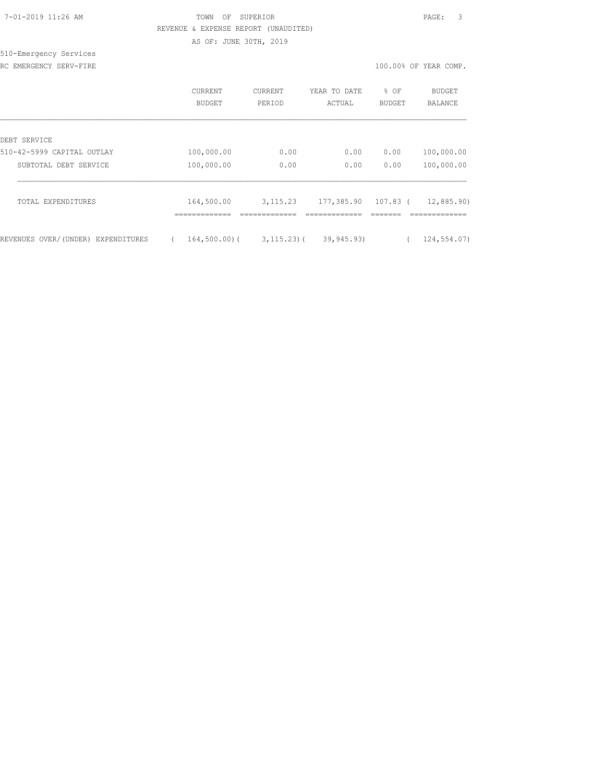|  | 7-01-2019 11:26 AM |  |
|--|--------------------|--|
|  |                    |  |

# TOWN OF SUPERIOR **12:26 AM TOWN OF SUPERIOR**  REVENUE & EXPENSE REPORT (UNAUDITED) AS OF: JUNE 30TH, 2019

510-Emergency Services

RC EMERGENCY SERV-FIRE **100.00%** OF YEAR COMP.

|                                    | CURRENT<br>BUDGET           | <b>CURRENT</b><br>PERIOD | YEAR TO DATE<br>ACTUAL | % OF<br><b>BUDGET</b> | <b>BUDGET</b><br><b>BALANCE</b> |
|------------------------------------|-----------------------------|--------------------------|------------------------|-----------------------|---------------------------------|
| DEBT SERVICE                       |                             |                          |                        |                       |                                 |
| 510-42-5999 CAPITAL OUTLAY         | 100,000.00                  | 0.00                     | 0.00                   | 0.00                  | 100,000.00                      |
| SUBTOTAL DEBT SERVICE              | 100,000.00                  | 0.00                     | 0.00                   | 0.00                  | 100,000.00                      |
| TOTAL EXPENDITURES                 | 164,500.00<br>------------- | 3, 115.23                | 177,385.90             | 107.83 (              | 12,885.90)                      |
| REVENUES OVER/(UNDER) EXPENDITURES | $164, 500, 00)$ (           | $3, 115, 23$ ) (         | 39,945.93)             |                       | 124,554.07)                     |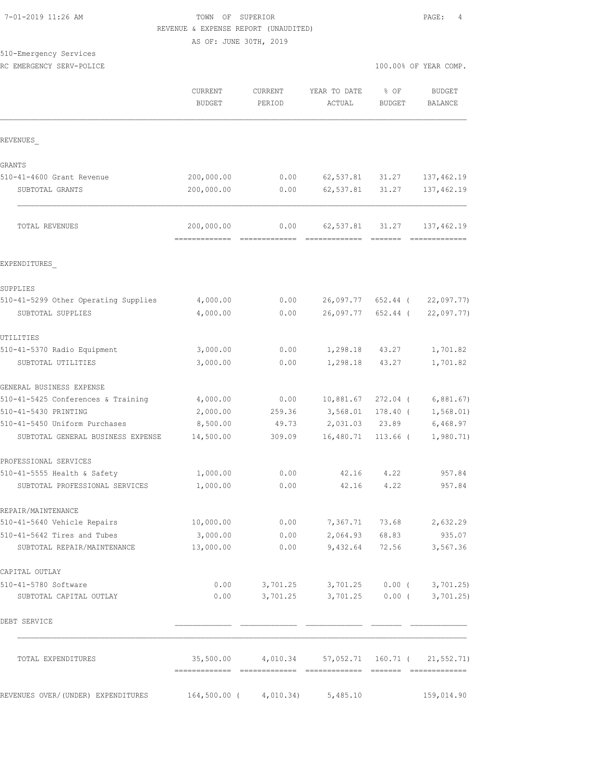# TOWN OF SUPERIOR **11:2010** PAGE: 4 REVENUE & EXPENSE REPORT (UNAUDITED)

AS OF: JUNE 30TH, 2019

| 510-Emergency Services |  |
|------------------------|--|
|                        |  |

|                                                                    | <b>CURRENT</b><br><b>BUDGET</b>             | <b>CURRENT</b><br>PERIOD | YEAR TO DATE<br>ACTUAL                           | % OF<br><b>BUDGET</b> | <b>BUDGET</b><br>BALANCE       |
|--------------------------------------------------------------------|---------------------------------------------|--------------------------|--------------------------------------------------|-----------------------|--------------------------------|
| REVENUES                                                           |                                             |                          |                                                  |                       |                                |
| GRANTS                                                             |                                             |                          |                                                  |                       |                                |
| 510-41-4600 Grant Revenue                                          | 200,000.00                                  | 0.00                     | 62,537.81                                        | 31.27                 | 137, 462.19                    |
| SUBTOTAL GRANTS                                                    | 200,000.00                                  | 0.00                     | 62,537.81                                        | 31.27                 | 137, 462.19                    |
| TOTAL REVENUES                                                     | 200,000.00<br>============================= | 0.00                     | 62,537.81<br>=======================             | 31.27                 | 137,462.19<br>=============    |
| EXPENDITURES                                                       |                                             |                          |                                                  |                       |                                |
| SUPPLIES                                                           |                                             |                          |                                                  |                       |                                |
| 510-41-5299 Other Operating Supplies                               | 4,000.00                                    | 0.00                     | 26,097.77                                        | 652.44 (              | 22,097.77)                     |
| SUBTOTAL SUPPLIES                                                  | 4,000.00                                    | 0.00                     | 26,097.77                                        | 652.44 (              | 22,097.77)                     |
| UTILITIES                                                          |                                             |                          |                                                  |                       |                                |
| 510-41-5370 Radio Equipment                                        | 3,000.00                                    | 0.00                     | 1,298.18                                         | 43.27                 | 1,701.82                       |
| SUBTOTAL UTILITIES                                                 | 3,000.00                                    | 0.00                     | 1,298.18                                         | 43.27                 | 1,701.82                       |
| GENERAL BUSINESS EXPENSE                                           |                                             |                          |                                                  |                       |                                |
| 510-41-5425 Conferences & Training                                 | 4,000.00                                    | 0.00                     | 10,881.67                                        | $272.04$ (            | 6,881.67)                      |
| 510-41-5430 PRINTING                                               | 2,000.00                                    | 259.36                   | 3,568.01                                         | $178.40$ (            | 1, 568.01)                     |
| 510-41-5450 Uniform Purchases<br>SUBTOTAL GENERAL BUSINESS EXPENSE | 8,500.00<br>14,500.00                       | 49.73<br>309.09          | 2,031.03<br>16,480.71                            | 23.89<br>$113.66$ (   | 6,468.97<br>1,980.71)          |
|                                                                    |                                             |                          |                                                  |                       |                                |
| PROFESSIONAL SERVICES                                              |                                             |                          |                                                  |                       |                                |
| 510-41-5555 Health & Safety<br>SUBTOTAL PROFESSIONAL SERVICES      | 1,000.00<br>1,000.00                        | 0.00<br>0.00             | 42.16<br>42.16                                   | 4.22<br>4.22          | 957.84<br>957.84               |
|                                                                    |                                             |                          |                                                  |                       |                                |
| REPAIR/MAINTENANCE                                                 |                                             |                          |                                                  |                       |                                |
| 510-41-5640 Vehicle Repairs<br>510-41-5642 Tires and Tubes         | 10,000.00<br>3,000.00                       | 0.00<br>0.00             | 7,367.71 73.68                                   | 2,064.93 68.83        | 2,632.29<br>935.07             |
| SUBTOTAL REPAIR/MAINTENANCE                                        | 13,000.00                                   | 0.00                     | 9,432.64                                         | 72.56                 | 3,567.36                       |
| CAPITAL OUTLAY                                                     |                                             |                          |                                                  |                       |                                |
| 510-41-5780 Software                                               | 0.00                                        |                          | 3,701.25 3,701.25 0.00 ( 3,701.25)               |                       |                                |
| SUBTOTAL CAPITAL OUTLAY                                            | 0.00                                        | 3,701.25                 |                                                  |                       | $3,701.25$ 0.00 ( $3,701.25$ ) |
| DEBT SERVICE                                                       |                                             |                          |                                                  |                       |                                |
| TOTAL EXPENDITURES                                                 |                                             |                          | 35,500.00 4,010.34 57,052.71 160.71 ( 21,552.71) |                       |                                |
| REVENUES OVER/(UNDER) EXPENDITURES                                 |                                             | 164,500.00 ( 4,010.34)   | 5,485.10                                         |                       | 159,014.90                     |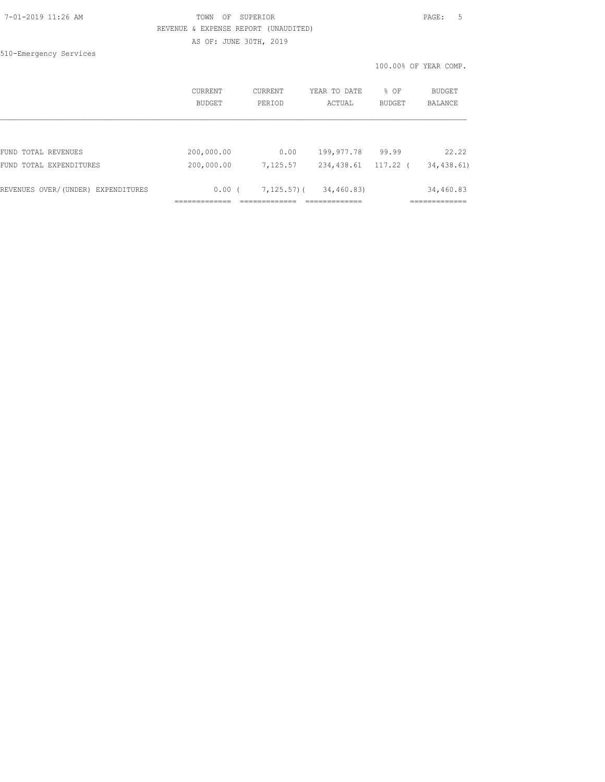## 7-01-2019 11:26 AM TOWN OF SUPERIOR PAGE: 5 REVENUE & EXPENSE REPORT (UNAUDITED)

AS OF: JUNE 30TH, 2019

510-Emergency Services

|                                    | <b>CURRENT</b><br>BUDGET | <b>CURRENT</b><br>PERIOD | YEAR TO DATE<br>ACTUAL | % OF<br><b>BUDGET</b> | BUDGET<br><b>BALANCE</b> |
|------------------------------------|--------------------------|--------------------------|------------------------|-----------------------|--------------------------|
|                                    |                          |                          |                        |                       |                          |
| FUND TOTAL REVENUES                | 200,000.00               | 0.00                     | 199,977.78             | 99.99                 | 22.22                    |
| FUND TOTAL EXPENDITURES            | 200,000.00               | 7,125.57                 | 234,438.61             | 117.22                | 34,438.61)               |
| REVENUES OVER/(UNDER) EXPENDITURES | 0.00(                    | $7,125.57$ ) (           | 34,460.83)             |                       | 34,460.83                |
|                                    |                          |                          |                        |                       |                          |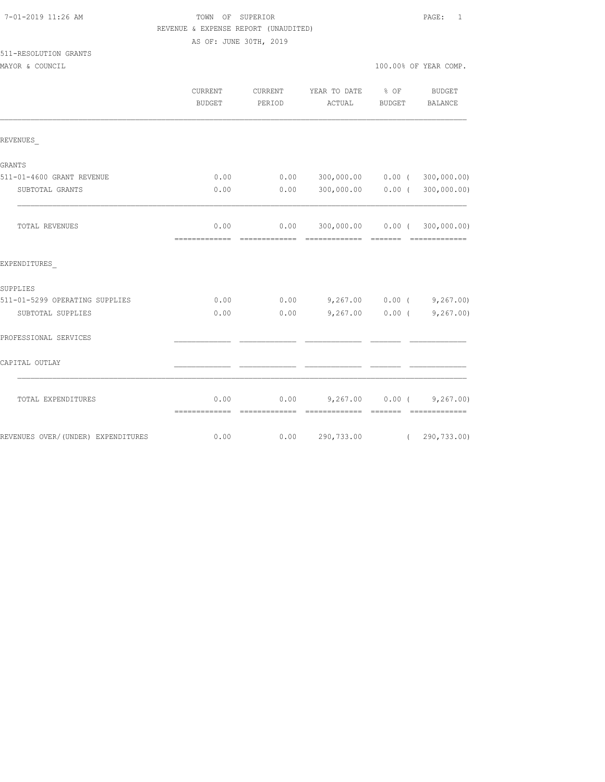| 7-01-2019 11:26 AM |  |  |
|--------------------|--|--|
|--------------------|--|--|

# TOWN OF SUPERIOR **11:2010** 11:26 PAGE: 1 REVENUE & EXPENSE REPORT (UNAUDITED)

AS OF: JUNE 30TH, 2019

# 511-RESOLUTION GRANTS

|                                    | <b>CURRENT</b><br><b>BUDGET</b> | <b>CURRENT</b><br>PERIOD | YEAR TO DATE<br>ACTUAL                                | $8$ OF<br>BUDGET | <b>BUDGET</b><br>BALANCE          |
|------------------------------------|---------------------------------|--------------------------|-------------------------------------------------------|------------------|-----------------------------------|
| REVENUES                           |                                 |                          |                                                       |                  |                                   |
| <b>GRANTS</b>                      |                                 |                          |                                                       |                  |                                   |
| 511-01-4600 GRANT REVENUE          | 0.00                            | 0.00                     | 300,000.00   0.00   ( 300,000.00)                     |                  |                                   |
| SUBTOTAL GRANTS                    | 0.00                            | 0.00                     |                                                       |                  | 300,000.00   0.00   ( 300,000.00) |
| TOTAL REVENUES                     | 0.00<br>-------------           | -------------            | $0.00$ 300,000.00 0.00 (300,000.00)<br>-------------- | --------         |                                   |
| EXPENDITURES                       |                                 |                          |                                                       |                  |                                   |
| SUPPLIES                           |                                 |                          |                                                       |                  |                                   |
| 511-01-5299 OPERATING SUPPLIES     | 0.00                            | 0.00                     | $9,267.00$ 0.00 ( $9,267.00$ )                        |                  |                                   |
| SUBTOTAL SUPPLIES                  | 0.00                            | 0.00                     |                                                       |                  | $9,267.00$ 0.00 (9,267.00)        |
| PROFESSIONAL SERVICES              |                                 |                          |                                                       |                  |                                   |
| CAPITAL OUTLAY                     |                                 |                          |                                                       |                  |                                   |
| TOTAL EXPENDITURES                 | 0.00<br>=============           | --------------           | $0.00$ 9,267.00 0.00 (9,267.00)<br>=============      | <b>BEECEE</b>    | -------------                     |
| REVENUES OVER/(UNDER) EXPENDITURES | 0.00                            | 0.00                     |                                                       |                  | 290,733.00 (290,733.00)           |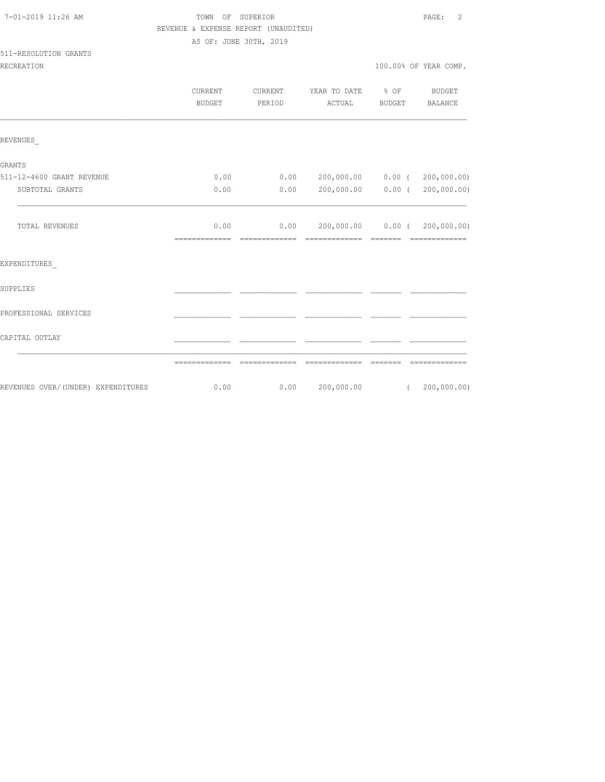# TOWN OF SUPERIOR **11:2019 11:26 AM TOWN OF SUPERIOR** REVENUE & EXPENSE REPORT (UNAUDITED)

AS OF: JUNE 30TH, 2019

#### 511-RESOLUTION GRANTS

|                                     | CURRENT<br><b>BUDGET</b> | CURRENT<br>PERIOD     | YEAR TO DATE<br>ACTUAL                                        | $8$ OF<br>BUDGET | <b>BUDGET</b><br><b>BALANCE</b>                                                                                                                                                                                                                                                                                                                                                                                                                                                        |
|-------------------------------------|--------------------------|-----------------------|---------------------------------------------------------------|------------------|----------------------------------------------------------------------------------------------------------------------------------------------------------------------------------------------------------------------------------------------------------------------------------------------------------------------------------------------------------------------------------------------------------------------------------------------------------------------------------------|
| REVENUES                            |                          |                       |                                                               |                  |                                                                                                                                                                                                                                                                                                                                                                                                                                                                                        |
| GRANTS                              |                          |                       |                                                               |                  |                                                                                                                                                                                                                                                                                                                                                                                                                                                                                        |
| 511-12-4600 GRANT REVENUE           | 0.00                     | 0.00                  |                                                               |                  | 200,000.00   0.00   (   200,000.00)                                                                                                                                                                                                                                                                                                                                                                                                                                                    |
| SUBTOTAL GRANTS                     | 0.00                     | 0.00                  | 200,000.00                                                    | 0.00(            | 200,000.00)                                                                                                                                                                                                                                                                                                                                                                                                                                                                            |
| TOTAL REVENUES                      | 0.00<br>=============    | 0.00<br>============= | 200,000.00   0.00   (   200,000.00)<br>============== ======= |                  | $\begin{array}{cccccccccc} \multicolumn{2}{c}{} & \multicolumn{2}{c}{} & \multicolumn{2}{c}{} & \multicolumn{2}{c}{} & \multicolumn{2}{c}{} & \multicolumn{2}{c}{} & \multicolumn{2}{c}{} & \multicolumn{2}{c}{} & \multicolumn{2}{c}{} & \multicolumn{2}{c}{} & \multicolumn{2}{c}{} & \multicolumn{2}{c}{} & \multicolumn{2}{c}{} & \multicolumn{2}{c}{} & \multicolumn{2}{c}{} & \multicolumn{2}{c}{} & \multicolumn{2}{c}{} & \multicolumn{2}{c}{} & \multicolumn{2}{c}{} & \mult$ |
| EXPENDITURES                        |                          |                       |                                                               |                  |                                                                                                                                                                                                                                                                                                                                                                                                                                                                                        |
| SUPPLIES                            |                          |                       |                                                               |                  |                                                                                                                                                                                                                                                                                                                                                                                                                                                                                        |
| PROFESSIONAL SERVICES               |                          |                       |                                                               |                  |                                                                                                                                                                                                                                                                                                                                                                                                                                                                                        |
| CAPITAL OUTLAY                      |                          |                       |                                                               |                  |                                                                                                                                                                                                                                                                                                                                                                                                                                                                                        |
|                                     | -------------            | --------------        | --------------                                                | --------         |                                                                                                                                                                                                                                                                                                                                                                                                                                                                                        |
| REVENUES OVER/ (UNDER) EXPENDITURES | 0.00                     | 0.00                  | 200,000.00                                                    |                  | (200, 000.00)                                                                                                                                                                                                                                                                                                                                                                                                                                                                          |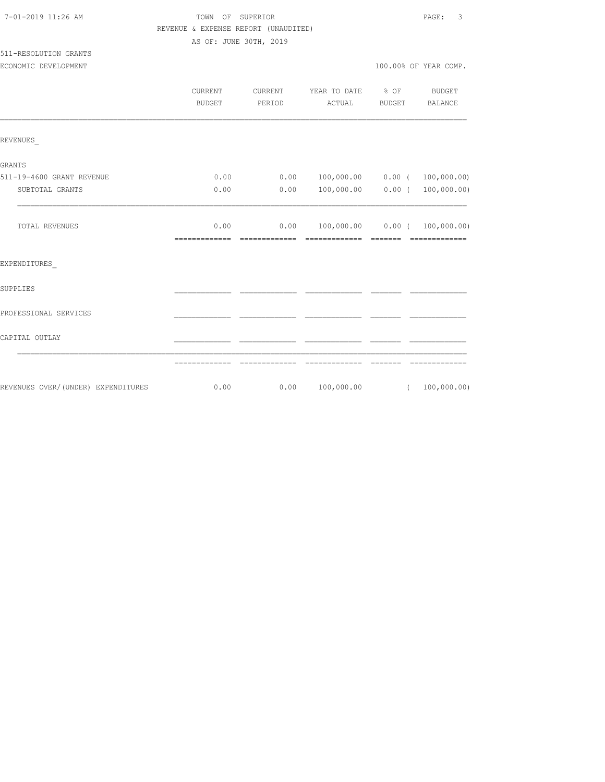# TOWN OF SUPERIOR **12:26 AM TOWN OF SUPERIOR** REVENUE & EXPENSE REPORT (UNAUDITED)

AS OF: JUNE 30TH, 2019

# 511-RESOLUTION GRANTS

| ECONOMIC DEVELOPMENT |  |  | 100.00% OF YEAR COMP. |  |
|----------------------|--|--|-----------------------|--|
|                      |  |  |                       |  |

|                                     | CURRENT<br><b>BUDGET</b> | CURRENT<br>PERIOD     | YEAR TO DATE<br>ACTUAL                                                                                                                                                                                                                                                                                                                                                                                                                                                                                                    | % OF<br><b>BUDGET</b>       | <b>BUDGET</b><br><b>BALANCE</b>                                                                                                                                                                                                                                                                                                                                                                                                                                                        |
|-------------------------------------|--------------------------|-----------------------|---------------------------------------------------------------------------------------------------------------------------------------------------------------------------------------------------------------------------------------------------------------------------------------------------------------------------------------------------------------------------------------------------------------------------------------------------------------------------------------------------------------------------|-----------------------------|----------------------------------------------------------------------------------------------------------------------------------------------------------------------------------------------------------------------------------------------------------------------------------------------------------------------------------------------------------------------------------------------------------------------------------------------------------------------------------------|
| REVENUES                            |                          |                       |                                                                                                                                                                                                                                                                                                                                                                                                                                                                                                                           |                             |                                                                                                                                                                                                                                                                                                                                                                                                                                                                                        |
| <b>GRANTS</b>                       |                          |                       |                                                                                                                                                                                                                                                                                                                                                                                                                                                                                                                           |                             |                                                                                                                                                                                                                                                                                                                                                                                                                                                                                        |
| 511-19-4600 GRANT REVENUE           | 0.00                     | 0.00                  | $100,000.00$ 0.00 ( 100,000.00)                                                                                                                                                                                                                                                                                                                                                                                                                                                                                           |                             |                                                                                                                                                                                                                                                                                                                                                                                                                                                                                        |
| SUBTOTAL GRANTS                     | 0.00                     | 0.00                  | 100,000.00                                                                                                                                                                                                                                                                                                                                                                                                                                                                                                                | 0.00(                       | 100,000.00)                                                                                                                                                                                                                                                                                                                                                                                                                                                                            |
| TOTAL REVENUES                      | 0.00                     | 0.00<br>============= | $100,000.00$ 0.00 ( 100,000.00)<br>$\begin{array}{cccccccccccccc} \multicolumn{2}{c}{} & \multicolumn{2}{c}{} & \multicolumn{2}{c}{} & \multicolumn{2}{c}{} & \multicolumn{2}{c}{} & \multicolumn{2}{c}{} & \multicolumn{2}{c}{} & \multicolumn{2}{c}{} & \multicolumn{2}{c}{} & \multicolumn{2}{c}{} & \multicolumn{2}{c}{} & \multicolumn{2}{c}{} & \multicolumn{2}{c}{} & \multicolumn{2}{c}{} & \multicolumn{2}{c}{} & \multicolumn{2}{c}{} & \multicolumn{2}{c}{} & \multicolumn{2}{c}{} & \multicolumn{2}{c}{} & \$ | $=$ $=$ $=$ $=$ $=$ $=$ $=$ | $\begin{array}{cccccccccc} \multicolumn{2}{c}{} & \multicolumn{2}{c}{} & \multicolumn{2}{c}{} & \multicolumn{2}{c}{} & \multicolumn{2}{c}{} & \multicolumn{2}{c}{} & \multicolumn{2}{c}{} & \multicolumn{2}{c}{} & \multicolumn{2}{c}{} & \multicolumn{2}{c}{} & \multicolumn{2}{c}{} & \multicolumn{2}{c}{} & \multicolumn{2}{c}{} & \multicolumn{2}{c}{} & \multicolumn{2}{c}{} & \multicolumn{2}{c}{} & \multicolumn{2}{c}{} & \multicolumn{2}{c}{} & \multicolumn{2}{c}{} & \mult$ |
| EXPENDITURES                        |                          |                       |                                                                                                                                                                                                                                                                                                                                                                                                                                                                                                                           |                             |                                                                                                                                                                                                                                                                                                                                                                                                                                                                                        |
| SUPPLIES                            |                          |                       |                                                                                                                                                                                                                                                                                                                                                                                                                                                                                                                           |                             |                                                                                                                                                                                                                                                                                                                                                                                                                                                                                        |
| PROFESSIONAL SERVICES               |                          |                       |                                                                                                                                                                                                                                                                                                                                                                                                                                                                                                                           |                             |                                                                                                                                                                                                                                                                                                                                                                                                                                                                                        |
| CAPITAL OUTLAY                      |                          |                       |                                                                                                                                                                                                                                                                                                                                                                                                                                                                                                                           |                             |                                                                                                                                                                                                                                                                                                                                                                                                                                                                                        |
|                                     | =============            |                       |                                                                                                                                                                                                                                                                                                                                                                                                                                                                                                                           |                             |                                                                                                                                                                                                                                                                                                                                                                                                                                                                                        |
| REVENUES OVER/ (UNDER) EXPENDITURES | 0.00                     | 0.00                  | 100,000.00                                                                                                                                                                                                                                                                                                                                                                                                                                                                                                                |                             | (100, 000.00)                                                                                                                                                                                                                                                                                                                                                                                                                                                                          |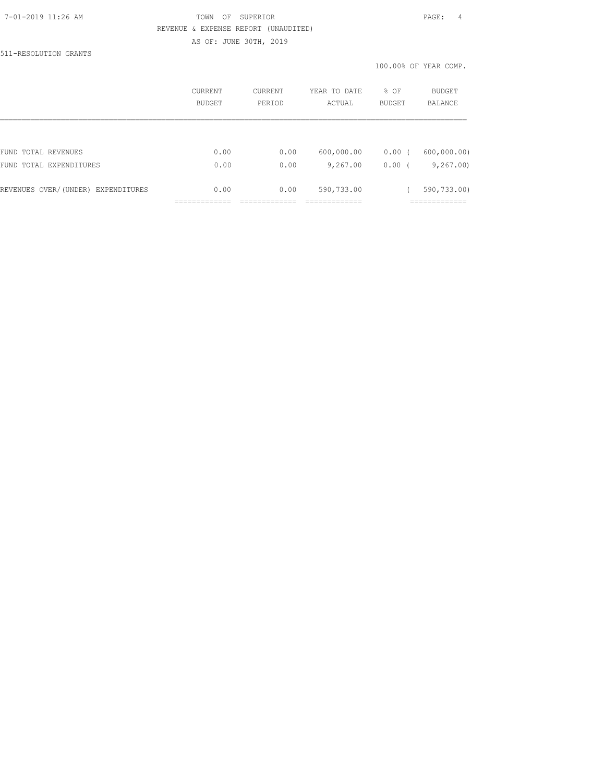### 7-01-2019 11:26 AM TOWN OF SUPERIOR PAGE: 4 REVENUE & EXPENSE REPORT (UNAUDITED) AS OF: JUNE 30TH, 2019

511-RESOLUTION GRANTS

|                                    | CURRENT<br>BUDGET | CURRENT<br>PERIOD | YEAR TO DATE<br>% OF<br><b>BUDGET</b><br>ACTUAL |                    | <b>BUDGET</b><br><b>BALANCE</b> |  |
|------------------------------------|-------------------|-------------------|-------------------------------------------------|--------------------|---------------------------------|--|
|                                    |                   |                   |                                                 |                    |                                 |  |
| FUND TOTAL REVENUES                | 0.00              | 0.00              | 600,000.00                                      | $0.00$ (           | 600,000.00)                     |  |
| FUND TOTAL EXPENDITURES            | 0.00              | 0.00              | 9,267.00                                        | 0.00<br>$\sqrt{ }$ | 9,267.00                        |  |
| REVENUES OVER/(UNDER) EXPENDITURES | 0.00              | 0.00              | 590,733.00                                      |                    | 590,733.00)                     |  |
|                                    |                   |                   |                                                 |                    |                                 |  |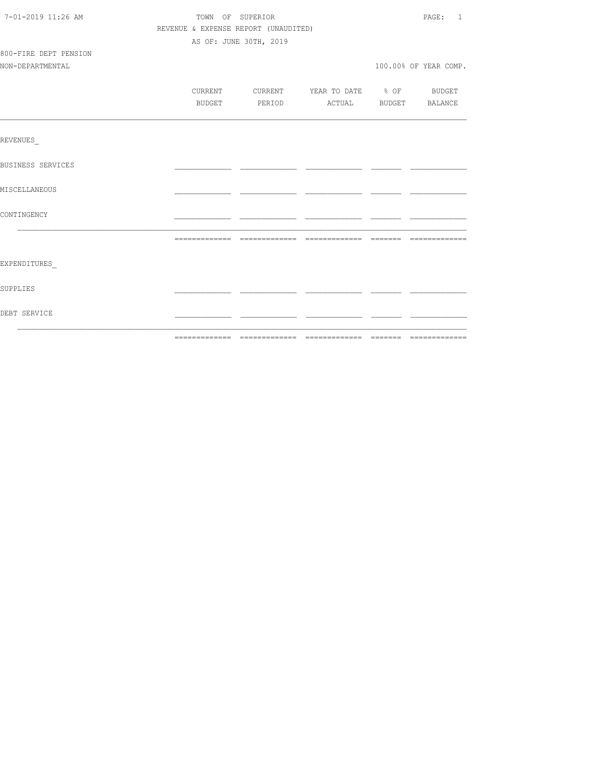| 7-01-2019 11:26 AM       |        | TOWN OF SUPERIOR                         |  |  |                       |  |
|--------------------------|--------|------------------------------------------|--|--|-----------------------|--|
|                          |        | REVENUE & EXPENSE REPORT (UNAUDITED)     |  |  |                       |  |
|                          |        | AS OF: JUNE 30TH, 2019                   |  |  |                       |  |
| 800-FIRE DEPT PENSION    |        |                                          |  |  |                       |  |
| NON-DEPARTMENTAL         |        |                                          |  |  | 100.00% OF YEAR COMP. |  |
|                          |        |                                          |  |  |                       |  |
|                          |        | CURRENT CURRENT YEAR TO DATE % OF BUDGET |  |  |                       |  |
|                          | BUDGET | PERIOD ACTUAL BUDGET BALANCE             |  |  |                       |  |
|                          |        |                                          |  |  |                       |  |
| REVENUES                 |        |                                          |  |  |                       |  |
| <b>BUSINESS SERVICES</b> |        |                                          |  |  |                       |  |
| MISCELLANEOUS            |        |                                          |  |  |                       |  |
| CONTINGENCY              |        |                                          |  |  |                       |  |
|                          |        |                                          |  |  |                       |  |
|                          |        |                                          |  |  |                       |  |
| EXPENDITURES             |        |                                          |  |  |                       |  |
| SUPPLIES                 |        |                                          |  |  |                       |  |
| DEBT SERVICE             |        |                                          |  |  |                       |  |
|                          |        |                                          |  |  |                       |  |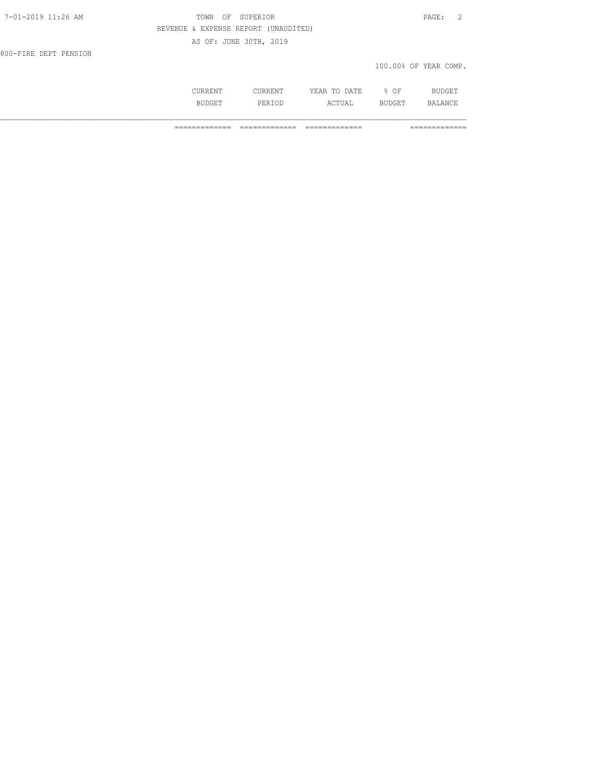| 7-01-2019 11:26 AM    | OF SUPERIOR<br>TOWN                  |                       | PAGE: |  |
|-----------------------|--------------------------------------|-----------------------|-------|--|
|                       | REVENUE & EXPENSE REPORT (UNAUDITED) |                       |       |  |
|                       | AS OF: JUNE 30TH, 2019               |                       |       |  |
| 800-FIRE DEPT PENSION |                                      |                       |       |  |
|                       |                                      | 100.00% OF YEAR COMP. |       |  |
|                       |                                      |                       |       |  |

| COLANDIN L     | --------              | ⊽ ™ ⊓<br>77<br><u>. д</u><br>-----<br>-----                   | OF   | DITE<br>$ -$<br>DU NGE 1 |
|----------------|-----------------------|---------------------------------------------------------------|------|--------------------------|
| RIIDO<br>----- | י ים כ.<br><br>------ | $\wedge$ $\wedge$ $\mathsf{m}\mathsf{m}\mathsf{m}$<br>AC LUAD | ∸ ∟∪ | $\Delta$ NICT<br>RЛ      |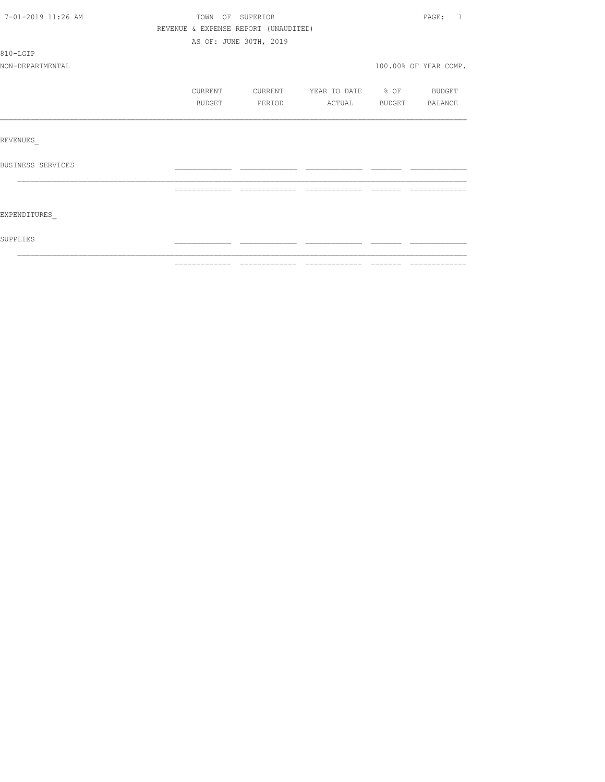| 7-01-2019 11:26 AM |                                      | TOWN OF SUPERIOR       |                          | PAGE: 1               |
|--------------------|--------------------------------------|------------------------|--------------------------|-----------------------|
|                    | REVENUE & EXPENSE REPORT (UNAUDITED) |                        |                          |                       |
|                    |                                      | AS OF: JUNE 30TH, 2019 |                          |                       |
| 810-LGIP           |                                      |                        |                          |                       |
| NON-DEPARTMENTAL   |                                      |                        |                          | 100.00% OF YEAR COMP. |
|                    | CURRENT                              | CURRENT                | YEAR TO DATE % OF BUDGET |                       |
|                    | BUDGET                               | PERIOD                 | ACTUAL                   | BUDGET BALANCE        |
|                    |                                      |                        |                          |                       |
| REVENUES           |                                      |                        |                          |                       |
| BUSINESS SERVICES  |                                      |                        |                          |                       |
|                    |                                      |                        |                          |                       |
| EXPENDITURES       |                                      |                        |                          |                       |
| SUPPLIES           |                                      |                        |                          |                       |
|                    |                                      |                        |                          |                       |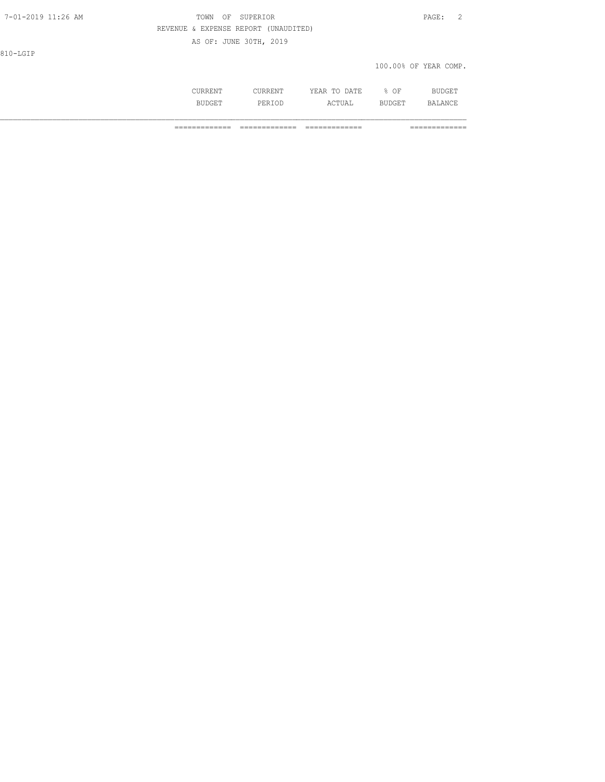| 7-01-2019 11:26 AM | TOWN OF SUPERIOR                     | PAGE: |  |
|--------------------|--------------------------------------|-------|--|
|                    | REVENUE & EXPENSE REPORT (UNAUDITED) |       |  |

AS OF: JUNE 30TH, 2019

810-LGIP

100.00% OF YEAR COMP.

|        | $\sim$ $\sim$ |  |
|--------|---------------|--|
|        |               |  |
| $\sim$ |               |  |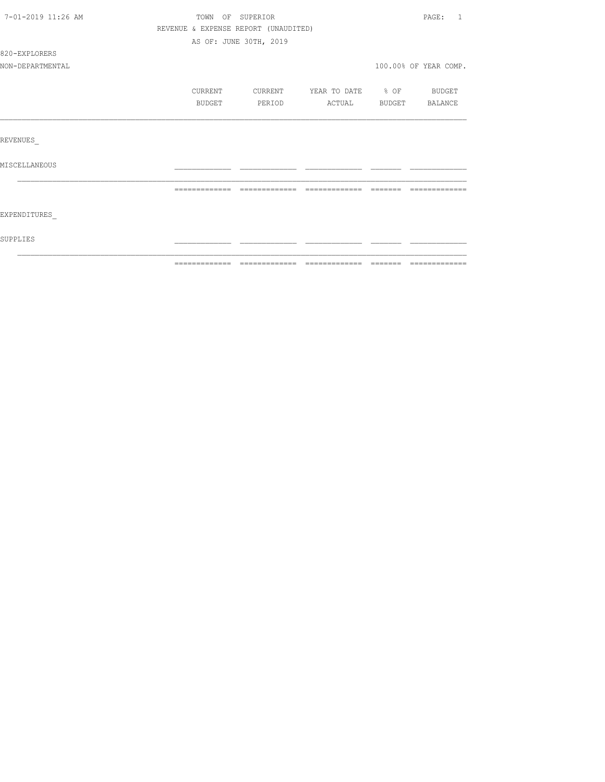| 7-01-2019 11:26 AM | TOWN OF SUPERIOR                     |                        |                          |       | PAGE: 1               |
|--------------------|--------------------------------------|------------------------|--------------------------|-------|-----------------------|
|                    | REVENUE & EXPENSE REPORT (UNAUDITED) |                        |                          |       |                       |
|                    |                                      | AS OF: JUNE 30TH, 2019 |                          |       |                       |
| 820-EXPLORERS      |                                      |                        |                          |       |                       |
| NON-DEPARTMENTAL   |                                      |                        |                          |       | 100.00% OF YEAR COMP. |
|                    | CURRENT                              | CURRENT                | YEAR TO DATE % OF BUDGET |       |                       |
|                    | BUDGET                               | PERIOD                 | ACTUAL                   |       | BUDGET BALANCE        |
|                    |                                      |                        |                          |       |                       |
| REVENUES           |                                      |                        |                          |       |                       |
| MISCELLANEOUS      |                                      |                        |                          |       |                       |
|                    |                                      |                        | $---$                    | $- -$ |                       |
|                    |                                      |                        |                          |       |                       |
| EXPENDITURES       |                                      |                        |                          |       |                       |
| SUPPLIES           |                                      |                        |                          |       |                       |
|                    |                                      |                        |                          |       |                       |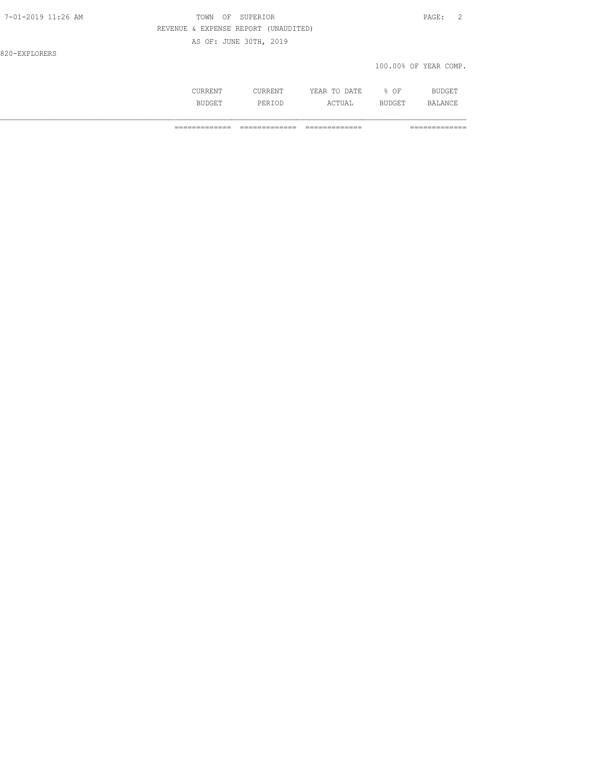### 7-01-2019 11:26 AM TOWN OF SUPERIOR PAGE: 2 REVENUE & EXPENSE REPORT (UNAUDITED) AS OF: JUNE 30TH, 2019

820-EXPLORERS

#### 100.00% OF YEAR COMP.

|               | mm  | ΟF<br>$\sim$ $\sim$ |        |
|---------------|-----|---------------------|--------|
| יונ<br>$\sim$ | --- |                     | u na 1 |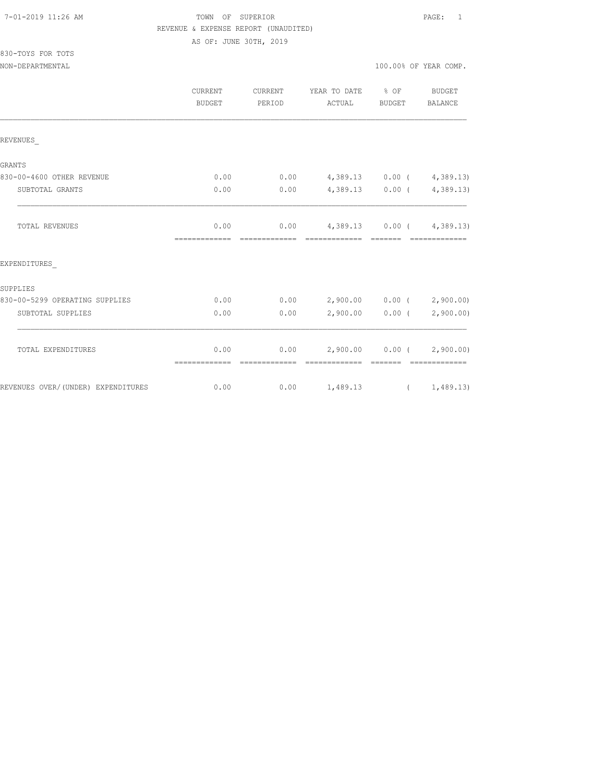#### 7-01-2019 11:26 AM TOWN OF SUPERIOR PAGE: 1 REVENUE & EXPENSE REPORT (UNAUDITED)

AS OF: JUNE 30TH, 2019

| 830-TOYS FOR TOTS |  |  |
|-------------------|--|--|
|                   |  |  |

|                                    | <b>CURRENT</b><br><b>BUDGET</b> | CURRENT<br>PERIOD | YEAR TO DATE % OF<br>ACTUAL                        | BUDGET                                                                                                                                                                                                                                                                                                                                                                                                                                                                               | <b>BUDGET</b><br>BALANCE    |
|------------------------------------|---------------------------------|-------------------|----------------------------------------------------|--------------------------------------------------------------------------------------------------------------------------------------------------------------------------------------------------------------------------------------------------------------------------------------------------------------------------------------------------------------------------------------------------------------------------------------------------------------------------------------|-----------------------------|
| REVENUES                           |                                 |                   |                                                    |                                                                                                                                                                                                                                                                                                                                                                                                                                                                                      |                             |
| GRANTS                             |                                 |                   |                                                    |                                                                                                                                                                                                                                                                                                                                                                                                                                                                                      |                             |
| 830-00-4600 OTHER REVENUE          | 0.00                            |                   | $0.00$ 4,389.13 0.00 ( 4,389.13)                   |                                                                                                                                                                                                                                                                                                                                                                                                                                                                                      |                             |
| SUBTOTAL GRANTS                    | 0.00                            | 0.00              | $4,389.13$ 0.00 ( $4,389.13$ )                     |                                                                                                                                                                                                                                                                                                                                                                                                                                                                                      |                             |
| TOTAL REVENUES                     | 0.00                            |                   | $0.00$ 4,389.13 0.00 ( 4,389.13)                   |                                                                                                                                                                                                                                                                                                                                                                                                                                                                                      |                             |
| EXPENDITURES                       |                                 |                   |                                                    |                                                                                                                                                                                                                                                                                                                                                                                                                                                                                      |                             |
| SUPPLIES                           |                                 |                   |                                                    |                                                                                                                                                                                                                                                                                                                                                                                                                                                                                      |                             |
| 830-00-5299 OPERATING SUPPLIES     | 0.00                            |                   | $0.00$ 2,900.00 0.00 ( 2,900.00)                   |                                                                                                                                                                                                                                                                                                                                                                                                                                                                                      |                             |
| SUBTOTAL SUPPLIES                  | 0.00                            | 0.00              |                                                    |                                                                                                                                                                                                                                                                                                                                                                                                                                                                                      | $2,900.00$ 0.00 ( 2,900.00) |
| TOTAL EXPENDITURES                 | 0.00                            |                   | $0.00$ 2,900.00 0.00 ( 2,900.00)                   |                                                                                                                                                                                                                                                                                                                                                                                                                                                                                      |                             |
| REVENUES OVER/(UNDER) EXPENDITURES | =============<br>0.00           | --------------    | --------------<br>$0.00 \t 1,489.13 \t (1,489.13)$ | $\begin{array}{cccccc} \multicolumn{2}{c}{} & \multicolumn{2}{c}{} & \multicolumn{2}{c}{} & \multicolumn{2}{c}{} & \multicolumn{2}{c}{} & \multicolumn{2}{c}{} & \multicolumn{2}{c}{} & \multicolumn{2}{c}{} & \multicolumn{2}{c}{} & \multicolumn{2}{c}{} & \multicolumn{2}{c}{} & \multicolumn{2}{c}{} & \multicolumn{2}{c}{} & \multicolumn{2}{c}{} & \multicolumn{2}{c}{} & \multicolumn{2}{c}{} & \multicolumn{2}{c}{} & \multicolumn{2}{c}{} & \multicolumn{2}{c}{} & \multic$ | --------------              |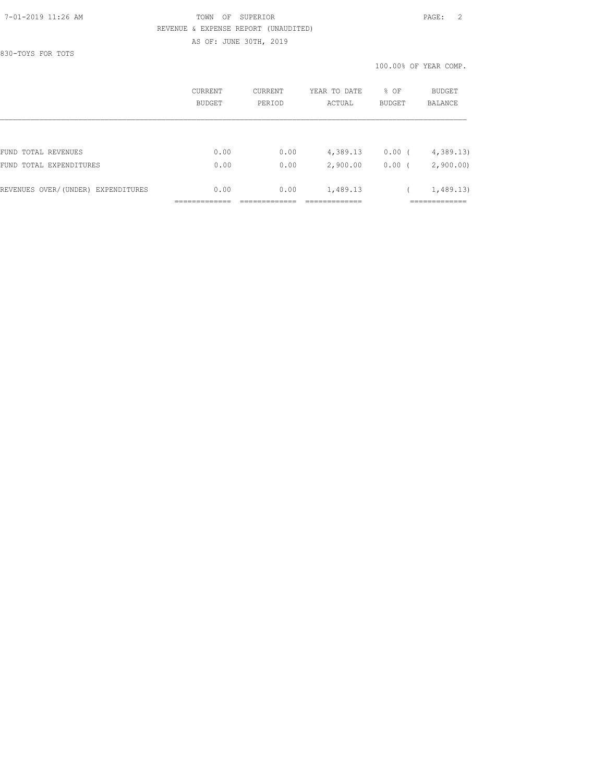## 7-01-2019 11:26 AM TOWN OF SUPERIOR PAGE: 2 REVENUE & EXPENSE REPORT (UNAUDITED)

AS OF: JUNE 30TH, 2019

830-TOYS FOR TOTS

|                                    | CURRENT<br>BUDGET | CURRENT<br>PERIOD | YEAR TO DATE<br>ACTUAL | % OF<br><b>BUDGET</b> | <b>BUDGET</b><br>BALANCE |
|------------------------------------|-------------------|-------------------|------------------------|-----------------------|--------------------------|
|                                    |                   |                   |                        |                       |                          |
| FUND TOTAL REVENUES                | 0.00              | 0.00              | 4,389.13               | $0.00$ (              | 4,389.13                 |
| FUND TOTAL EXPENDITURES            | 0.00              | 0.00              | 2,900.00               | 0.00(                 | 2,900.00                 |
| REVENUES OVER/(UNDER) EXPENDITURES | 0.00              | 0.00              | 1,489.13               |                       | 1,489.13                 |
|                                    |                   |                   |                        |                       |                          |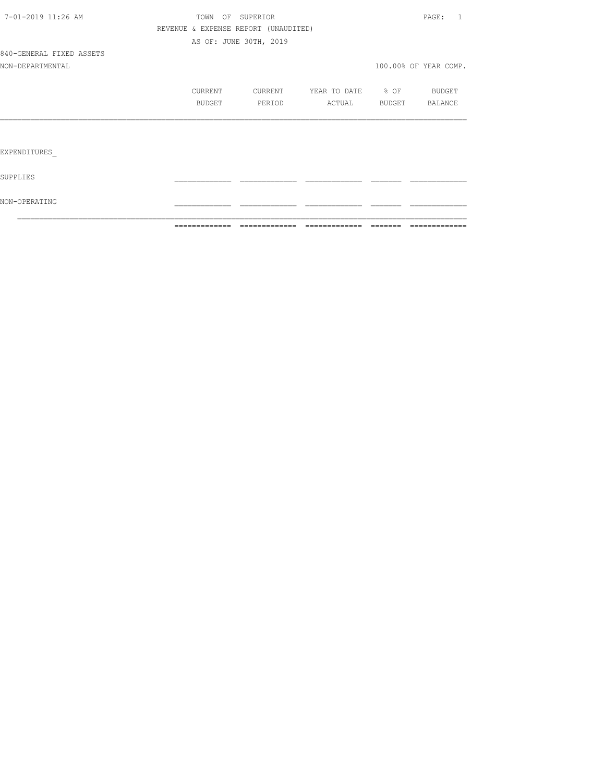|                          | ============= | =============                        | - =============       | -------- | =============         |
|--------------------------|---------------|--------------------------------------|-----------------------|----------|-----------------------|
| NON-OPERATING            |               |                                      |                       |          |                       |
| SUPPLIES                 |               |                                      |                       |          |                       |
| EXPENDITURES             |               |                                      |                       |          |                       |
|                          |               |                                      |                       |          |                       |
|                          | BUDGET        | PERIOD                               | ACTUAL BUDGET BALANCE |          |                       |
|                          | CURRENT       | CURRENT                              | YEAR TO DATE % OF     |          | <b>BUDGET</b>         |
| NON-DEPARTMENTAL         |               |                                      |                       |          | 100.00% OF YEAR COMP. |
| 840-GENERAL FIXED ASSETS |               |                                      |                       |          |                       |
|                          |               | AS OF: JUNE 30TH, 2019               |                       |          |                       |
|                          |               | REVENUE & EXPENSE REPORT (UNAUDITED) |                       |          |                       |
| 7-01-2019 11:26 AM       |               | TOWN OF SUPERIOR                     |                       |          | PAGE: 1               |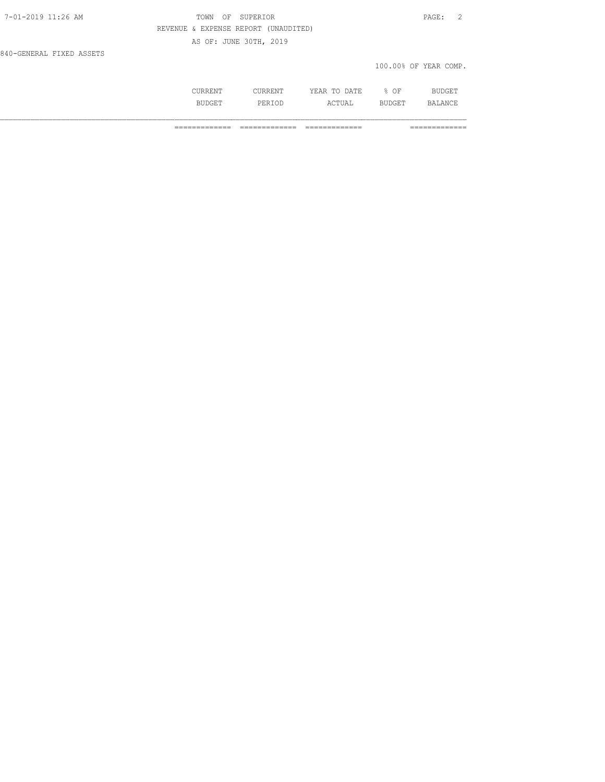## TOWN OF SUPERIOR **11:2010** PAGE: 2 REVENUE & EXPENSE REPORT (UNAUDITED) AS OF: JUNE 30TH, 2019

840-GENERAL FIXED ASSETS

100.00% OF YEAR COMP.

|        |                 | יחודות ו<br>. .<br>. .         | ΟF                       |               |
|--------|-----------------|--------------------------------|--------------------------|---------------|
| ------ | 1 J L<br>------ | $\sim$ $ -$<br>А<br>-----<br>. | $\sim$ T. $\rm m$<br>--- | $\sim$ $\sim$ |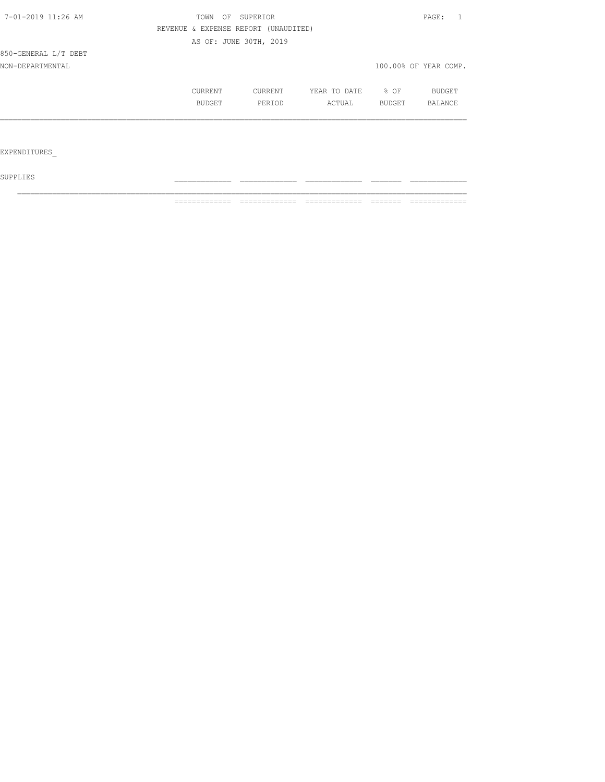| 7-01-2019 11:26 AM   | TOWN<br>OF    | SUPERIOR                             |              |        | PAGE:                 |
|----------------------|---------------|--------------------------------------|--------------|--------|-----------------------|
|                      |               | REVENUE & EXPENSE REPORT (UNAUDITED) |              |        |                       |
|                      |               | AS OF: JUNE 30TH, 2019               |              |        |                       |
| 850-GENERAL L/T DEBT |               |                                      |              |        |                       |
| NON-DEPARTMENTAL     |               |                                      |              |        | 100.00% OF YEAR COMP. |
|                      | CURRENT       | CURRENT                              | YEAR TO DATE | % OF   | BUDGET                |
|                      | <b>BUDGET</b> | PERIOD                               | ACTUAL       | BUDGET | BALANCE               |
|                      |               |                                      |              |        |                       |
|                      |               |                                      |              |        |                       |
| EXPENDITURES         |               |                                      |              |        |                       |

 ${\tt SUPPLIES}$